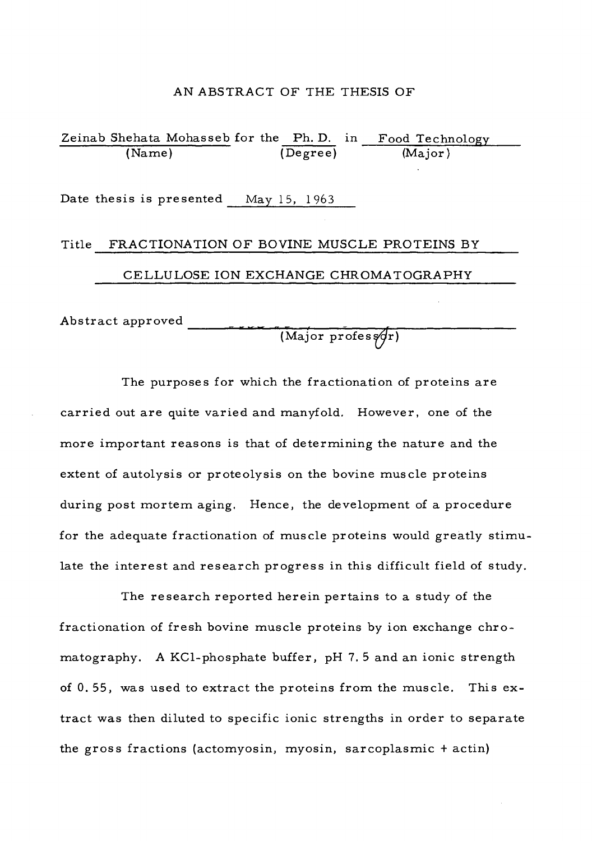#### AN ABSTRACT OF THE THESIS OF

Zeinab Shehata Mohasseb for the Ph. D. in (Name) (Degree) (Major) Date thesis is presented May 15, 1963 Title FRACTIONATION OF BOVINE MUSCLE PROTEINS BY CELLULOSE ION EXCHANGE CHROMATOGRAPHY Food Technology

Abstract approved — — —] ~ — - — *<sup>r</sup>*

 $(Major\, profes of r)$ 

The purposes for which the fractionation of proteins are carried out are quite varied and manyfold. However, one of the more important reasons is that of determining the nature and the extent of autolysis or proteolysis on the bovine muscle proteins during post mortem aging. Hence, the development of a procedure for the adequate fractionation of muscle proteins would greatly stimulate the interest and research progress in this difficult field of study.

The research reported herein pertains to a study of the fractionation of fresh bovine muscle proteins by ion exchange chromatography. A KCl-phosphate buffer, pH 7. <sup>5</sup> and an ionic strength of 0. 55, was used to extract the proteins from the muscle. This extract was then diluted to specific ionic strengths in order to separate the gross fractions (actomyosin, myosin, sarcoplasmic <sup>+</sup> actin)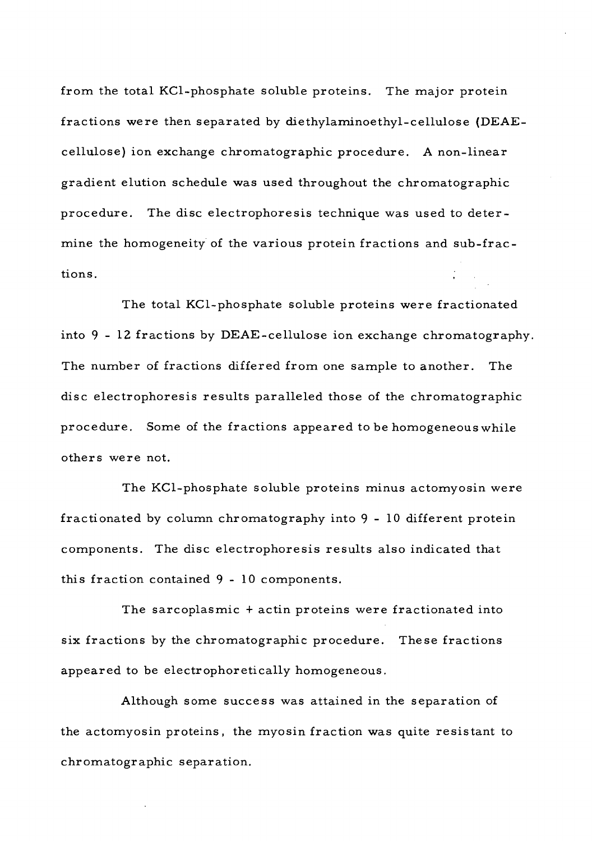from the total KCl-phosphate soluble proteins. The major protein fractions were then separated by diethylaminoethyl-cellulose (DEAEcellulose) ion exchange chromatographic procedure. A non-linear gradient elution schedule was used throughout the chromatographic procedure. The disc electrophoresis technique was used to determine the homogeneity of the various protein fractions and sub-fractions.

The total KCl-phosphate soluble proteins were fractionated into  $9$  - 12 fractions by DEAE-cellulose ion exchange chromatography. The number of fractions differed from one sample to another. The disc electrophoresis results paralleled those of the chromatographic procedure. Some of the fractions appeared to be homogeneous while others were not.

The KCl-phosphate soluble proteins minus actomyosin were fractionated by column chromatography into 9-10 different protein components. The disc electrophoresis results also indicated that this fraction contained 9-10 components.

The sarcoplasmic <sup>+</sup> actin proteins were fractionated into six fractions by the chromatographic procedure. These fractions appeared to be electrophoretically homogeneous.

Although some success was attained in the separation of the actomyosin proteins, the myosin fraction was quite resistant to chromatographic separation.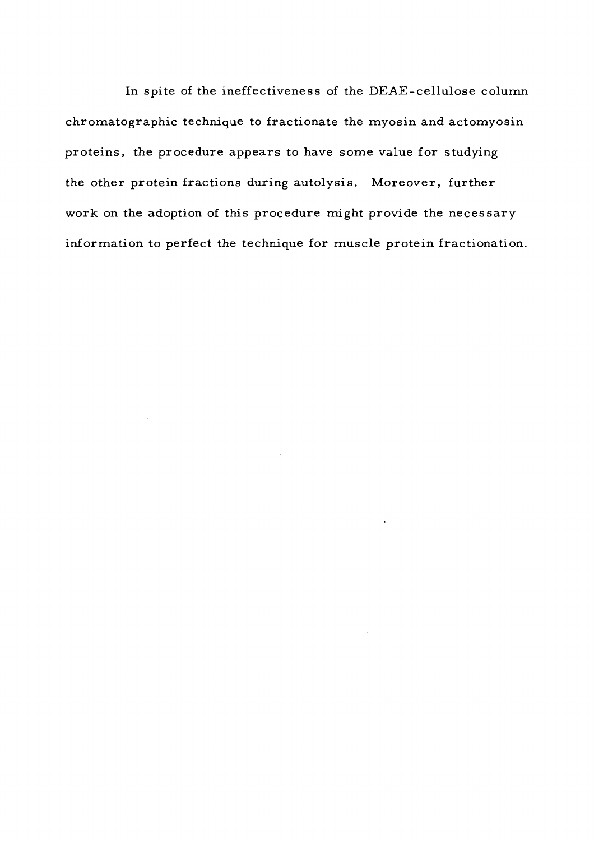In spite of the ineffectiveness of the DEAE-cellulose column chromatographic technique to fractionate the myosin and actomyosin proteins, the procedure appears to have some value for studying the other protein fractions during autolysis. Moreover, further work on the adoption of this procedure might provide the necessary information to perfect the technique for muscle protein fractionation.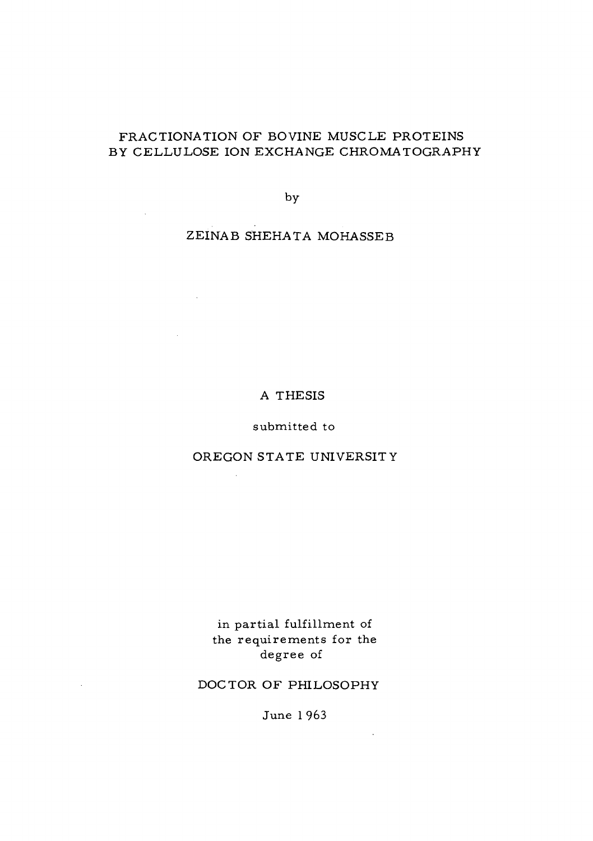# FRACTIONATION OF BOVINE MUSCLE PROTEINS BY CELLULOSE ION EXCHANGE CHROMATOGRAPHY

by

ZEINAB SHEHATA MOHASSEB

 $\mathcal{L}^{\text{max}}_{\text{max}}$  ,  $\mathcal{L}^{\text{max}}_{\text{max}}$ 

 $\sim 10^{-11}$ 

 $\sim$ 

### A THESIS

## submitted to

# OREGON STATE UNIVERSITY

 $\mathcal{L}_{\mathcal{A}}$ 

in partial fulfillment of the requirements for the degree of

## DOCTOR OF PHILOSOPHY

June <sup>1</sup> 963

 $\mathcal{L}^{\text{max}}$  and  $\mathcal{L}^{\text{max}}$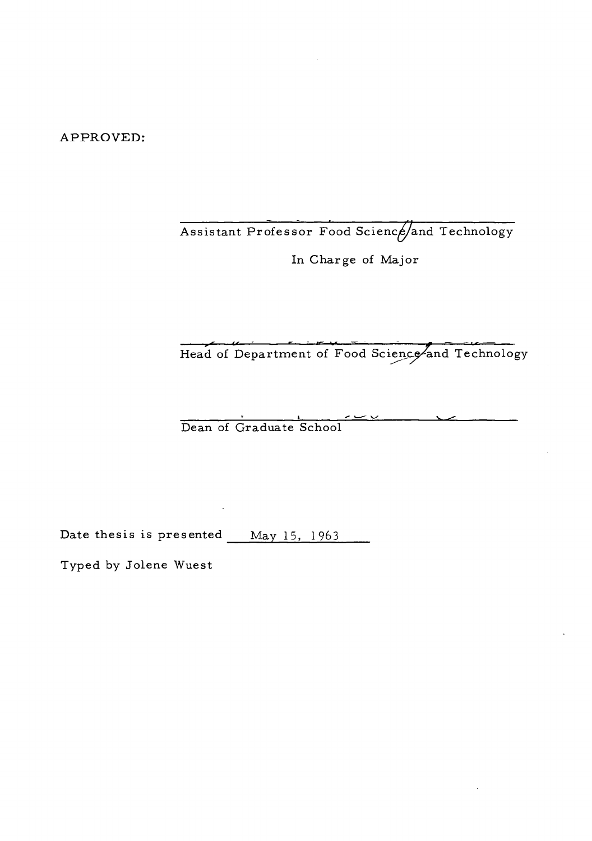APPROVED:

Assistant Professor Food Science/and Technology

In Charge of Major

^T tr *;* \_ <sup>E</sup> *i.*—B=—i»r —— *jm* =^ <sup>~</sup> fa\*- —= Head of Department of Food Science and Technology

Dean of Graduate School

Date thesis is presented May 15, 1963

Typed by Jolene Wuest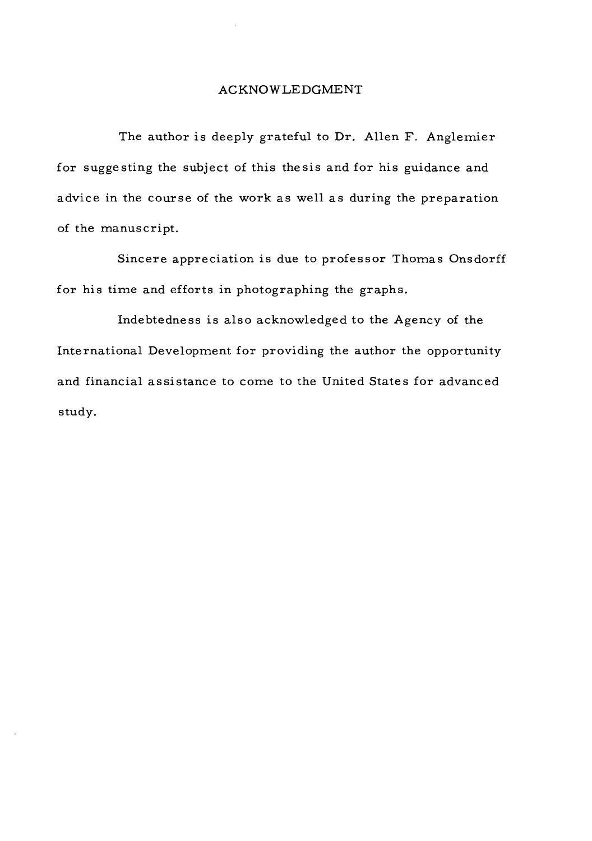## ACKNOWLEDGMENT

The author is deeply grateful to Dr. Allen F. Anglemier for suggesting the subject of this thesis and for his guidance and advice in the course of the work as well as during the preparation of the manuscript.

Sincere appreciation is due to professor Thomas Onsdorff for his time and efforts in photographing the graphs.

Indebtedness is also acknowledged to the Agency of the International Development for providing the author the opportunity and financial assistance to come to the United States for advanced study.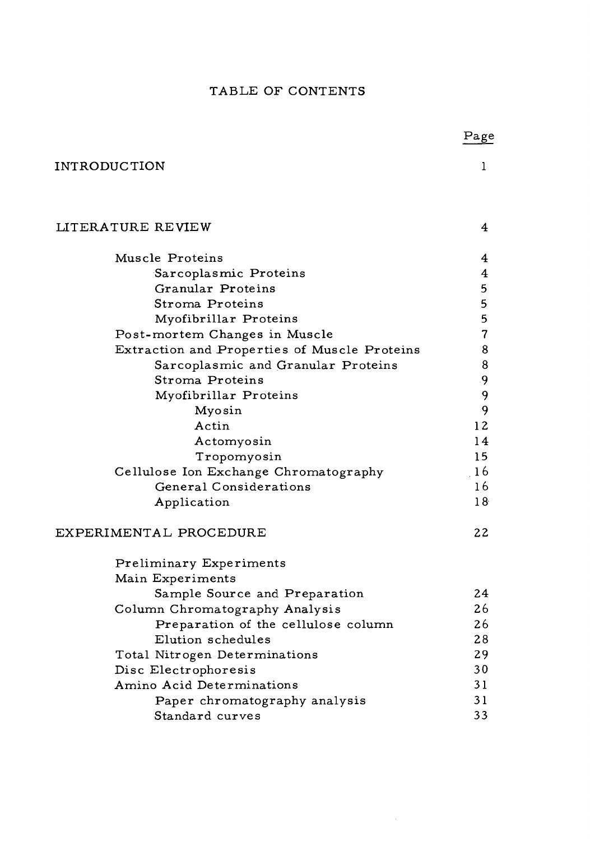# TABLE OF CONTENTS

|                                              | Page            |
|----------------------------------------------|-----------------|
| <b>INTRODUCTION</b>                          | 1               |
| LITERATURE REVIEW                            | 4               |
| Muscle Proteins                              | 4               |
| Sarcoplasmic Proteins                        | $\overline{4}$  |
| Granular Proteins                            | 5               |
| Stroma Proteins                              | 5               |
| Myofibrillar Proteins                        | 5               |
| Post-mortem Changes in Muscle                | 7               |
| Extraction and Properties of Muscle Proteins | 8               |
| Sarcoplasmic and Granular Proteins           | 8               |
| Stroma Proteins                              | .9              |
| Myofibrillar Proteins                        | 9               |
| Myosin                                       | 9               |
| Actin                                        | 12              |
| Actomyosin                                   | 14              |
| Tropomyosin                                  | 15              |
| Cellulose Ion Exchange Chromatography        | 16              |
| General Considerations                       | 16              |
| Application                                  | 18 <sup>°</sup> |
| EXPERIMENTAL PROCEDURE                       | 22              |
| Preliminary Experiments                      |                 |
| Main Experiments                             |                 |
| Sample Source and Preparation                | 24              |
| Column Chromatography Analysis               | 26              |
| Preparation of the cellulose column          | 26              |
| Elution schedules                            | 28              |
| Total Nitrogen Determinations                | 29              |
| Disc Electrophoresis                         | 30              |
| Amino Acid Determinations                    | 31              |
| Paper chromatography analysis                | 31              |
| Standard curves                              | 33              |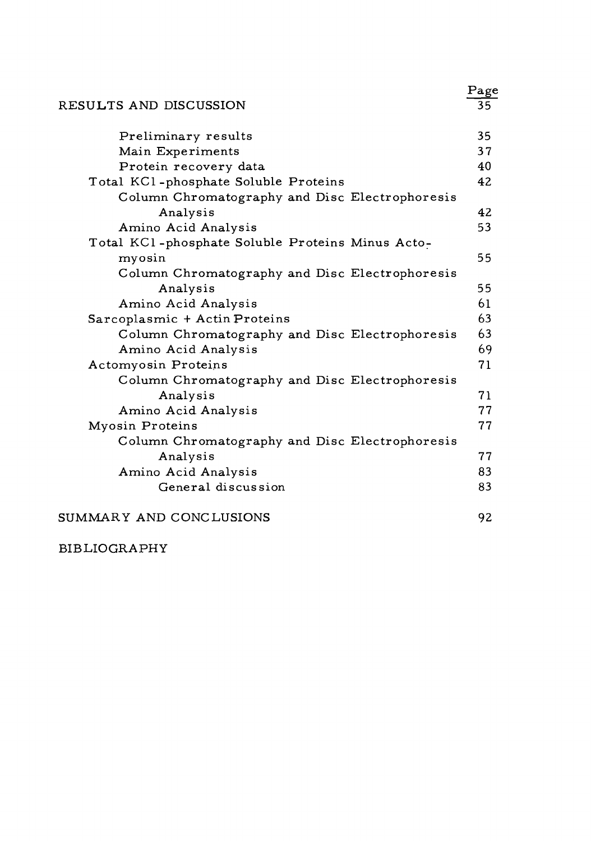|                                                  | Page |
|--------------------------------------------------|------|
| RESULTS AND DISCUSSION                           | 35   |
| Preliminary results                              | 35   |
| Main Experiments                                 | 37   |
| Protein recovery data                            | 40   |
| Total KCl-phosphate Soluble Proteins             | 42   |
| Column Chromatography and Disc Electrophoresis   |      |
| Analysis                                         | 42   |
| Amino Acid Analysis                              | 53   |
| Total KCl-phosphate Soluble Proteins Minus Acto- |      |
| myosin                                           | 55   |
| Column Chromatography and Disc Electrophoresis   |      |
| Analysis                                         | 55   |
| Amino Acid Analysis                              | 61   |
| Sarcoplasmic + Actin Proteins                    | 63   |
| Column Chromatography and Disc Electrophoresis   | 63   |
| Amino Acid Analysis                              | 69   |
| Actomyosin Proteins                              | 71   |
| Column Chromatography and Disc Electrophoresis   |      |
| Analysis                                         | 71   |
| Amino Acid Analysis                              | 77   |
| Myosin Proteins                                  | 77   |
| Column Chromatography and Disc Electrophoresis   |      |
| Analysis                                         | 77   |
| Amino Acid Analysis                              | 83   |
| General discussion                               | 83   |
| SUMMARY AND CONCLUSIONS                          | 92   |

# BIBLIOGRAPHY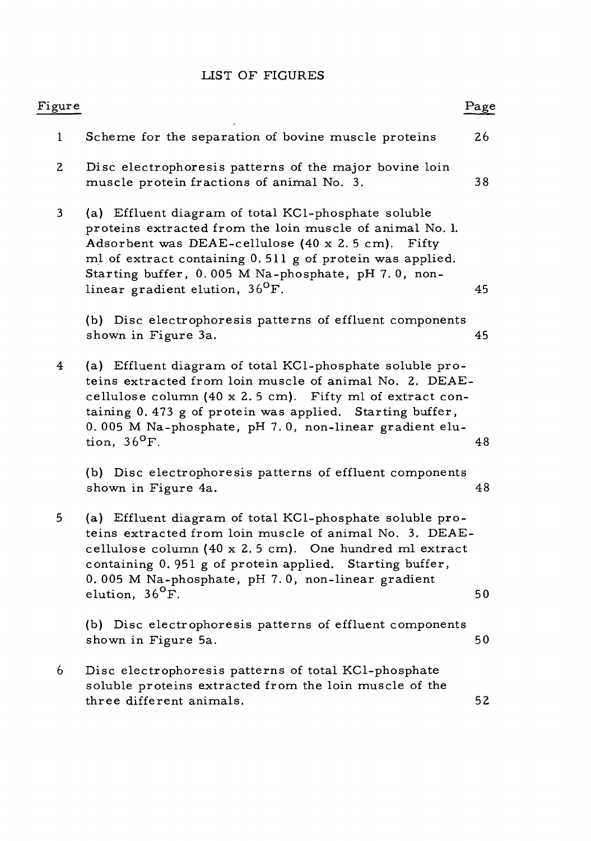# LIST OF FIGURES

| Figure                  |                                                                                                                                                                                                                                                                                                                                        | Page |
|-------------------------|----------------------------------------------------------------------------------------------------------------------------------------------------------------------------------------------------------------------------------------------------------------------------------------------------------------------------------------|------|
| $\mathbf{1}$            | Scheme for the separation of bovine muscle proteins                                                                                                                                                                                                                                                                                    | 26   |
| $\mathbf{2}$            | Disc electrophoresis patterns of the major bovine loin<br>muscle protein fractions of animal No. 3.                                                                                                                                                                                                                                    | 38   |
| $\overline{\mathbf{3}}$ | (a) Effluent diagram of total KCl-phosphate soluble<br>proteins extracted from the loin muscle of animal No. l.<br>Adsorbent was DEAE-cellulose (40 x 2.5 cm). Fifty<br>ml of extract containing 0.511 g of protein was applied.<br>Starting buffer, 0.005 M Na-phosphate, pH 7.0, non-<br>linear gradient elution, 36 <sup>o</sup> F. | 45   |
|                         | (b) Disc electrophoresis patterns of effluent components<br>shown in Figure 3a.                                                                                                                                                                                                                                                        | 45   |
| $\overline{\mathbf{4}}$ | (a) Effluent diagram of total KC1-phosphate soluble pro-<br>teins extracted from loin muscle of animal No. 2. DEAE-<br>cellulose column (40 x 2.5 cm). Fifty ml of extract con-<br>taining 0.473 g of protein was applied. Starting buffer,<br>0.005 M Na-phosphate, pH 7.0, non-linear gradient elu-<br>tion, $36^{\circ}$ F.         | 48   |
|                         | (b) Disc electrophoresis patterns of effluent components<br>shown in Figure 4a.                                                                                                                                                                                                                                                        | 48   |
| 5                       | (a) Effluent diagram of total KCl-phosphate soluble pro-<br>teins extracted from loin muscle of animal No. 3. DEAE-<br>cellulose column (40 x 2.5 cm). One hundred ml extract<br>containing 0.951 g of protein applied. Starting buffer,<br>0.005 M Na-phosphate, pH 7.0, non-linear gradient<br>elution, 36 <sup>0</sup> F.           | 50   |
|                         | (b) Disc electrophoresis patterns of effluent components<br>shown in Figure 5a.                                                                                                                                                                                                                                                        | 50   |
| 6                       | Disc electrophoresis patterns of total KCl-phosphate<br>soluble proteins extracted from the loin muscle of the<br>three different animals.                                                                                                                                                                                             | 52   |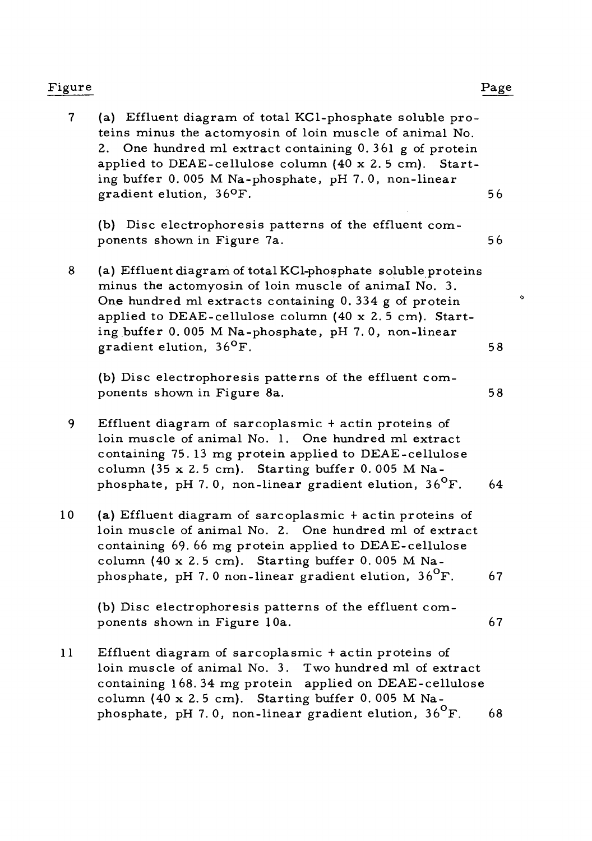# Figure Page

<sup>7</sup> (a) Effluent diagram of total KCl-phosphate soluble proteins minus the actomyosin of loin muscle of animal No. 2. One hundred ml extract containing 0.361 g of protein applied to DEAE-cellulose column (40 x 2. <sup>5</sup> cm). Starting buffer 0. 005 M Na-phosphate, pH 7. 0, non-linear gradient elution, <sup>36</sup>0  $\mathbf{F}$ . 56 (b) Disc electrophoresis patterns of the effluent components shown in Figure 7a. 56 <sup>8</sup> (a) Effluent diagram of total KCl-phosphate soluble proteins minus the actomyosin of loin muscle of animal No. 3. One hundred ml extracts containing 0. 334 <sup>g</sup> of protein applied to DEAE-cellulose column (40 x 2. <sup>5</sup> cm). Starting buffer 0. 005 M Na-phosphate, pH 7. 0, non-linear gradient elution,  $36^{\circ}$ F.  $\mathbf{F}$ . 58 (b) Disc electrophoresis patterns of the effluent components shown in Figure 8a. 58 <sup>9</sup> Effluent diagram of sarcoplasmic <sup>+</sup> actin proteins of loin muscle of animal No. 1. One hundred ml extract containing 75. <sup>13</sup> mg protein applied to DEAE-cellulose column (35 x 2.5 cm). Starting buffer 0.005 M Naphosphate, pH 7.0, non-linear gradient elution,  $36^{\circ}$ F. 64 10 (a) Effluent diagram of sarcoplasmic <sup>+</sup> actin proteins of loin muscle of animal No. 2. One hundred ml of extract containing 69. 66 mg protein applied to DEAE-cellulose column (40 x 2.5 cm). Starting buffer 0.005 M Naphosphate, pH 7.0 non-linear gradient elution,  $36^{\circ}$ F. 67 (b) Disc electrophoresis patterns of the effluent components shown in Figure 10a. 67 <sup>11</sup> Effluent diagram of sarcoplasmic <sup>+</sup> actin proteins of loin muscle of animal No. 3. Two hundred ml of extract containing 168. 34 mg protein applied on DEAE-cellulose column (40 x 2.5 cm). Starting buffer 0.005 M Na-

phosphate, pH 7.0, non-linear gradient elution,  $36^{\circ}$ F. 68

 $\alpha$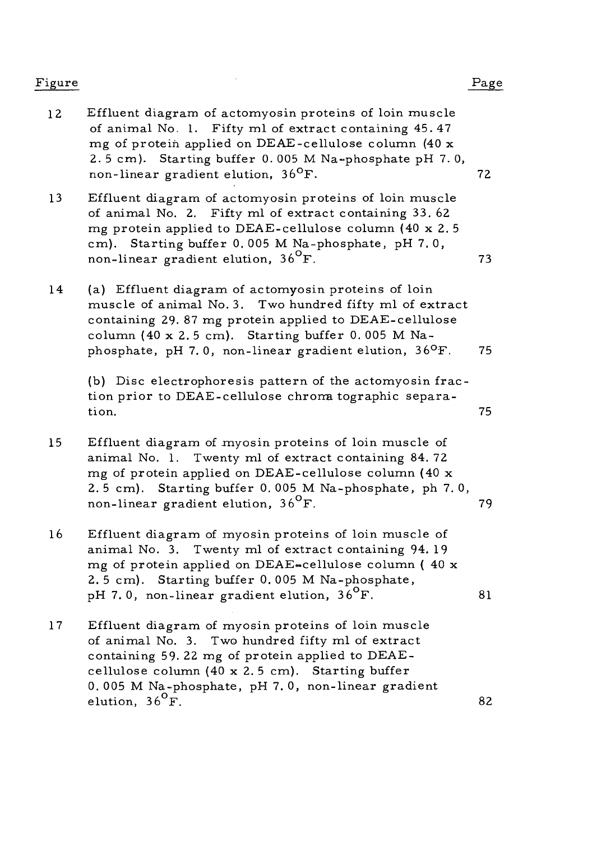# Figure Page

- 12 Effluent diagram of actomyosin proteins of loin muscle of animal No. 1. Fifty ml of extract containing 45.47 mg of protein applied on DEAE-cellulose column (40 x 2. <sup>5</sup> cm). Starting buffer 0. 005 M Na-phosphate pH 7. 0, non-linear gradient elution,  $36^{\circ}$ F. F. 72
- 13 Effluent diagram of actomyosin proteins of loin muscle of animal No. 2. Fifty ml of extract containing 33. 62 mg protein applied to DEAE-cellulose column (40 x 2. <sup>5</sup> cm). Starting buffer 0. 005 M Na-phosphate, pH 7. 0, non-linear gradient elution,  $36^{\circ}$ F. 73
- 14 (a) Effluent diagram of actomyosin proteins of loin muscle of animal No. 3. Two hundred fifty ml of extract containing 29. 87 mg protein applied to DEAE-cellulose column (40 x 2.5 cm). Starting buffer 0.005 M Naphosphate, pH 7.0, non-linear gradient elution,  $36^{\circ}$ F. 75

(b) Disc electrophoresis pattern of the actomyosin fraction prior to DEAE-cellulose chroma tographic separation. The contract of the contract of the contract of the contract of the contract of the contract of the contract of the contract of the contract of the contract of the contract of the contract of the contract of the cont

- 15 Effluent diagram of myosin proteins of loin muscle of animal No. 1. Twenty ml of extract containing 84. 72 mg of protein applied on DEAE-cellulose column (40 x 2. <sup>5</sup> cm). Starting buffer 0. 005 M Na-phosphate, ph 7. 0, non-linear gradient elution,  $36^{\circ}$ F. 79
- 16 Effluent diagram of myosin proteins of loin muscle of animal No. 3. Twenty ml of extract containing 94. 19 mg of protein applied on DEAE-cellulose column (40 x 2. <sup>5</sup> cm). Starting buffer 0. 005 M Na-phosphate, pH 7.0, non-linear gradient elution,  $36^{\circ}F$ .  $81$
- 17 Effluent diagram of myosin proteins of loin muscle of animal No. 3. Two hundred fifty ml of extract containing 59. 22 mg of protein applied to DEAEcellulose column (40 x 2. <sup>5</sup> cm). Starting buffer 0. 005 M Na-phosphate, pH 7. 0, non-linear gradient elution,  $36^{\circ}$ F.  $\overline{F}$ . 82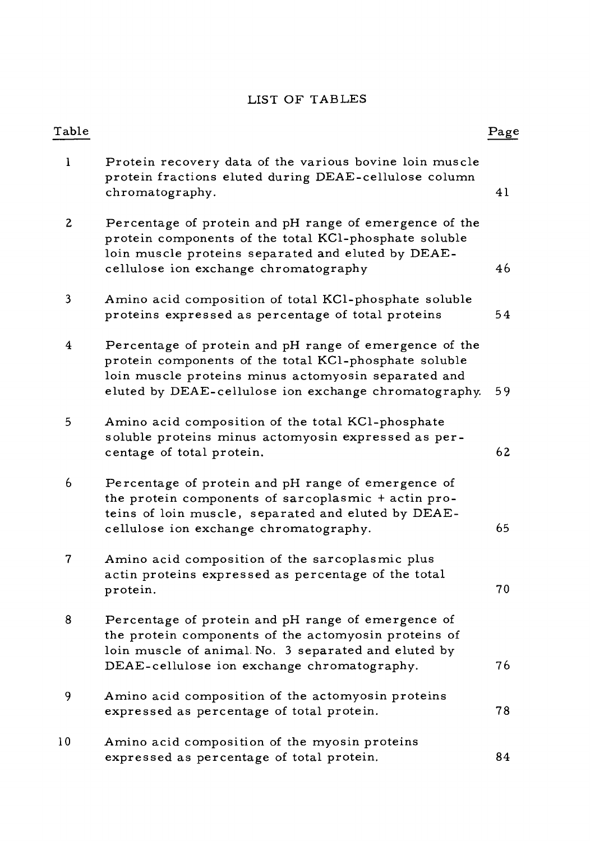# LIST OF TABLES

| Table    |                                                                                                                                                                                                                                 | $_{\rm Page}$ |
|----------|---------------------------------------------------------------------------------------------------------------------------------------------------------------------------------------------------------------------------------|---------------|
| $\bf{l}$ | Protein recovery data of the various bovine loin muscle<br>protein fractions eluted during DEAE-cellulose column<br>chromatography.                                                                                             | 41            |
| 2        | Percentage of protein and pH range of emergence of the<br>protein components of the total KCl-phosphate soluble<br>loin muscle proteins separated and eluted by DEAE-<br>cellulose ion exchange chromatography                  | 46            |
| 3        | Amino acid composition of total KCl-phosphate soluble<br>proteins expressed as percentage of total proteins                                                                                                                     | 54            |
| 4        | Percentage of protein and pH range of emergence of the<br>protein components of the total KCl-phosphate soluble<br>loin muscle proteins minus actomyosin separated and<br>eluted by DEAE-cellulose ion exchange chromatography. | 59            |
| 5        | Amino acid composition of the total KCl-phosphate<br>soluble proteins minus actomyosin expressed as per-<br>centage of total protein.                                                                                           | 62            |
| 6        | Percentage of protein and pH range of emergence of<br>the protein components of sarcoplasmic + actin pro-<br>teins of loin muscle, separated and eluted by DEAE-<br>cellulose ion exchange chromatography.                      | 65            |
| 7        | Amino acid composition of the sarcoplasmic plus<br>actin proteins expressed as percentage of the total<br>protein.                                                                                                              | 70            |
| 8        | Percentage of protein and pH range of emergence of<br>the protein components of the actomyosin proteins of<br>loin muscle of animal No. 3 separated and eluted by<br>DEAE-cellulose ion exchange chromatography.                | 76            |
| 9        | Amino acid composition of the actomyosin proteins<br>expressed as percentage of total protein.                                                                                                                                  | 78            |
| 10       | Amino acid composition of the myosin proteins<br>expressed as percentage of total protein.                                                                                                                                      | 84            |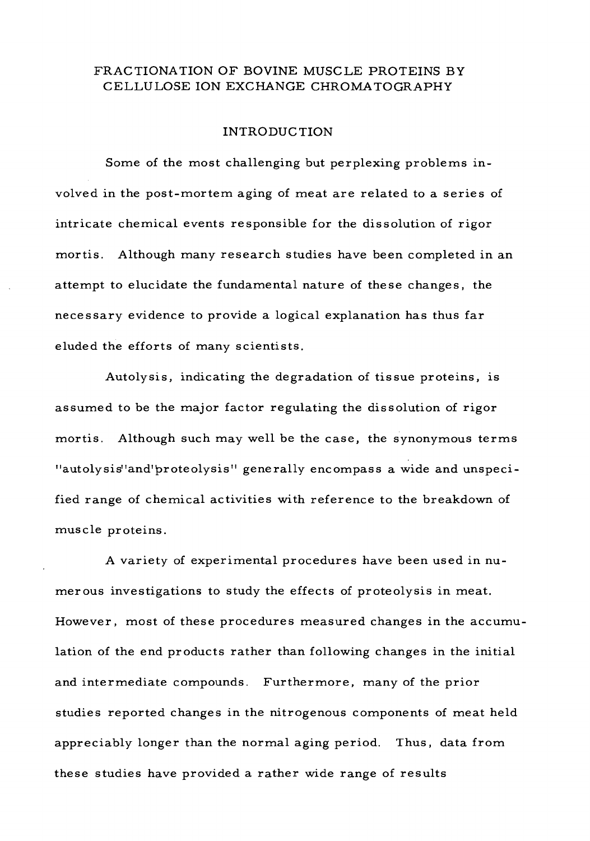# FRACTIONATION OF BOVINE MUSCLE PROTEINS BY CELLULOSE ION EXCHANGE CHROMA TOGRAPHY

#### INTRODUCTION

Some of the most challenging but perplexing problems involved in the post-mortem aging of meat are related to a series of intricate chemical events responsible for the dissolution of rigor mortis. Although many research studies have been completed in an attempt to elucidate the fundamental nature of these changes, the necessary evidence to provide a logical explanation has thus far eluded the efforts of many scientists.

Autolysis, indicating the degradation of tissue proteins, is assumed to be the major factor regulating the dissolution of rigor mortis. Although such may well be the case, the synonymous terms "autolysis" and'proteolysis" generally encompass a wide and unspecified range of chemical activities with reference to the breakdown of muscle proteins.

A variety of experimental procedures have been used in numerous investigations to study the effects of proteolysis in meat. However, most of these procedures measured changes in the accumulation of the end products rather than following changes in the initial and intermediate compounds. Furthermore, many of the prior studies reported changes in the nitrogenous components of meat held appreciably longer than the normal aging period. Thus, data from these studies have provided a rather wide range of results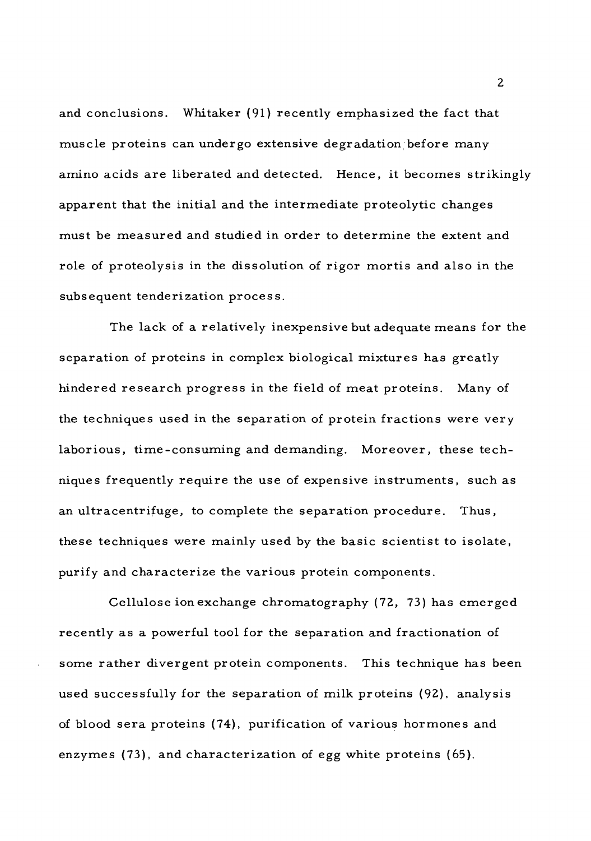and conclusions. Whitaker (91) recently emphasized the fact that muscle proteins can undergo extensive degradation before many amino acids are liberated and detected. Hence, it becomes strikingly apparent that the initial and the intermediate proteolytic changes must be measured and studied in order to determine the extent and role of proteolysis in the dissolution of rigor mortis and also in the subsequent tenderization process.

The lack of a relatively inexpensive but adequate means for the separation of proteins in complex biological mixtures has greatly hindered research progress in the field of meat proteins. Many of the techniques used in the separation of protein fractions were very laborious, time-consuming and demanding. Moreover, these techniques frequently require the use of expensive instruments, such as an ultracentrifuge, to complete the separation procedure. Thus, these techniques were mainly used by the basic scientist to isolate, purify and characterize the various protein components.

Cellulose ion exchange chromatography (72, 73) has emerged recently as a powerful tool for the separation and fractionation of some rather divergent protein connponents. This technique has been used successfully for the separation of milk proteins (92), analysis of blood sera proteins (74), purification of various hormones and enzymes (73), and characterization of egg white proteins (65).

 $\overline{2}$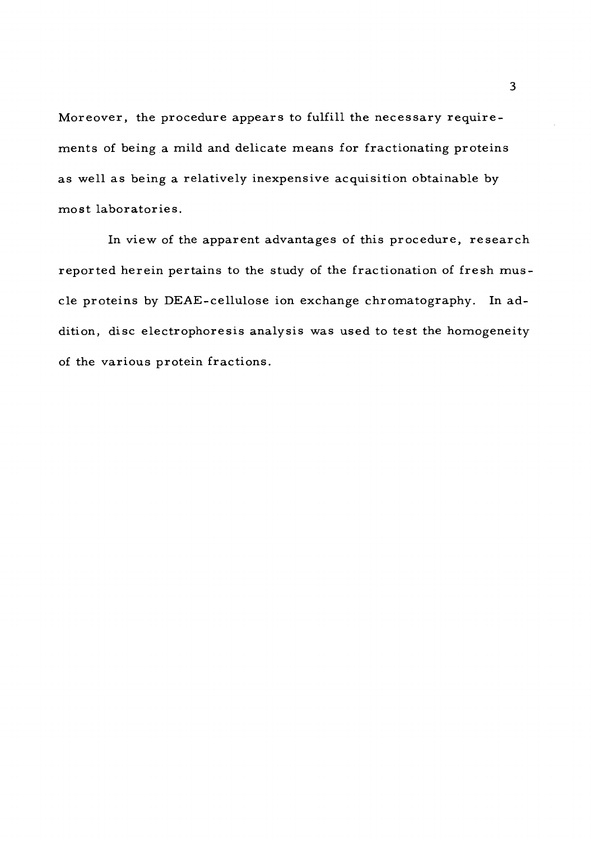Moreover, the procedure appears to fulfill the necessary requirements of being a mild and delicate means for fractionating proteins as well as being a relatively inexpensive acquisition obtainable by most laboratories.

In view of the apparent advantages of this procedure, research reported herein pertains to the study of the fractionation of fresh muscle proteins by DEAE-cellulose ion exchange chromatography. In addition, disc electrophoresis analysis was used to test the homogeneity of the various protein fractions.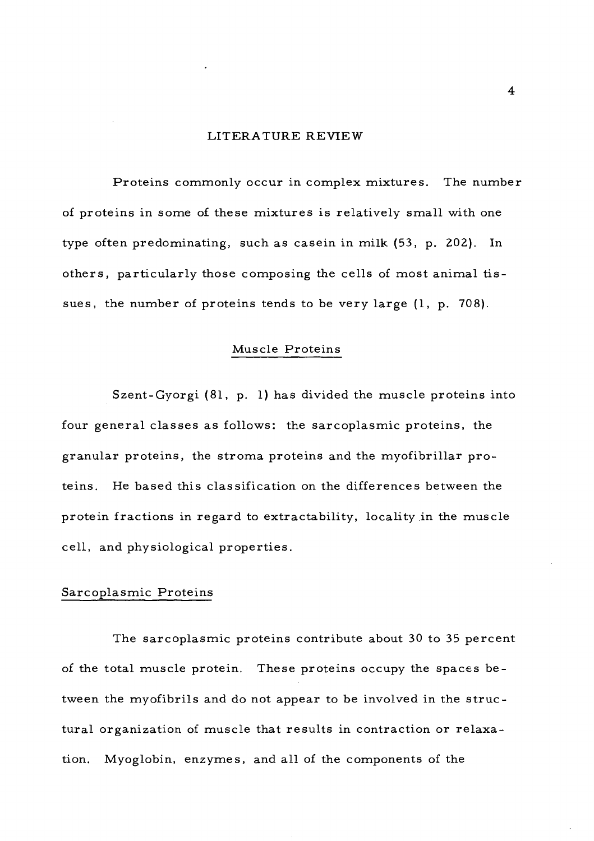#### LITERATURE REVIEW

Proteins commonly occur in complex mixtures. The number of proteins in some of these mixtures is relatively small with one type often predominating, such as casein in milk (53, p. 202). In others, particularly those composing the cells of most animal tissues, the number of proteins tends to be very large (1, p. 708).

#### Muscle Proteins

Szent-Gyorgi (81, p. 1) has divided the muscle proteins into four general classes as follows: the sarcoplasmic proteins, the granular proteins, the stroma proteins and the myofibrillar proteins. He based this classification on the differences between the protein fractions in regard to extractability, locality in the muscle cell, and physiological properties.

### Sarcoplasmic Proteins

The sarcoplasmic proteins contribute about 30 to 35 percent of the total muscle protein. These proteins occupy the spaces between the myofibrils and do not appear to be involved in the structural organization of muscle that results in contraction or relaxation. Myoglobin, enzymes, and all of the components of the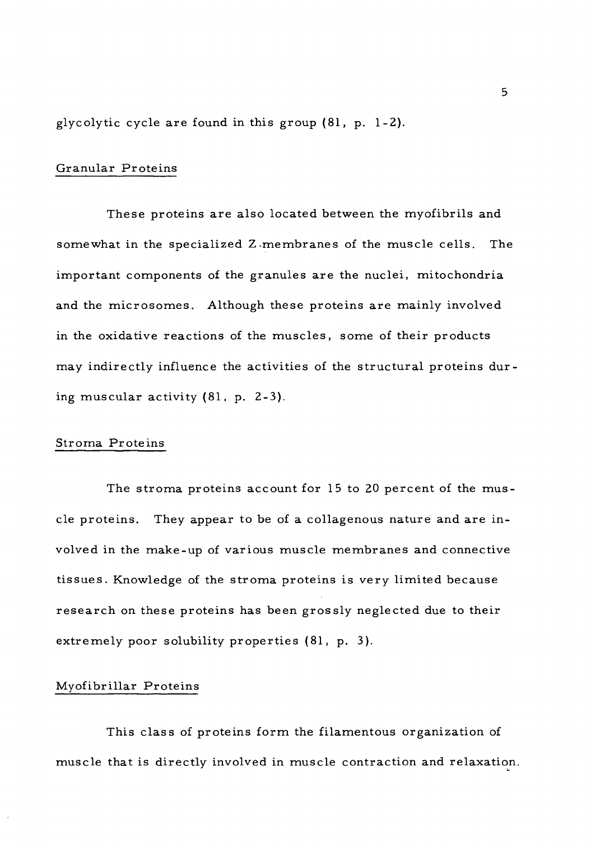glycolytic cycle are found in this group (81, p. 1-2).

#### Granular Proteins

These proteins are also located between the myofibrils and somewhat in the specialized Z-membranes of the muscle cells. The important components of the granules are the nuclei, mitochondria and the microsomes. Although these proteins are mainly involved in the oxidative reactions of the muscles, some of their products may indirectly influence the activities of the structural proteins during muscular activity (81, p. 2-3).

#### Stroma Proteins

The stroma proteins account for 15 to 20 percent of the muscle proteins. They appear to be of a collagenous nature and are involved in the make-up of various muscle membranes and connective tissues. Knowledge of the stroma proteins is very limited because research on these proteins has been grossly neglected due to their extremely poor solubility properties (81, p. 3).

#### Myofibrillar Proteins

This class of proteins form the filamentous organization of muscle that is directly involved in muscle contraction and relaxation.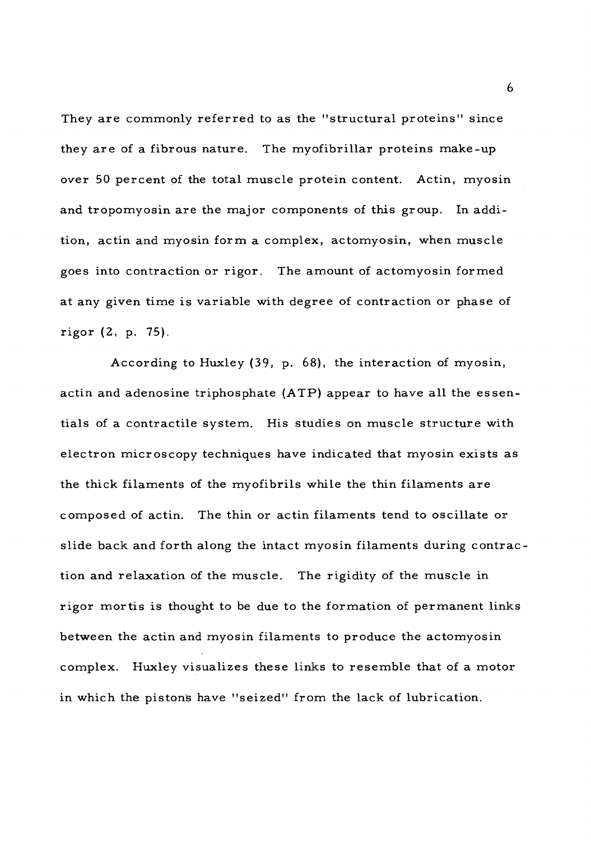They are commonly referred to as the "structural proteins" since they are of a fibrous nature. The myofibrillar proteins make-up over 50 percent of the total muscle protein content. Actin, myosin and tropomyosin are the major components of this group. In addition, actin and myosin form a complex, actomyosin, when muscle goes into contraction or rigor. The amount of actomyosin formed at any given time is variable with degree of contraction or phase of rigor (2, p. 75).

According to Huxley (39, p. 68), the interaction of myosin, actin and adenosine triphosphate (ATP) appear to have all the essentials of a contractile system. His studies on muscle structure with electron microscopy techniques have indicated that myosin exists as the thick filaments of the myofibrils while the thin filaments are composed of actin. The thin or actin filaments tend to oscillate or slide back and forth along the intact myosin filaments during contraction and relaxation of the muscle. The rigidity of the muscle in rigor mortis is thought to be due to the formation of permanent links between the actin and myosin filaments to produce the actomyosin complex. Huxley visualizes these links to resemble that of a motor in which the pistons have "seized" from the lack of lubrication.

6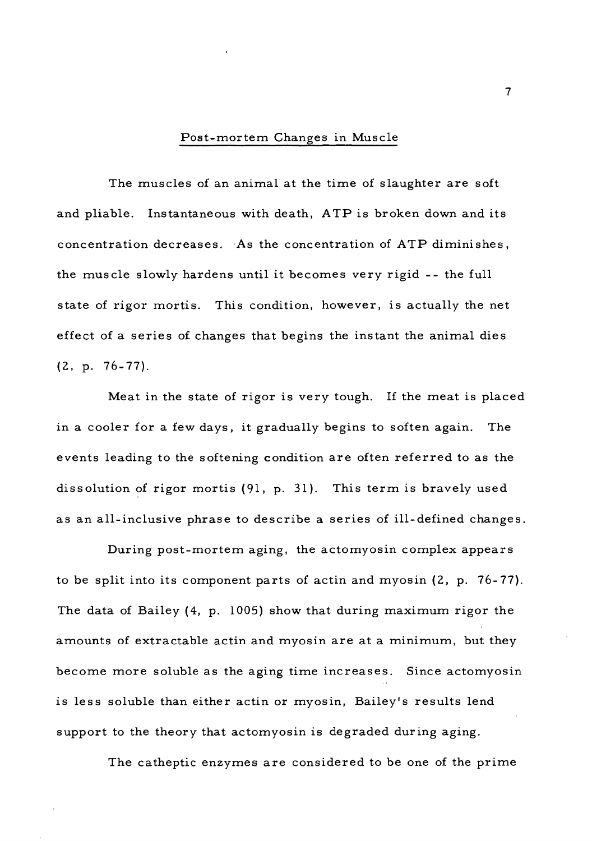#### Post-mortem Changes in Muscle

The muscles of an animal at the time of slaughter are soft and pliable. Instantaneous with death, ATP is broken down and its concentration decreases. As the concentration of ATP diminishes, the muscle slowly hardens until it becomes very rigid -- the full state of rigor mortis. This condition, however, is actually the net effect of a series of changes that begins the instant the animal dies (2, p. 76-77).

Meat in the state of rigor is very tough. If the meat is placed in a cooler for a few days, it gradually begins to soften again. The events leading to the softening condition are often referred to as the dissolution of rigor mortis (91, p. 31). This term is bravely used as an all-inclusive phrase to describe a series of ill-defined changes.

During post-mortem aging, the actomyosin complex appears to be split into its component parts of actin and myosin (2, p. 76-77). The data of Bailey (4, p. 1005) show that during maximum rigor the amounts of extractable actin and myosin are at a minimum, but they become more soluble as the aging time increases. Since actomyosin is less soluble than either actin or myosin. Bailey's results lend support to the theory that actomyosin is degraded during aging.

The catheptic enzymes are considered to be one of the prime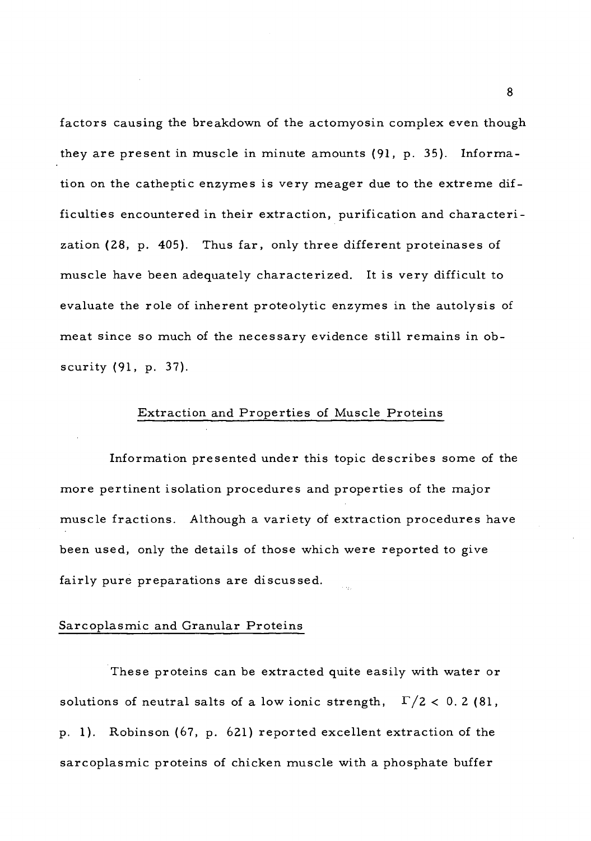factors causing the breakdown of the actomyosin complex even though they are present in muscle in minute amounts (91, p. 35). Information on the catheptic enzymes is very meager due to the extreme difficulties encountered in their extraction, purification and characterization (28, p. 405). Thus far, only three different proteinases of muscle have been adequately characterized. It is very difficult to evaluate the role of inherent proteolytic enzymes in the autolysis of meat since so much of the necessary evidence still remains in obscurity (91, p. 37).

#### Extraction and Properties of Muscle Proteins

Information presented under this topic describes some of the more pertinent isolation procedures and properties of the major muscle fractions. Although a variety of extraction procedures have been used, only the details of those which were reported to give fairly pure preparations are discussed.

#### Sarcoplasmic and Granular Proteins

These proteins can be extracted quite easily with water or solutions of neutral salts of a low ionic strength,  $\Gamma/2 < 0.2$  (81, p. 1). Robinson (67, p. 621) reported excellent extraction of the sarcoplasmic proteins of chicken muscle with a phosphate buffer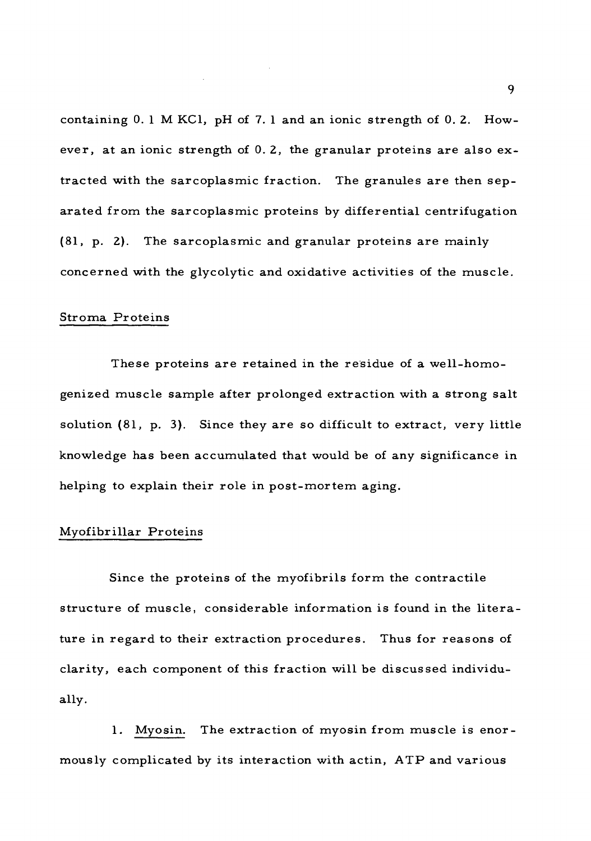containing 0. <sup>1</sup> M KC1, pH of 7. <sup>1</sup> and an ionic strength of 0. 2. However, at an ionic strength of 0. 2, the granular proteins are also extracted with the sarcoplasmic fraction. The granules are then separated from the sarcoplasmic proteins by differential centrifugation (81, p. 2). The sarcoplasmic and granular proteins are mainly concerned with the glycolytic and oxidative activities of the muscle.

## Stroma Proteins

These proteins are retained in the residue of a well-homogenized muscle sample after prolonged extraction with a strong salt solution (81, p. 3). Since they are so difficult to extract, very little knowledge has been accumulated that would be of any significance in helping to explain their role in post-mortem aging.

### Myofibrillar Proteins

Since the proteins of the myofibrils form the contractile structure of muscle, considerable information is found in the literature in regard to their extraction procedures. Thus for reasons of clarity, each component of this fraction will be discussed individually.

1. Myosin. The extraction of myosin from muscle is enormously complicated by its interaction with actin, ATP and various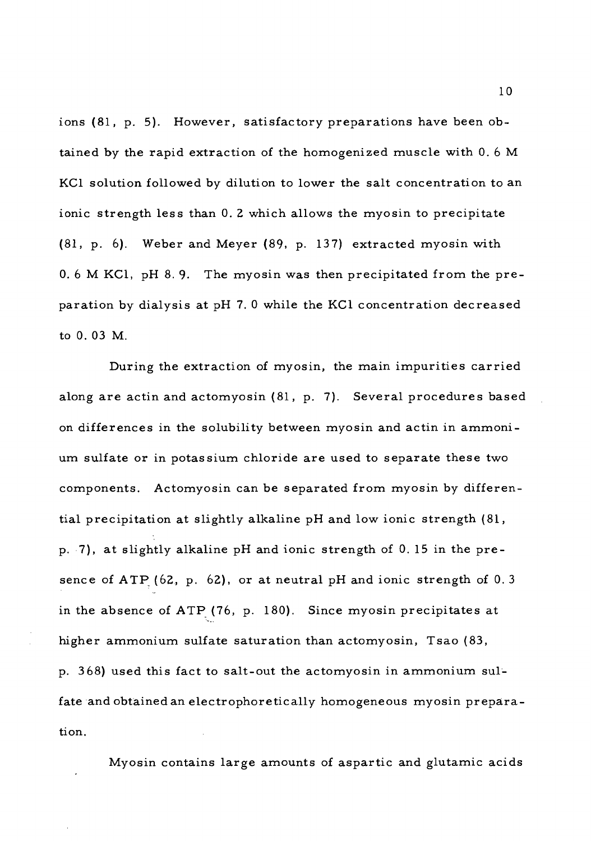ions (81, p. 5). However, satisfactory preparations have been obtained by the rapid extraction of the homogenized muscle with 0. <sup>6</sup> M KCl solution followed by dilution to lower the salt concentration to an ionic strength less than 0. <sup>Z</sup> which allows the myosin to precipitate (81, p. 6). Weber and Meyer (89. p. 137) extracted myosin with 0. <sup>6</sup> M KCl, pH 8. 9. The myosin was then precipitated from the preparation by dialysis at pH 7. <sup>0</sup> while the KCl concentration decreased to 0. 03 M.

During the extraction of myosin, the main impurities carried along are actin and actomyosin (81, p. 7). Several procedures based on differences in the solubility between myosin and actin in ammonium sulfate or in potassium chloride are used to separate these two components. Actomyosin can be separated from myosin by differential precipitation at slightly alkaline pH and low ionic strength (81, p. 7), at slightly alkaline pH and ionic strength of 0. <sup>15</sup> in the presence of ATP (62, p. 62), or at neutral pH and ionic strength of 0. <sup>3</sup> in the absence of  $ATP(76, p. 180)$ . Since myosin precipitates at higher ammonium sulfate saturation than actomyosin, Tsao (83, p. <sup>3</sup> 68) used this fact to salt-out the actomyosin in ammonium sulfate and obtained an electrophoretically homogeneous myosin preparation.

Myosin contains large amounts of aspartic and glutamic acids

10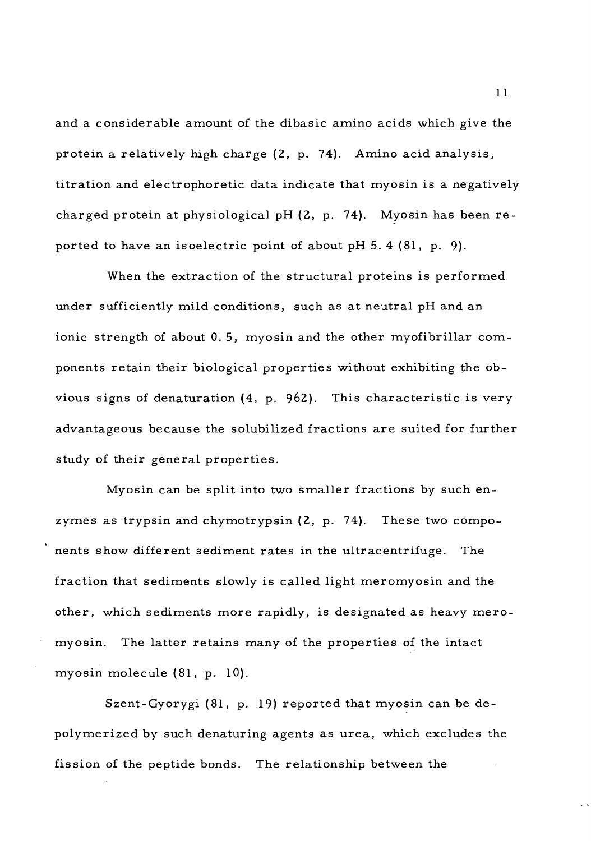and a considerable amount of the dibasic amino acids which give the protein a relatively high charge (2, p. 74). Amino acid analysis, titration and electrophoretic data indicate that myosin is a negatively charged protein at physiological pH (2, p. 74). Myosin has been reported to have an isoelectric point of about pH 5. 4 (81, p. 9).

When the extraction of the structural proteins is performed under sufficiently mild conditions, such as at neutral pH and an ionic strength of about 0. 5, myosin and the other myofibrillar components retain their biological properties without exhibiting the obvious signs of denaturation (4, p. 962). This characteristic is very advantageous because the solubilized fractions are suited for further study of their general properties.

Myosin can be split into two smaller fractions by such enzymes as trypsin and chymotrypsin (2, p. 74). These two components show different sediment rates in the ultracentrifuge. The fraction that sediments slowly is called light meromyosin and the other, which sediments more rapidly, is designated as heavy meromyosin. The latter retains many of the properties of the intact myosin molecule (81, p. 10).

Szent-Gyorygi (81, p. 19) reported that myosin can be depolymerized by such denaturing agents as urea, which excludes the fission of the peptide bonds. The relationship between the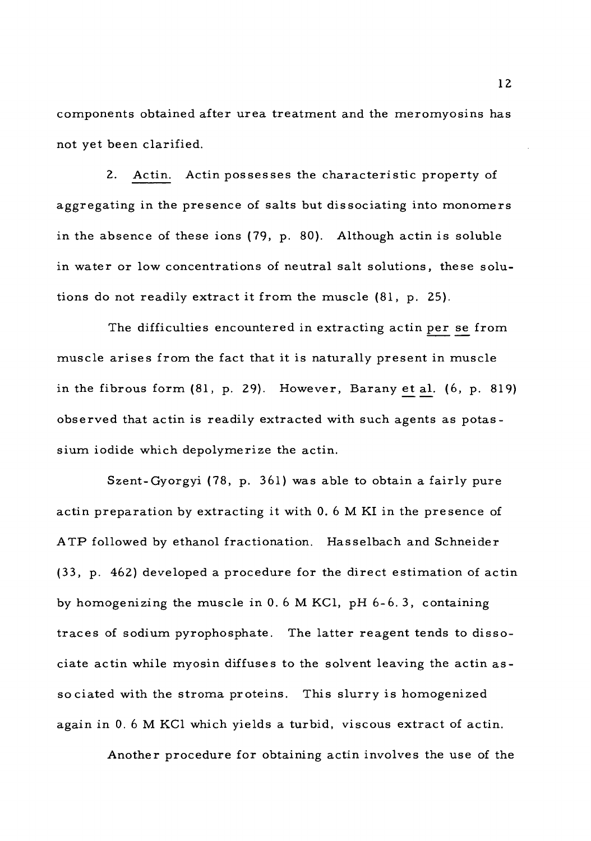components obtained after urea treatment and the meromyosins has not yet been clarified.

2. Actin. Actin possesses the characteristic property of aggregating in the presence of salts but dissociating into monomers in the absence of these ions (79, p. 80). Although actin is soluble in water or low concentrations of neutral salt solutions, these solutions do not readily extract it from the muscle (81, p. 25).

The difficulties encountered in extracting actin per se from muscle arises from the fact that it is naturally present in muscle in the fibrous form (81, p. 29). However, Barany et al. (6, p. 819) observed that actin is readily extracted with such agents as potassium iodide which depolymerize the actin.

Szent-Gyorgyi (78, p. 361) was able to obtain a fairly pure actin preparation by extracting it with 0. <sup>6</sup> M KI in the presence of ATP followed by ethanol fractionation. Hasselbach and Schneider (33, p. 462) developed a procedure for the direct estimation of actin by homogenizing the muscle in  $0.6$  M KCl, pH  $6-6.3$ , containing traces of sodium pyrophosphate. The latter reagent tends to dissociate actin while myosin diffuses to the solvent leaving the actin associated with the stroma proteins. This slurry is homogenized again in 0. <sup>6</sup> M KC1 which yields a turbid, viscous extract of actin.

Another procedure for obtaining actin involves the use of the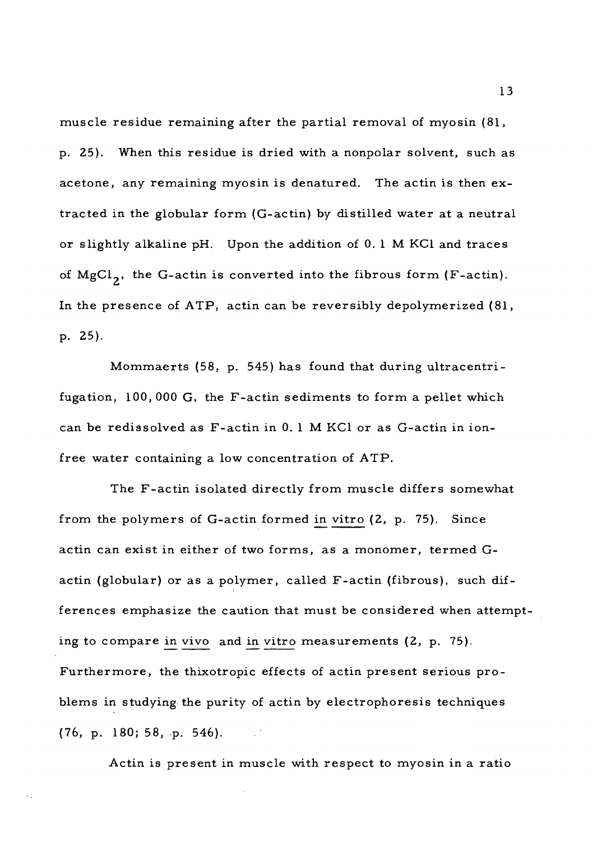muscle residue remaining after the partial removal of myosin (81, p. 25). When this residue is dried with a nonpolar solvent, such as acetone, any remaining myosin is denatured. The actin is then extracted in the globular form (G-actin) by distilled water at a neutral or slightly alkaline pH. Upon the addition of 0. <sup>1</sup> M KC1 and traces of  $MgCl<sub>2</sub>$ , the G-actin is converted into the fibrous form (F-actin). In the presence of ATP, actin can be reversibly depolymerized (81, p. 25).

Mommaerts (58, p. 545) has found that during ultracentrifugation, 100, 000 G, the F-actin sediments to form a pellet which can be redissolved as F-actin in 0. <sup>1</sup> M KC1 or as G-actin in ionfree water containing a low concentration of ATP.

The F-actin isolated directly from muscle differs somewhat from the polymers of G-actin formed in vitro (2, p. 75). Since actin can exist in either of two forms, as a monomer, termed Gactin (globular) or as a polymer, called F-actin (fibrous), such differences emphasize the caution that must be considered when attempting to compare in vivo and in vitro measurements (2, p. 75). Furthermore, the thixotropic effects of actin present serious problems in studying the purity of actin by electrophoresis techniques (76, p. 180; 58, p. 546).

Actin is present in muscle with respect to myosin in a ratio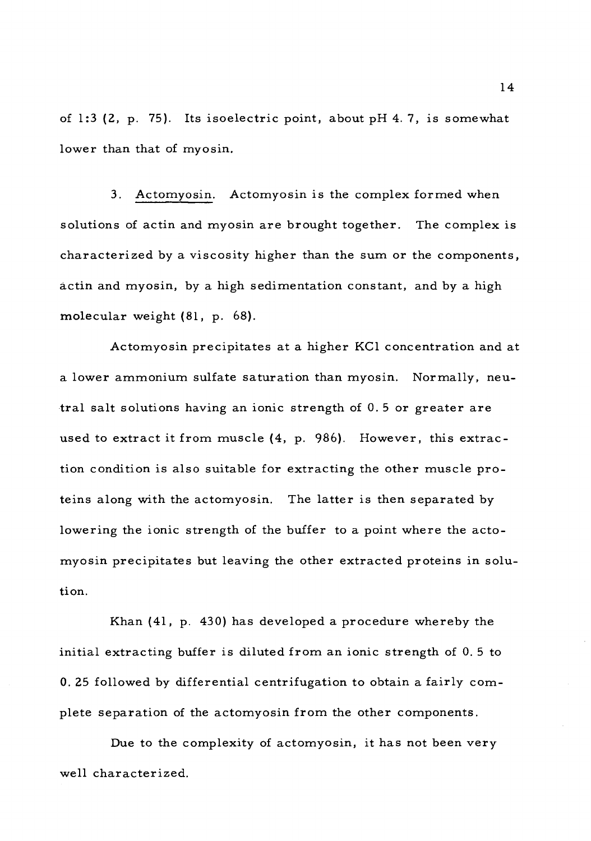of 1:3 (2, p. 75). Its isoelectric point, about pH 4. 7, is somewhat lower than that of myosin.

3. Actomyosin. Actomyosin is the complex formed when solutions of actin and myosin are brought together. The complex is characterized by a viscosity higher than the sum or the components, actin and myosin, by a high sedimentation constant, and by a high molecular weight (81, p. 68).

Actomyosin precipitates at a higher KC1 concentration and at a lower ammonium sulfate saturation than myosin. Normally, neutral salt solutions having an ionic strength of 0. <sup>5</sup> or greater are used to extract it from muscle (4, p. 986). However, this extraction condition is also suitable for extracting the other muscle proteins along with the actomyosin. The latter is then separated by lowering the ionic strength of the buffer to a point where the actomyosin precipitates but leaving the other extracted proteins in solution.

Khan (41, p. 430) has developed a procedure whereby the initial extracting buffer is diluted from an ionic strength of 0. <sup>5</sup> to 0. 25 followed by differential centrifugation to obtain a fairly complete separation of the actomyosin from the other components.

Due to the complexity of actomyosin, it has not been very well characterized.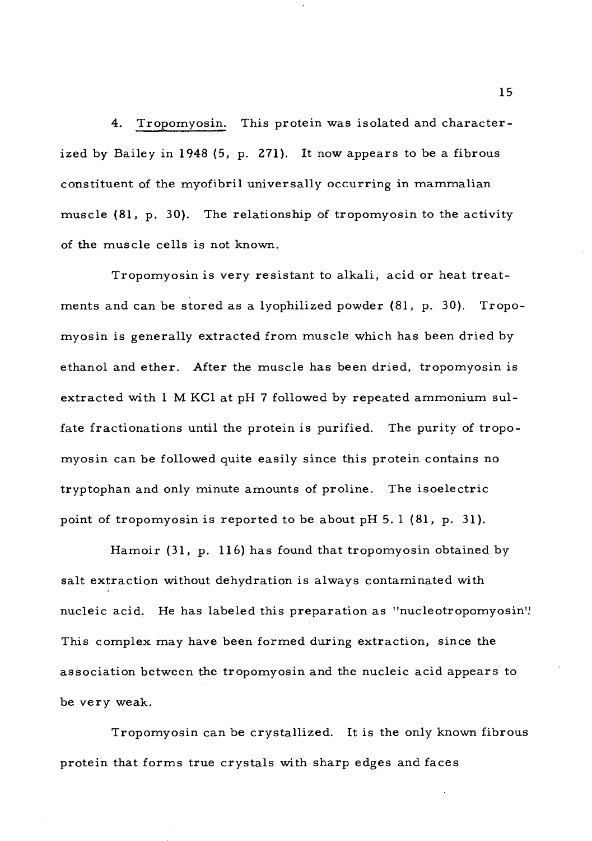4. Tropomyosin. This protein was isolated and characterized by Bailey in 1948 (5, p. 271). It now appears to be a fibrous constituent of the myofibril universally occurring in mammalian muscle (81, p. 30). The relationship of tropomyosin to the activity of the muscle cells is not known.

Tropomyosin is very resistant to alkali, acid or heat treatments and can be stored as a lyophilized powder (81, p. 30). Tropomyosin is generally extracted from muscle which has been dried by ethanol and ether. After the muscle has been dried, tropomyosin is extracted with <sup>1</sup> M KC1 at pH <sup>7</sup> followed by repeated ammonium sulfate fractionations until the protein is purified. The purity of tropomyosin can be followed quite easily since this protein contains no tryptophan and only minute amounts of proline. The isoelectric point of tropomyosin is reported to be about  $pH$  5.1 (81, p. 31).

Hamoir (31, p. 116) has found that tropomyosin obtained by salt extraction without dehydration is always contaminated with nucleic acid. He has labeled this preparation as "nucleotropomyosin". This complex may have been formed during extraction, since the association between the tropomyosin and the nucleic acid appears to be very weak.

Tropomyosin can be crystallized. It is the only known fibrous protein that forms true crystals with sharp edges and faces

15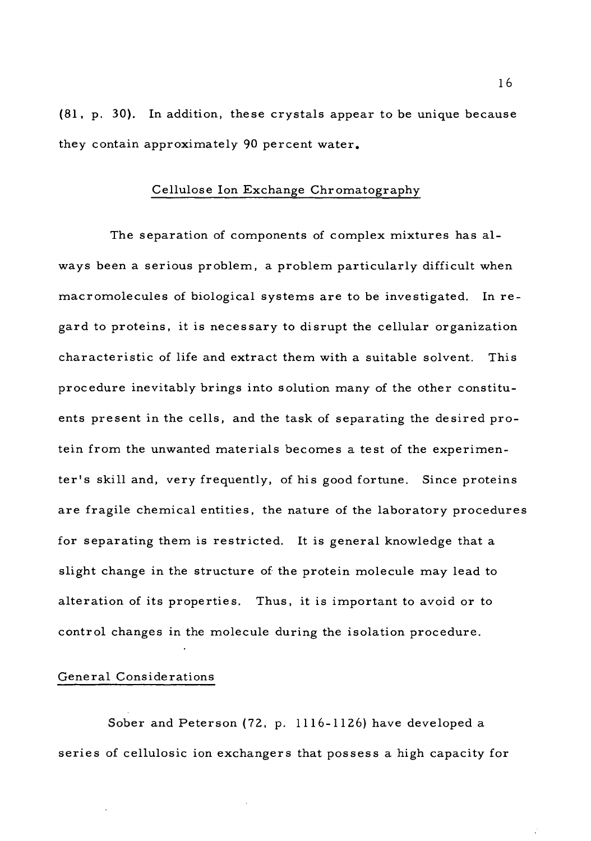(81, p. 30). In addition, these crystals appear to be unique because they contain approximately 90 percent water.

## Cellulose Ion Exchange Chromatography

The separation of components of complex mixtures has always been a serious problem, a problem particularly difficult when macromolecules of biological systems are to be investigated. In regard to proteins, it is necessary to disrupt the cellular organization characteristic of life and extract them with a suitable solvent. This procedure inevitably brings into solution many of the other constituents present in the cells, and the task of separating the desired protein from the unwanted materials becomes a test of the experimenter's skill and, very frequently, of his good fortune. Since proteins are fragile chemical entities, the nature of the laboratory procedures for separating them is restricted. It is general knowledge that a slight change in the structure of the protein molecule may lead to alteration of its properties. Thus, it is important to avoid or to control changes in the molecule during the isolation procedure.

### General Considerations

Sober and Peterson (72, p. 1116-1126) have developed a series of cellulosic ion exchangers that possess a high capacity for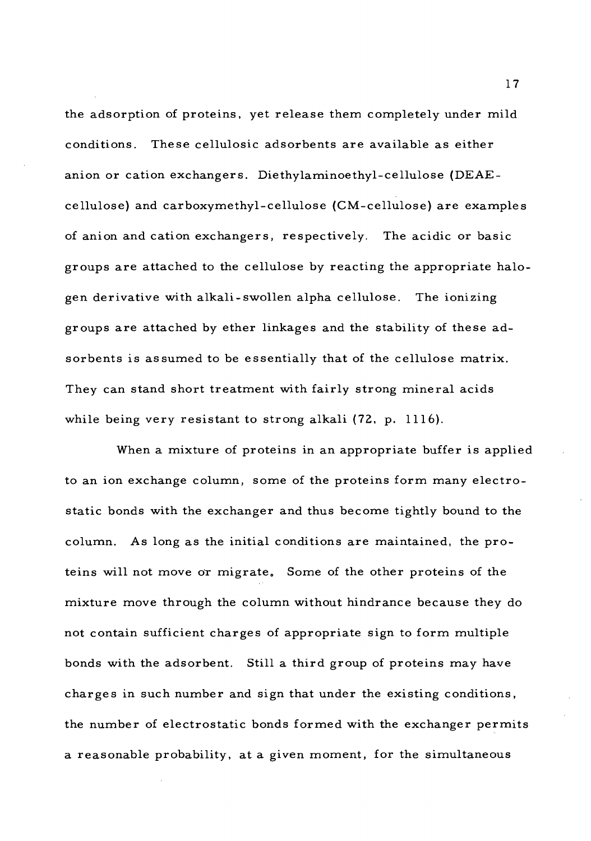the adsorption of proteins, yet release them completely under mild conditions. These cellulosic adsorbents are available as either anion or cation exchangers. Diethylaminoethyl-cellulose (DEAEcellulose) and carboxymethyl-cellulose (CM-cellulose) are examples of anion and cation exchangers, respectively. The acidic or basic groups are attached to the cellulose by reacting the appropriate halogen derivative with alkali-swollen alpha cellulose. The ionizing groups are attached by ether linkages and the stability of these adsorbents is assumed to be essentially that of the cellulose matrix. They can stand short treatment with fairly strong mineral acids while being very resistant to strong alkali (72, p. 1116).

When a mixture of proteins in an appropriate buffer is applied to an ion exchange column, some of the proteins form many electrostatic bonds with the exchanger and thus become tightly bound to the column. As long as the initial conditions are maintained, the proteins will not move or migrate. Some of the other proteins of the mixture move through the column without hindrance because they do not contain sufficient charges of appropriate sign to form multiple bonds with the adsorbent. Still a third group of proteins may have charges in such number and sign that under the existing conditions, the number of electrostatic bonds formed with the exchanger permits a reasonable probability, at a given moment, for the simultaneous

17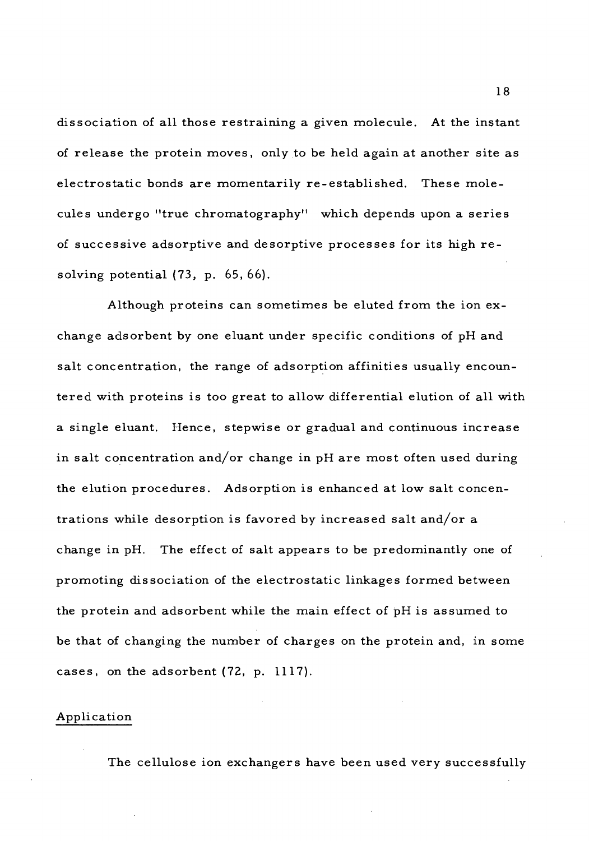dissociation of all those restraining a given molecule. At the instant of release the protein moves, only to be held again at another site as electrostatic bonds are momentarily re-established. These molecules undergo "true chromatography" which depends upon a series of successive adsorptive and desorptive processes for its high resolving potential (73, p. 65, 66).

Although proteins can sometimes be eluted from the ion exchange adsorbent by one eluant under specific conditions of pH and salt concentration, the range of adsorption affinities usually encountered with proteins is too great to allow differential elution of all with a single eluant. Hence, stepwise or gradual and continuous increase in salt concentration and/or change in pH are most often used during the elution procedures. Adsorption is enhanced at low salt concentrations while desorption is favored by increased salt and/or a change in pH. The effect of salt appears to be predominantly one of promoting dissociation of the electrostatic linkages formed between the protein and adsorbent while the main effect of pH is assumed to be that of changing the number of charges on the protein and, in some cases, on the adsorbent (72, p. 1117).

#### Application

The cellulose ion exchangers have been used very successfully

18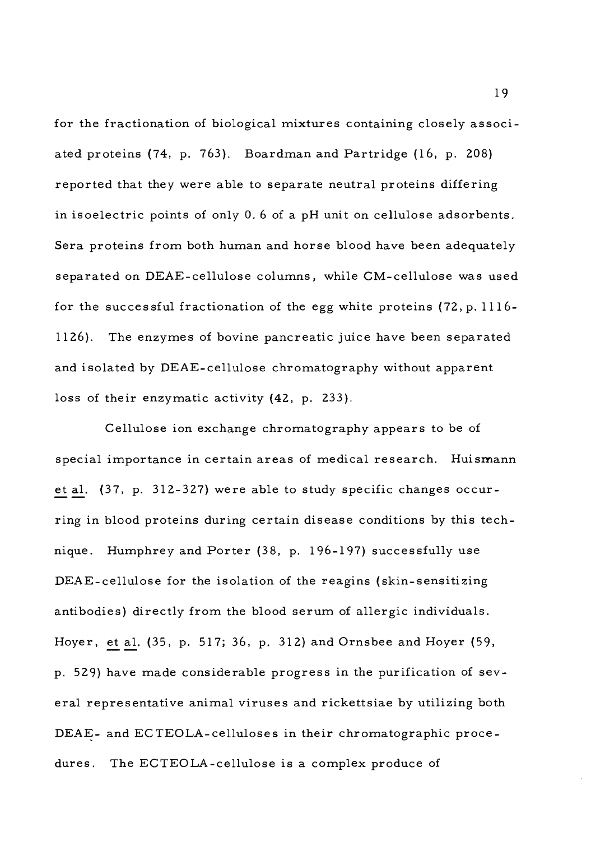for the fractionation of biological mixtures containing closely associated proteins (74, p. 763). Boardman and Partridge (16, p. 208) reported that they were able to separate neutral proteins differing in isoelectric points of only 0. <sup>6</sup> of a pH unit on cellulose adsorbents. Sera proteins from both human and horse blood have been adequately separated on DEAE-cellulose columns, while CM-cellulose was used for the successful fractionation of the egg white proteins (72, p. 1116- 1126). The enzymes of bovine pancreatic juice have been separated and isolated by DEAE-cellulose chromatography without apparent loss of their enzymatic activity (42, p. 233).

Cellulose ion exchange chromatography appears to be of special importance in certain areas of medical research. Huismann et al. (37, p. 312-327) were able to study specific changes occurring in blood proteins during certain disease conditions by this technique. Humphrey and Porter (38, p. 196-197) successfully use DEAE-cellulose for the isolation of the reagins (skin-sensitizing antibodies) directly from the blood serum of allergic individuals. Hoyer, et al. (35, p. 517; 36, p. 312) and Ornsbee and Hoyer (59, p. 529) have made considerable progress in the purification of several representative animal viruses and rickettsiae by utilizing both DEAE- and ECTEOLA-celluloses in their chromatographic procedures. The ECTEOLA-cellulose is a complex produce of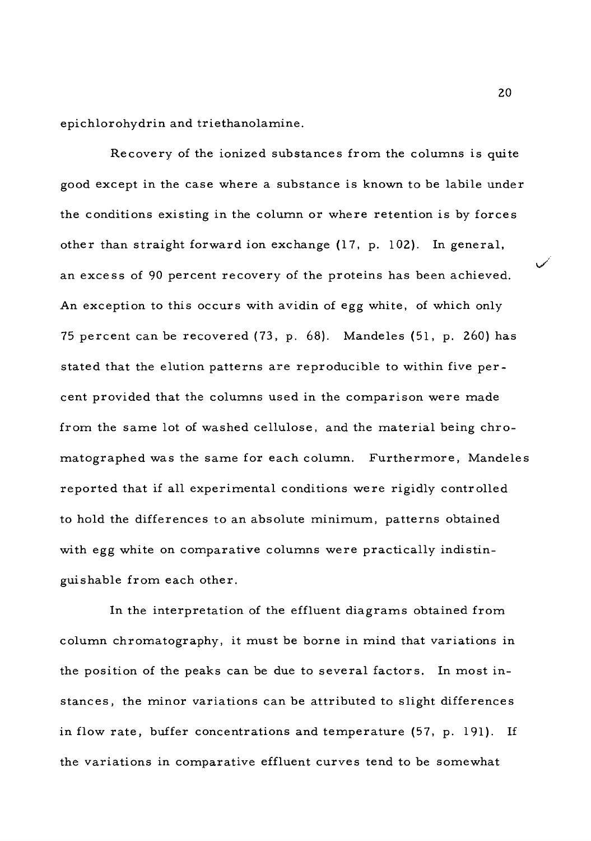epichlorohydrin and triethanolamine.

Recovery of the ionized substances from the columns is quite good except in the case where a substance is known to be labile under the conditions existing in the column or where retention is by forces other than straight forward ion exchange (17, p. 102). In general, an excess of 90 percent recovery of the proteins has been achieved. An exception to this occurs with avidin of egg white, of which only 75 percent can be recovered (73, p. 68). Mandeles (51, p. 260) has stated that the elution patterns are reproducible to within five percent provided that the columns used in the comparison were made from the same lot of washed cellulose, and the material being chromatographed was the same for each column. Furthermore, Mandeles reported that if all experimental conditions were rigidly controlled to hold the differences to an absolute minimum, patterns obtained with egg white on comparative columns were practically indistinguishable from each other.

In the interpretation of the effluent diagrams obtained from column chromatography, it must be borne in mind that variations in the position of the peaks can be due to several factors. In most instances, the minor variations can be attributed to slight differences in flow rate, buffer concentrations and temperature (57, p. 191). If the variations in comparative effluent curves tend to be somewhat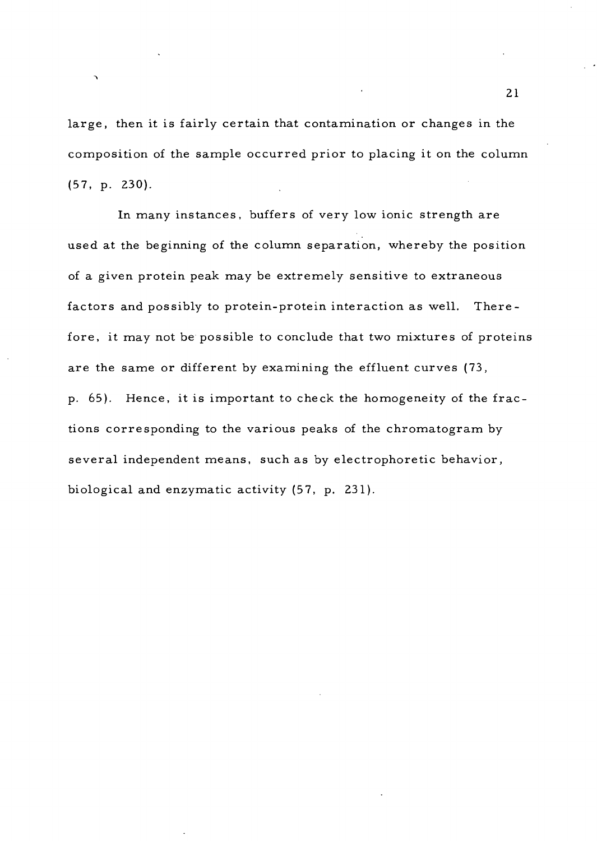large, then it is fairly certain that contamination or changes in the composition of the sample occurred prior to placing it on the column (57, p. 230).

In many instances, buffers of very low ionic strength are used at the beginning of the column separation, whereby the position of a given protein peak may be extremely sensitive to extraneous factors and possibly to protein-protein interaction as well. Therefore, it may not be possible to conclude that two mixtures of proteins are the same or different by examining the effluent curves (73, p. 65). Hence, it is important to check the homogeneity of the fractions corresponding to the various peaks of the chromatogram by several independent means, such as by electrophoretic behavior, biological and enzymatic activity (57, p. 231).

21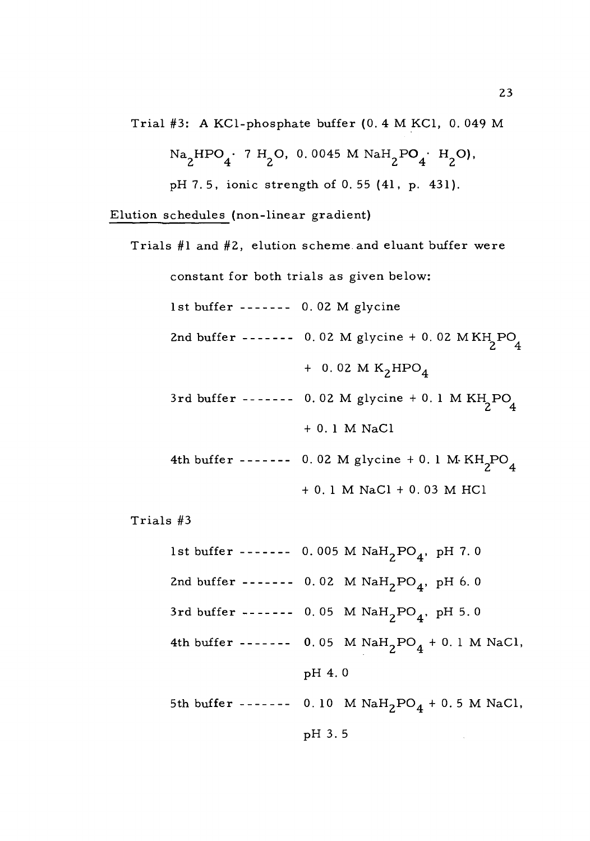Trial #3: A KCl-phosphate buffer (0. 4 M KCl, 0. 049 M

$$
Na_{2}HPO_{4} \cdot 7 H_{2}O, 0.0045 M NaH_{2}PO_{4} \cdot H_{2}O,
$$

pH7.5, ionic strength of 0. 55 (41, p. 431).

Elution schedules (non-linear gradient)

Trials #1 and #2, elution scheme and eluant buffer were constant for both trials as given below: 1st buffer  $--- 0.02$  M glycine 2nd buffer 0. 02 M **<sup>S</sup>** glycine **<sup>y</sup>** <sup>+</sup> 0. 02 M KH PO **2 4**  $+$  0.02 M K<sub>2</sub>HPO<sub>4</sub> 3rd buffer ------- 0.02 M glycine + 0.1 M KH<sub>2</sub>PO<sub>4</sub> + 0. <sup>1</sup> M NaCl 4th buffer ------- 0.02 M glycine + 0.1 M  $KH_2PO_4$ + 0. <sup>1</sup> M NaCl + 0. 03 M HC1 Trials #3 1st buffer ------- 0.005 M  $\text{NaH}_2\text{PO}_4$ , pH 7.0 2nd buffer -------  $0.02$  M  $\text{NaH}_2\text{PO}_4$ , pH 6.0 3rd buffer -------  $0.05$  M  $\text{NaH}_2\text{PO}_4$ , pH 5.0 4th buffer -------  $0.05$  M  $\text{NaH}_2\text{PO}_4 + 0.1$  M NaCl, pH 4. 0 5th buffer -------  $0.10$  M  $\text{NaH}_2\text{PO}_4 + 0.5$  M NaCl,

pH 3. 5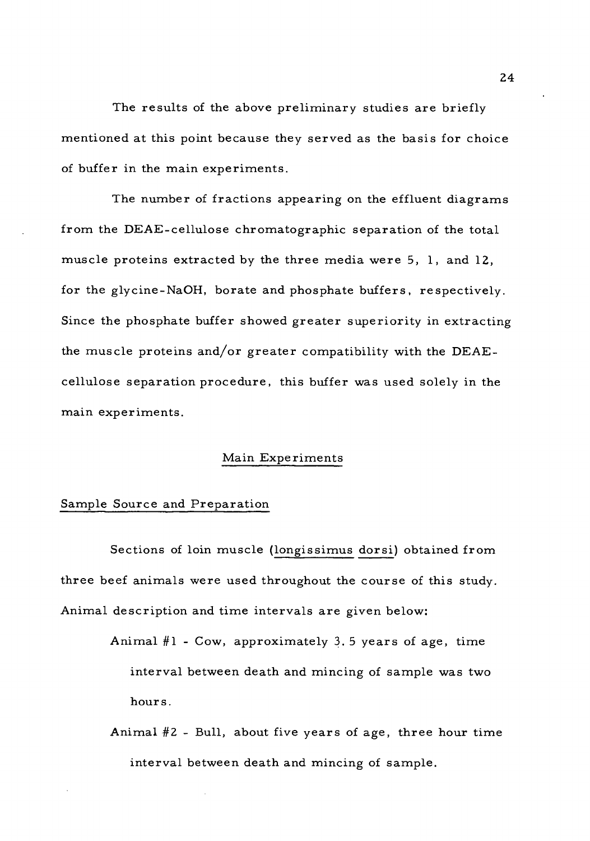The results of the above preliminary studies are briefly mentioned at this point because they served as the basis for choice of buffer in the main experiments.

The number of fractions appearing on the effluent diagrams from the DEAE-cellulose chromatographic separation of the total muscle proteins extracted by the three media were 5, 1, and 12, for the glycine-NaOH, borate and phosphate buffers, respectively. Since the phosphate buffer showed greater superiority in extracting the muscle proteins and/or greater compatibility with the DEAEcellulose separation procedure, this buffer was used solely in the main experiments.

## Main Experiments

# Sample Source and Preparation

Sections of loin muscle (longissimus dorsi) obtained from three beef animals were used throughout the course of this study. Animal description and time intervals are given below:

- Animal  $#1$  Cow, approximately 3.5 years of age, time interval between death and mincing of sample was two hours.
- Animal #2 Bull, about five years of age, three hour time interval between death and mincing of sample.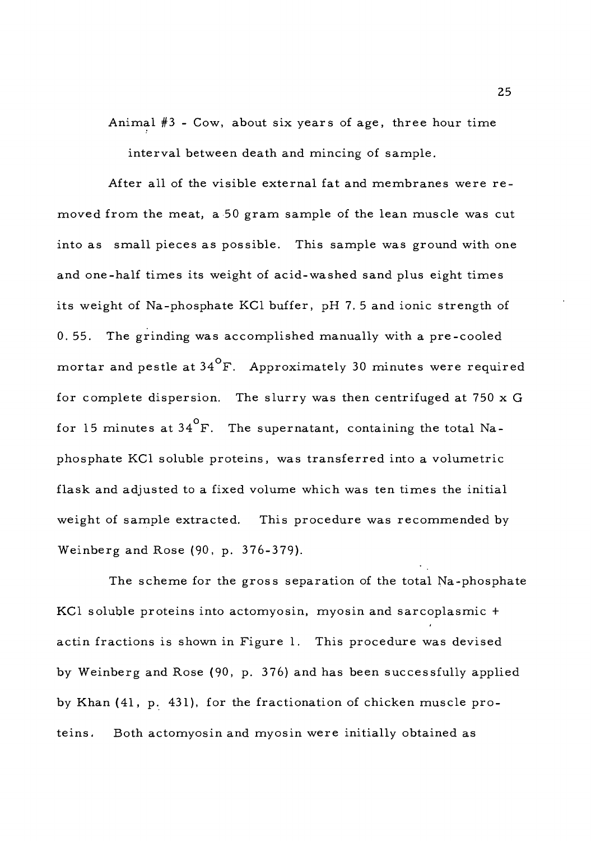Animal #3 - Cow, about six years of age, three hour time interval between death and mincing of sample.

After all of the visible external fat and membranes were removed from the meat, a 50 gram sample of the lean muscle was cut into as small pieces as possible. This sample was ground with one and one-half times its weight of acid-washed sand plus eight times its weight of Na-phosphate KC1 buffer, pH 7. <sup>5</sup> and ionic strength of 0. 55. The grinding was accomplished manually with a pre-cooled mortar and pestle at  $34^{\circ}$ F. Approximately 30 minutes were required for complete dispersion. The slurry was then centrifuged at 750 x <sup>G</sup> for 15 minutes at  $34^\circ$ F. The supernatant, containing the total Naphosphate KC1 soluble proteins, was transferred into a volumetric flask and adjusted to a fixed volume which was ten times the initial weight of sample extracted. This procedure was recommended by Weinberg and Rose (90, p. 376-379).

The scheme for the gross separation of the total Na-phosphate KC1 soluble proteins into actomyosin, myosin and sarcoplasmic <sup>+</sup> actin fractions is shown in Figure 1. This procedure was devised by Weinberg and Rose (90, p. 376) and has been successfully applied by Khan (41, p. 431), for the fractionation of chicken muscle proteins. Both actomyosin and myosin were initially obtained as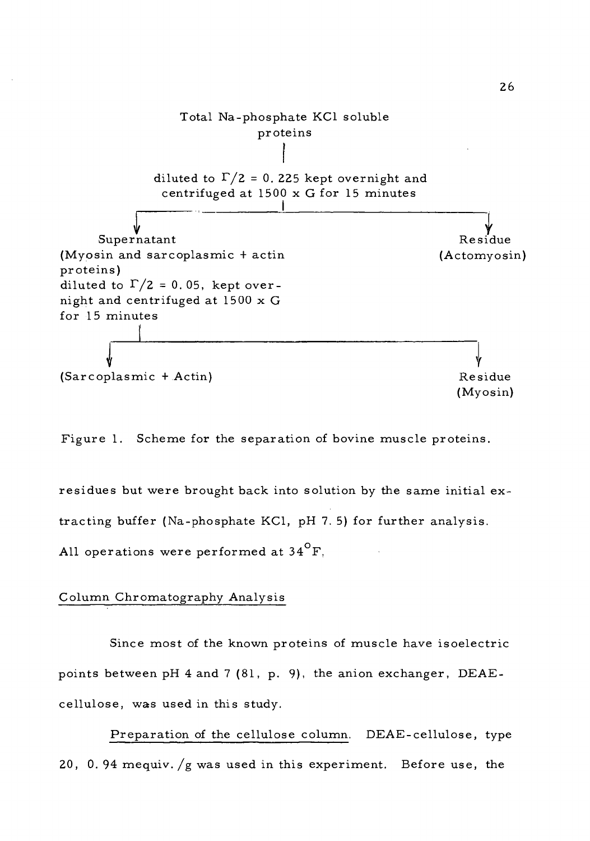

Figure 1. Scheme for the separation of bovine muscle proteins.

residues but were brought back into solution by the same initial extracting buffer (Na-phosphate KC1, pH 7. 5) for further analysis. All operations were performed at  $34^{\circ}$ F,

## Column Chromatography Analysis

Since most of the known proteins of muscle have isoelectric points between pH 4 and <sup>7</sup> (81, p. 9). the anion exchanger, DEAEcellulose, was used in this study.

Preparation of the cellulose column. DEAE-cellulose, type 20, 0. 94 mequiv. /g was used in this experiment. Before use, the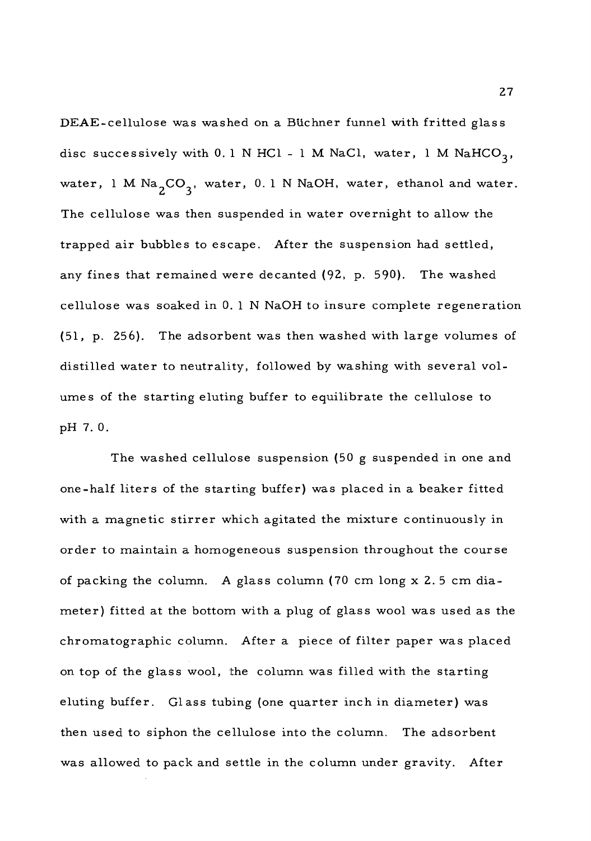DEAE-cellulose was washed on a Blichner funnel with fritted glass disc successively with 0.1 N HC1 - 1 M NaCl, water, 1 M NaHCO<sub>3</sub>, water, 1 M Na<sub>2</sub>CO<sub>3</sub>, water, 0.1 N NaOH, water, ethanol and water. The cellulose was then suspended in water overnight to allow the trapped air bubbles to escape. After the suspension had settled, any fines that remained were decanted (92, p. 590). The washed cellulose was soaked in 0. <sup>1</sup> N NaOH to insure complete regeneration (51, p. 256). The adsorbent was then washed with large volumes of distilled water to neutrality, followed by washing with several volumes of the starting eluting buffer to equilibrate the cellulose to pH 7. 0.

The washed cellulose suspension (50 g suspended in one and one-half liters of the starting buffer) was placed in a beaker fitted with a magnetic stirrer which agitated the mixture continuously in order to maintain a homogeneous suspension throughout the course of packing the column. A glass column (70 cm long x 2. <sup>5</sup> cm diameter) fitted at the bottom with a plug of glass wool was used as the chromatographic column. After a piece of filter paper was placed on top of the glass wool, the column was filled with the starting eluting buffer. Glass tubing (one quarter inch in diameter) was then used to siphon the cellulose into the column. The adsorbent was allowed to pack and settle in the column under gravity. After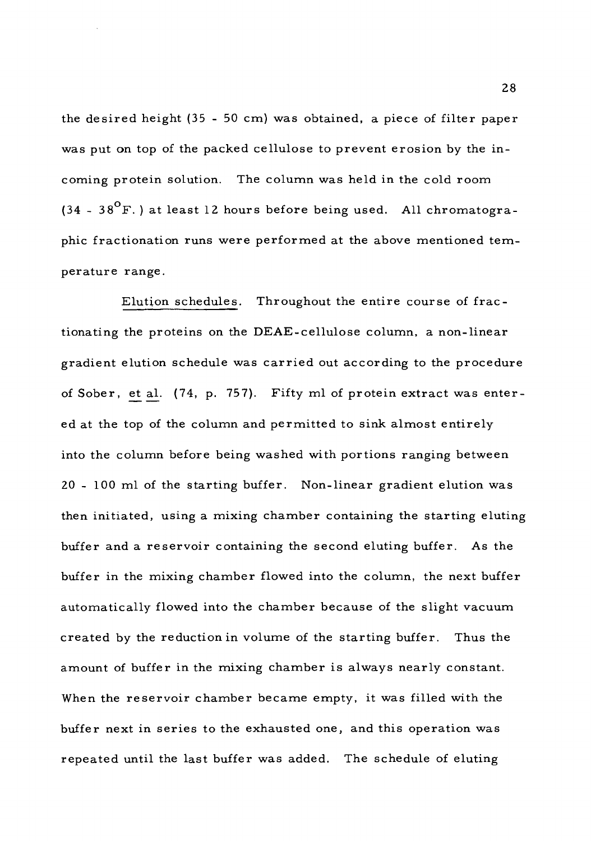the desired height (35 - 50 cm) was obtained, a piece of filter paper was put on top of the packed cellulose to prevent erosion by the incoming protein solution. The column was held in the cold room  $(34 - 38^{\circ}F)$  at least 12 hours before being used. All chromatographic fractionation runs were performed at the above mentioned temperature range.

Elution schedules. Throughout the entire course of fractionating the proteins on the DEAE-cellulose column, a non-linear gradient elution schedule was carried out according to the procedure of Sober, et al. (74, p. 757). Fifty ml of protein extract was entered at the top of the column and permitted to sink almost entirely into the column before being washed with portions ranging between 20 - 100 ml of the starting buffer. Non-linear gradient elution was then initiated, using a mixing chamber containing the starting eluting buffer and a reservoir containing the second eluting buffer. As the buffer in the mixing chamber flowed into the column, the next buffer automatically flowed into the chamber because of the slight vacuum created by the reduction in volume of the starting buffer. Thus the amount of buffer in the mixing chamber is always nearly constant. When the reservoir chamber became empty, it was filled with the buffer next in series to the exhausted one, and this operation was repeated until the last buffer was added. The schedule of eluting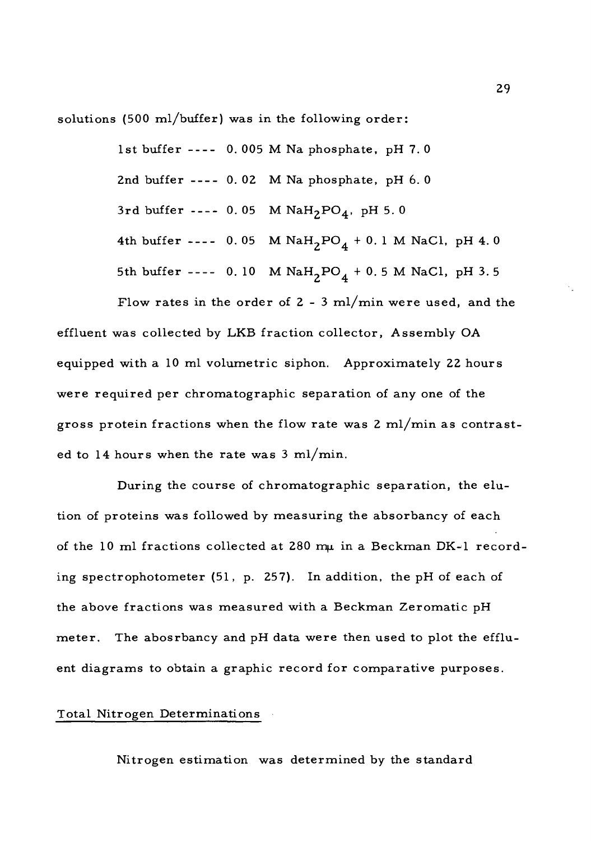solutions (500 ml/buffer) was in the following order:

1st buffer  $---$  0.005 M Na phosphate, pH 7.0 2nd buffer  $--- 0.02$  M Na phosphate, pH  $6.0$ 3rd buffer ---- 0.05 M  $N a H_2PO_4$ , pH 5.0 4th buffer ---- 0.05 M  $\text{NaH}_2\text{PO}_4 + 0.1 \text{M NaCl}$ , pH 4.0 5th buffer ---- 0.10 M  $NAH_2PO_4 + 0.5 M$  NaCl, pH 3.5

Flow rates in the order of  $2 - 3$  ml/min were used, and the effluent was collected by LKB fraction collector, Assembly OA equipped with a 10 ml volumetric siphon. Approximately 22 hours were required per chromatographic separation of any one of the gross protein fractions when the flow rate was <sup>2</sup> ml/min as contrasted to 14 hours when the rate was  $3 \text{ ml/min}$ .

During the course of chromatographic separation, the elution of proteins was followed by measuring the absorbancy of each of the 10 ml fractions collected at 280  $m\mu$  in a Beckman DK-1 recording spectrophotometer  $(51, p. 257)$ . In addition, the pH of each of the above fractions was measured with a Beckman Zeromatic pH meter. The abosrbancy and pH data were then used to plot the effluent diagrams to obtain a graphic record for comparative purposes.

# Total Nitrogen Determinations

Nitrogen estimation was determined by the standard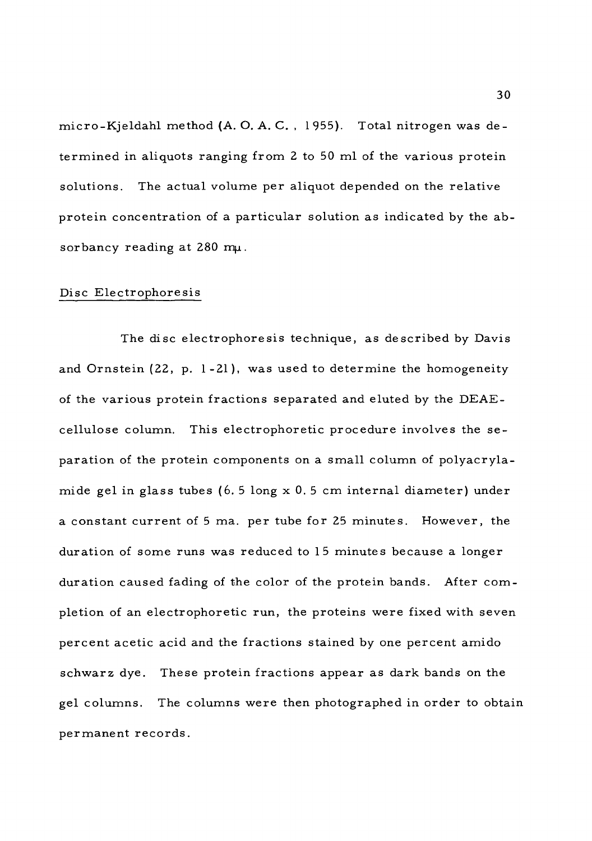micro-Kjeldahl method (A. O. A. C. , 1955). Total nitrogen was determined in aliquots ranging from <sup>2</sup> to 50 ml of the various protein solutions. The actual volume per aliquot depended on the relative protein concentration of a particular solution as indicated by the absorbancy reading at  $280$  mu.

## Disc Electrophoresis

The disc electrophoresis technique, as described by Davis and Ornstein (22, p. 1-21), was used to determine the homogeneity of the various protein fractions separated and eluted by the DEAEcellulose column. This electrophoretic procedure involves the separation of the protein components on a small column of polyacrylamide gel in glass tubes (6. <sup>5</sup> long x 0. <sup>5</sup> cm internal diameter) under a constant current of <sup>5</sup> ma. per tube for 25 minutes. However, the duration of some runs was reduced to 15 minutes because a longer duration caused fading of the color of the protein bands. After completion of an electrophoretic run, the proteins were fixed with seven percent acetic acid and the fractions stained by one percent amido schwarz dye. These protein fractions appear as dark bands on the gel columns. The columns were then photographed in order to obtain permanent records.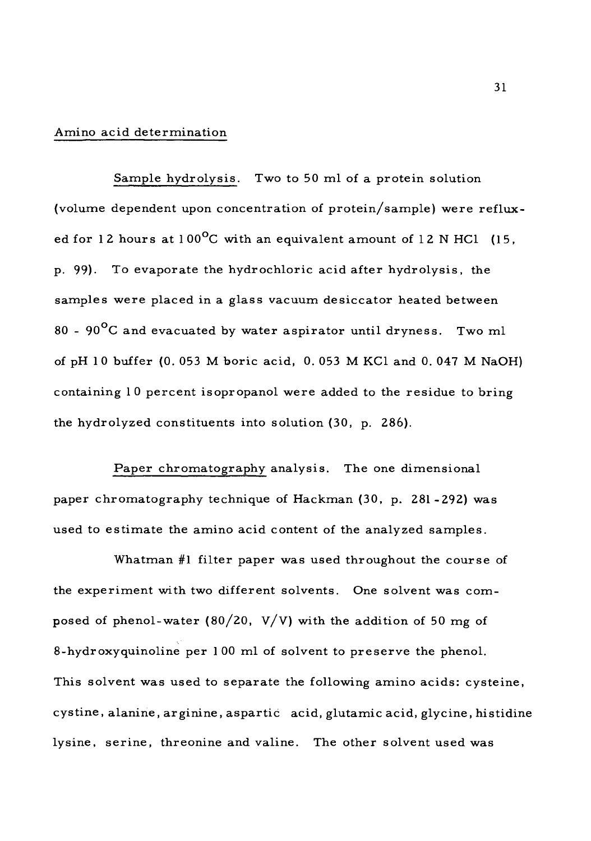## Amino acid determination

Sample hydrolysis. Two to 50 ml of a protein solution (volume dependent upon concentration of protein/sample) were refluxed for 12 hours at 100 $^{\sf o}{\rm C}$  with an equivalent amount of 12 N HCl  $\,$  (15,  $\,$ p. 99). To evaporate the hydrochloric acid after hydrolysis, the samples were placed in a glass vacuum desiccator heated between 80 - 90 $\rm ^{o}C$  and evacuated by water aspirator until dryness. Two ml of pH <sup>1</sup> 0 buffer (0. 053 M boric acid, 0. 053 M KCl and 0. 047 M NaOH) containing 10 percent isopropanol were added to the residue to bring the hydrolyzed constituents into solution (30, p. 286).

Paper chromatography analysis. The one dimensional paper chromatography technique of Hackman (30, p. 281-292) was used to estimate the amino acid content of the analyzed samples.

Whatman #1 filter paper was used throughout the course of the experiment with two different solvents. One solvent was composed of phenol-water (80/20, V/V) with the addition of 50 mg of 8-hydroxyquinoline per 100 ml of solvent to preserve the phenol. This solvent was used to separate the following amino acids: cysteine, cystine, alanine, arginine, aspartic acid, glutamic acid, glycine, histidine lysine, serine, threonine and valine. The other solvent used was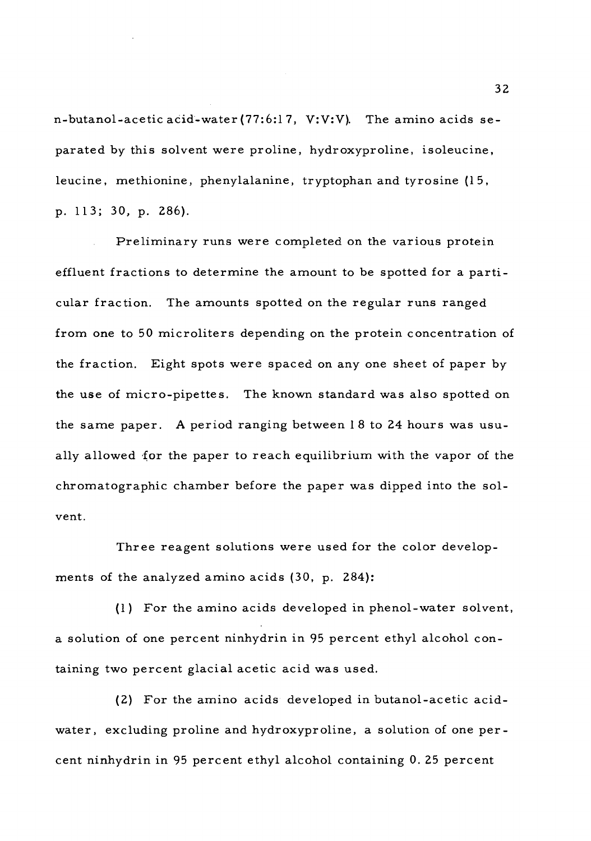n-butanol-acetic acid-water (77:6:1 7, V:V:V). The amino acids separated by this solvent were proline, hydroxyproline, isoleucine, leucine, methionine, phenylalanine, tryptophan and tyrosine (15, p. 113; 30, p. 286).

Preliminary runs were completed on the various protein effluent fractions to determine the amount to be spotted for a particular fraction. The amounts spotted on the regular runs ranged from one to 50 microliters depending on the protein concentration of the fraction. Eight spots were spaced on any one sheet of paper by the use of micro-pipettes. The known standard was also spotted on the same paper. A period ranging between <sup>1</sup> <sup>8</sup> to 24 hours was usually allowed for the paper to reach equilibrium with the vapor of the chromatographic chamber before the paper was dipped into the solvent.

Three reagent solutions were used for the color developments of the analyzed amino acids (30, p. 284):

(1) For the amino acids developed in phenol-water solvent, a solution of one percent ninhydrin in 95 percent ethyl alcohol containing two percent glacial acetic acid was used.

(2) For the amino acids developed in butanol-acetic acidwater, excluding proline and hydroxyproline, a solution of one percent ninhydrin in 95 percent ethyl alcohol containing 0. 25 percent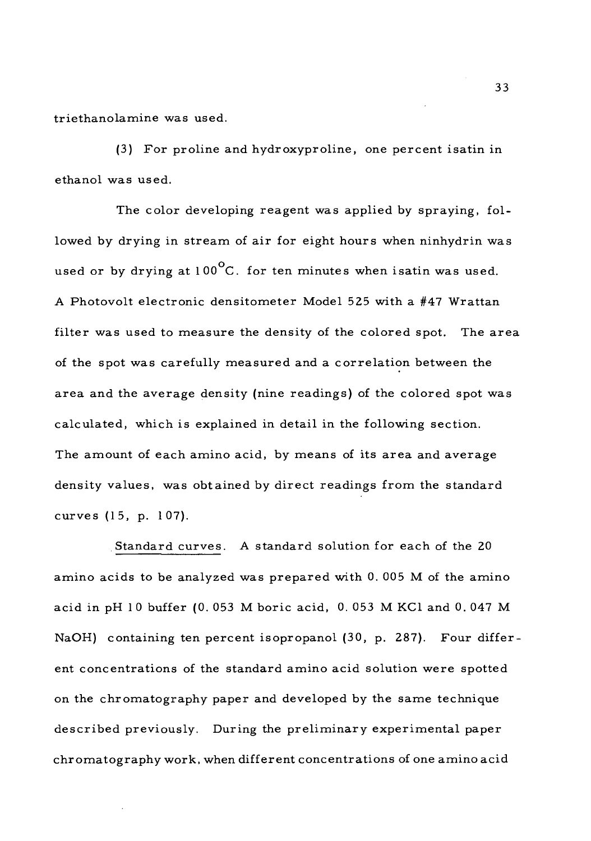triethanolamine was used.

(3) For proline and hydroxyproline, one percent isatin in ethanol was used.

The color developing reagent was applied by spraying, followed by drying in stream of air for eight hours when ninhydrin was used or by drying at  $100^{\circ}$ C. for ten minutes when isatin was used. A Photovolt electronic densitometer Model 525 with a #47 Wrattan filter was used to measure the density of the colored spot. The area of the spot was carefully measured and a correlation between the area and the average density (nine readings) of the colored spot was calculated, which is explained in detail in the following section. The amount of each amino acid, by means of its area and average density values, was obtained by direct readings from the standard curves (15, p. <sup>1</sup> 07).

Standard curves. A standard solution for each of the 20 amino acids to be analyzed was prepared with 0. 005 M of the amino acid in pH 10 buffer (0.053 M boric acid, 0.053 M KCl and 0.047 M NaOH) containing ten percent isopropanol (30, p. 287). Four different concentrations of the standard amino acid solution were spotted on the chromatography paper and developed by the same technique described previously. During the preliminary experimental paper chromatography work, when different concentrations of one amino acid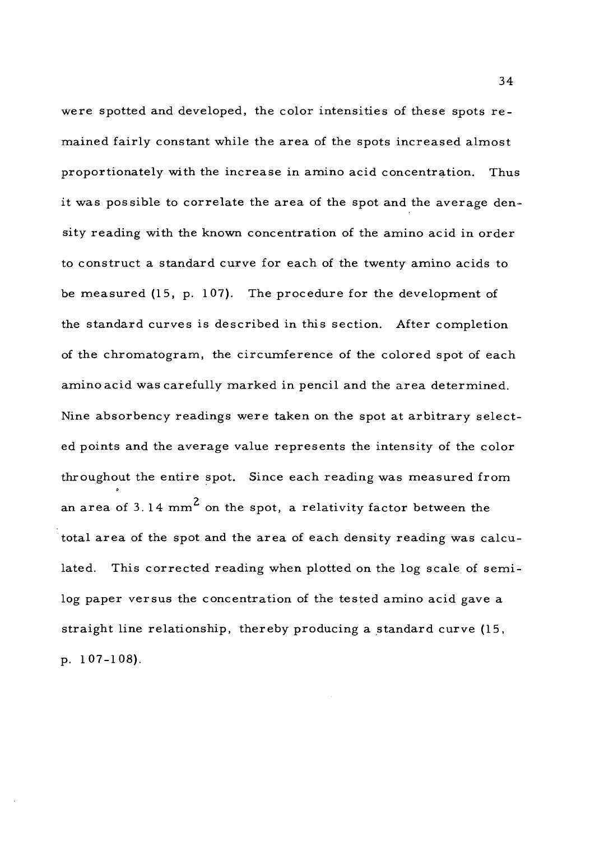were spotted and developed, the color intensities of these spots remained fairly constant while the area of the spots increased almost proportionately with the increase in amino acid concentration. Thus it was possible to correlate the area of the spot and the average density reading with the known concentration of the amino acid in order to construct a standard curve for each of the twenty amino acids to be measured (15, p. 107). The procedure for the development of the standard curves is described in this section. After completion of the chromatogram, the circumference of the colored spot of each amino acid was carefully marked in pencil and the area determined. Nine absorbency readings were taken on the spot at arbitrary selected points and the average value represents the intensity of the color throughout the entire spot. Since each reading was measured from an area of 3.14 mm<sup>2</sup> on the spot, a relativity factor between the total area of the spot and the area of each density reading was calculated. This corrected reading when plotted on the log scale of semilog paper versus the concentration of the tested amino acid gave a straight line relationship, thereby producing a standard curve (15, p. 107-108).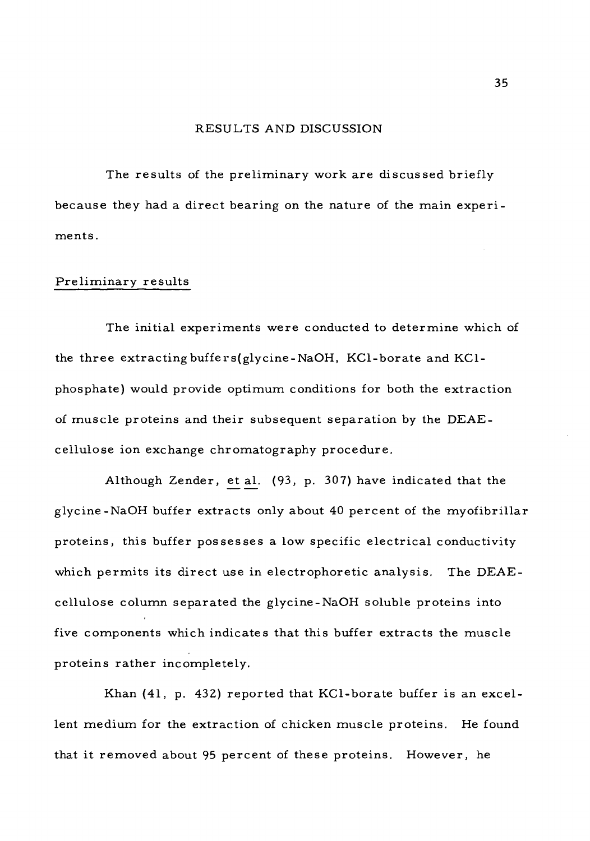## RESULTS AND DISCUSSION

The results of the preliminary work are discussed briefly because they had a direct bearing on the nature of the main experiments.

#### Preliminary results

The initial experiments were conducted to determine which of the three extracting buffers(glycine-NaOH, KCl-borate and KC1 phosphate) would provide optimum conditions for both the extraction of muscle proteins and their subsequent separation by the DEAEcellulose ion exchange chromatography procedure.

Although Zender, et al. (93, p. 307) have indicated that the glycine-NaOH buffer extracts only about 40 percent of the myofibrillar proteins, this buffer possesses a low specific electrical conductivity which permits its direct use in electrophoretic analysis. The DEAEcellulose column separated the glycine-NaOH soluble proteins into five components which indicates that this buffer extracts the muscle proteins rather incompletely.

Khan (41, p. 432) reported that KCl-borate buffer is an excellent medium for the extraction of chicken muscle proteins. He found that it removed about 95 percent of these proteins. However, he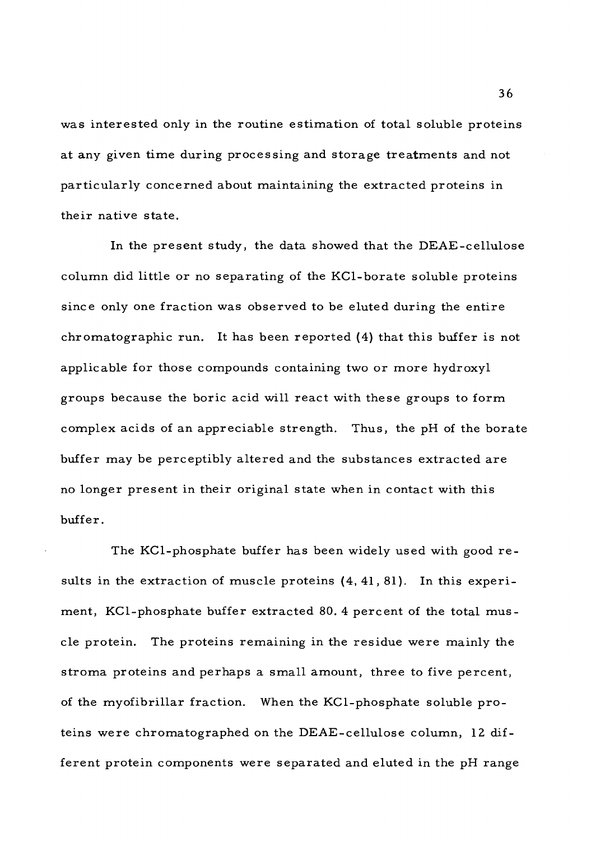was interested only in the routine estimation of total soluble proteins at any given time during processing and storage treatments and not particularly concerned about maintaining the extracted proteins in their native state.

In the present study, the data showed that the DEAE-cellulose column did little or no separating of the KCl-borate soluble proteins since only one fraction was observed to be eluted during the entire chromatographic run. It has been reported (4) that this buffer is not applicable for those compounds containing two or more hydroxyl groups because the boric acid will react with these groups to form complex acids of an appreciable strength. Thus, the pH of the borate buffer may be perceptibly altered and the substances extracted are no longer present in their original state when in contact with this buffer.

The KCl-phosphate buffer has been widely used with good results in the extraction of muscle proteins (4, 41, 81). In this experiment, KCl-phosphate buffer extracted 80. 4 percent of the total muscle protein. The proteins remaining in the residue were mainly the stroma proteins and perhaps a small amount, three to five percent, of the myofibrillar fraction. When the KCl-phosphate soluble proteins were chromatographed on the DEAE-cellulose column, 12 different protein components were separated and eluted in the pH range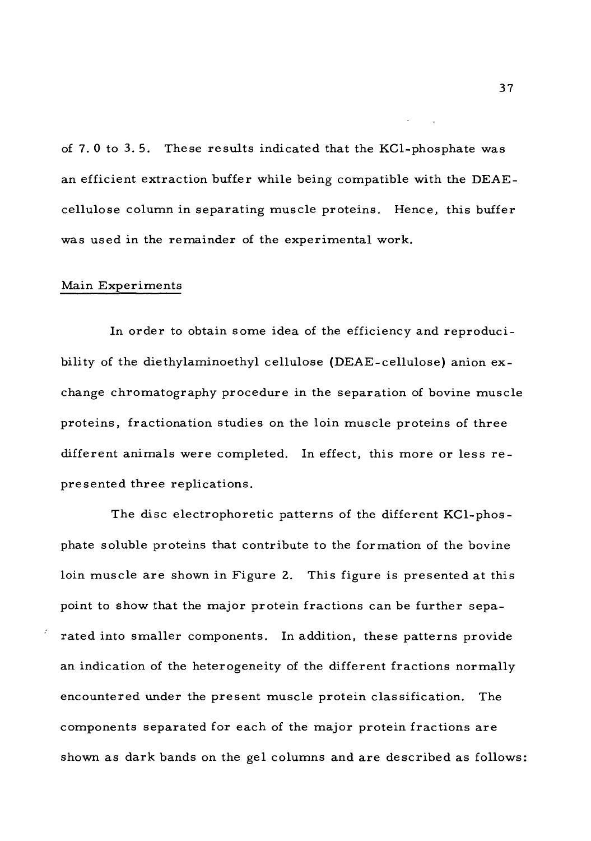of 7. <sup>0</sup> to 3. 5. These results indicated that the KCl-phosphate was an efficient extraction buffer while being compatible with the DEAEcellulose column in separating muscle proteins. Hence, this buffer was used in the remainder of the experimental work.

### Main Experiments

In order to obtain some idea of the efficiency and reproducibility of the diethylaminoethyl cellulose (DEAE-cellulose) anion exchange chromatography procedure in the separation of bovine muscle proteins, fractionation studies on the loin muscle proteins of three different animals were completed. In effect, this more or less represented three replications.

The disc electrophoretic patterns of the different KCl-phosphate soluble proteins that contribute to the formation of the bovine loin muscle are shown in Figure 2. This figure is presented at this point to show that the major protein fractions can be further separated into smaller components. In addition, these patterns provide an indication of the heterogeneity of the different fractions normally encountered under the present muscle protein classification. The components separated for each of the major protein fractions are shown as dark bands on the gel columns and are described as follows: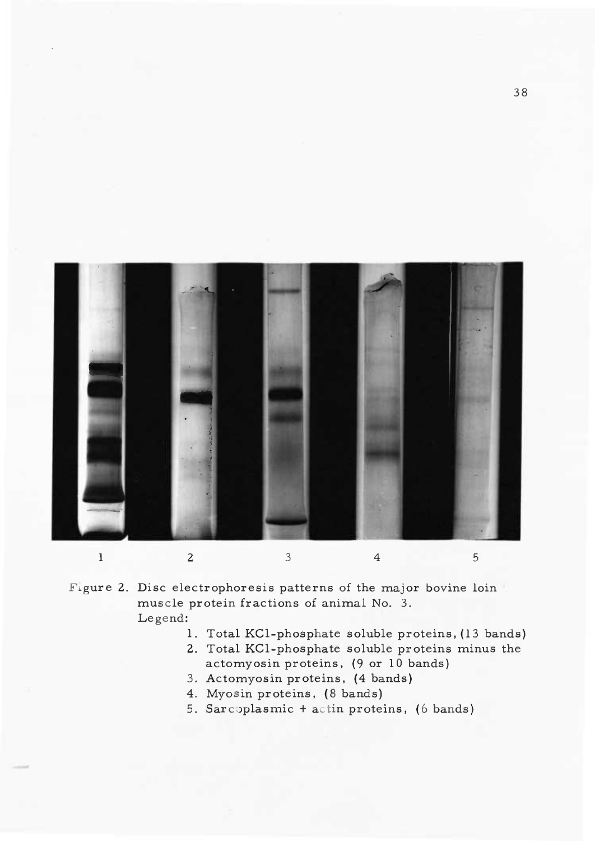

Figure 2. Disc electrophoresis patterns of the major bovine loin muscle protein fractions of animal No. 3. Legend:

- 1. Total KCl-phosphate soluble proteins, (13 bands)
- 2. Total KCl-phosphate soluble proteins minus the actomyosin proteins, (9 or 10 bands)
- 3. Actomyosin proteins, (4 bands)
- 4. Myosin proteins, (8 bands)
- 5. Sarc oplasmic + actin proteins, (6 bands)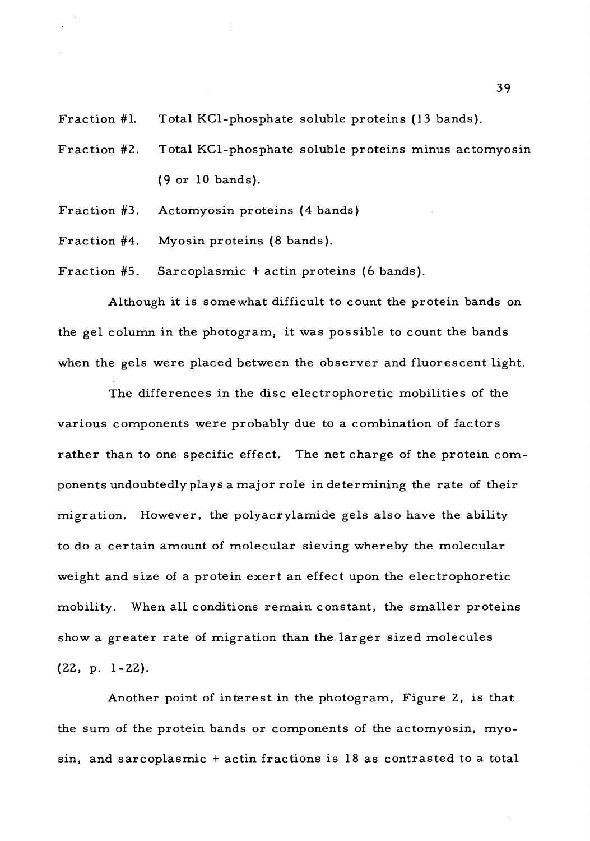Fraction #1. Total KCl-phosphate soluble proteins (13 bands).

- Fraction #2. Total KCl-phosphate soluble proteins minus actomyosin (9 or 10 bands).
- Fraction #3. Actomyosin proteins (4 bands)
- Fraction #4. Myosin proteins (8 bands).

Fraction #5. Sarcoplasmic <sup>+</sup> actin proteins (6 bands).

Although it is somewhat difficult to count the protein bands on the gel column in the photogram, it was possible to count the bands when the gels were placed between the observer and fluorescent light.

The differences in the disc electrophoretic mobilities of the various components were probably due to a combination of factors rather than to one specific effect. The net charge of the protein components undoubtedly plays a major role in determining the rate of their migration. However, the polyacrylamide gels also have the ability to do a certain amount of molecular sieving whereby the molecular weight and size of a protein exert an effect upon the electrophoretic mobility. When all conditions remain constant, the smaller proteins show a greater rate of migration than the larger sized molecules (22, p. 1-22).

Another point of interest in the photogram, Figure 2, is that the sum of the protein bands or components of the actomyosin, myosin, and sarcoplasmic <sup>+</sup> actin fractions is 18 as contrasted to a total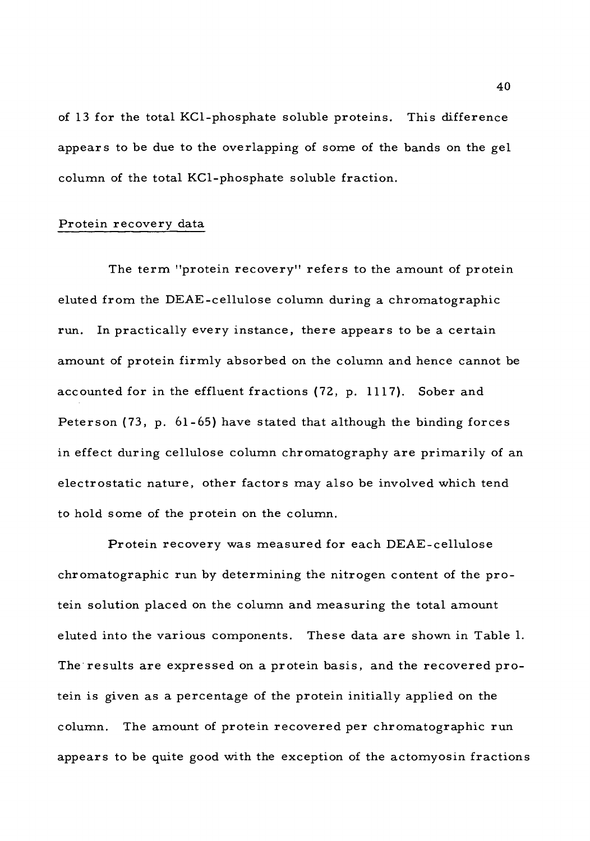of 13 for the total KCl-phosphate soluble proteins. This difference appears to be due to the overlapping of some of the bands on the gel column of the total KCl-phosphate soluble fraction.

# Protein recovery data

The term "protein recovery" refers to the amount of protein eluted from the DEAE-cellulose column during a chromatographic run. In practically every instance, there appears to be a certain amount of protein firmly absorbed on the column and hence cannot be accounted for in the effluent fractions (72, p. 1117). Sober and Peterson (73, p. 61-65) have stated that although the binding forces in effect during cellulose column chromatography are primarily of an electrostatic nature, other factors may also be involved which tend to hold some of the protein on the column.

Protein recovery was measured for each DEAE-cellulose chromatographic run by determining the nitrogen content of the protein solution placed on the column and measuring the total amount eluted into the various components. These data are shown in Table 1. The results are expressed on a protein basis, and the recovered protein is given as a percentage of the protein initially applied on the column. The amount of protein recovered per chromatographic run appears to be quite good with the exception of the actomyosin fractions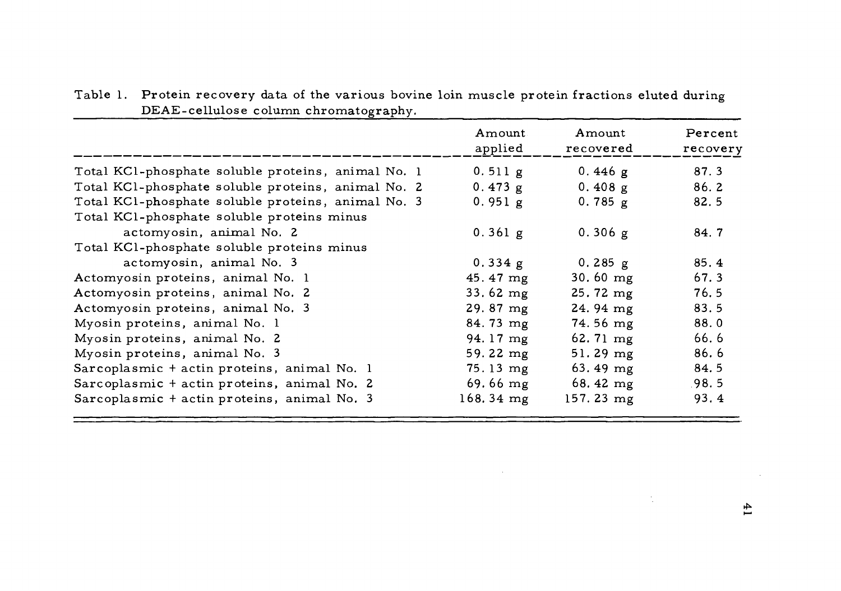|                                                    | Amount<br>applied  | Amount<br>recovered | Percent<br>recovery |
|----------------------------------------------------|--------------------|---------------------|---------------------|
| Total KCl-phosphate soluble proteins, animal No. 1 | 0.511 g            | 0.446 $g$           | 87.3                |
| Total KCl-phosphate soluble proteins, animal No. 2 | 0.473 g            | 0.408 g             | 86.2                |
| Total KCl-phosphate soluble proteins, animal No. 3 | 0.951 g            | 0.785 g             | 82.5                |
| Total KCl-phosphate soluble proteins minus         |                    |                     |                     |
| actomyosin, animal No. 2                           | 0.361 g            | 0.306 g             | 84.7                |
| Total KCl-phosphate soluble proteins minus         |                    |                     |                     |
| actomyosin, animal No. 3                           | 0.334 g            | $0.285$ g           | 85.4                |
| Actomyosin proteins, animal No. 1                  | $45.47 \text{ mg}$ | $30.60$ mg          | 67.3                |
| Actomyosin proteins, animal No. 2                  | $33.62 \text{ mg}$ | $25.72 \text{ mg}$  | 76.5                |
| Actomyosin proteins, animal No. 3                  | $29.87 \text{ mg}$ | $24.94 \text{ mg}$  | 83.5                |
| Myosin proteins, animal No. 1                      | $84.73 \text{ mg}$ | $74.56$ mg          | 88.0                |
| Myosin proteins, animal No. 2                      | 94.17 mg           | $62.71 \text{ mg}$  | 66.6                |
| Myosin proteins, animal No. 3                      | 59.22 mg           | $51.29$ mg          | 86.6                |
| Sarcoplasmic + actin proteins, animal No. 1        | $75.13 \; mg$      | $63.49$ mg          | 84.5                |
| Sarcoplasmic + actin proteins, animal No. 2        | $69.66$ mg         | 68.42 $mg$          | .98.5               |
| Sarcoplasmic + actin proteins, animal No. 3        | $168.34 \; mg$     | 157.23 mg           | 93.4                |

 $\mathcal{A}^{\mathcal{A}}$  and  $\mathcal{A}^{\mathcal{A}}$ 

Table 1. Protein recovery data of the various bovine loin muscle protein fractions eluted during DEAE-cellulose column chromatography.

 $\sim 20$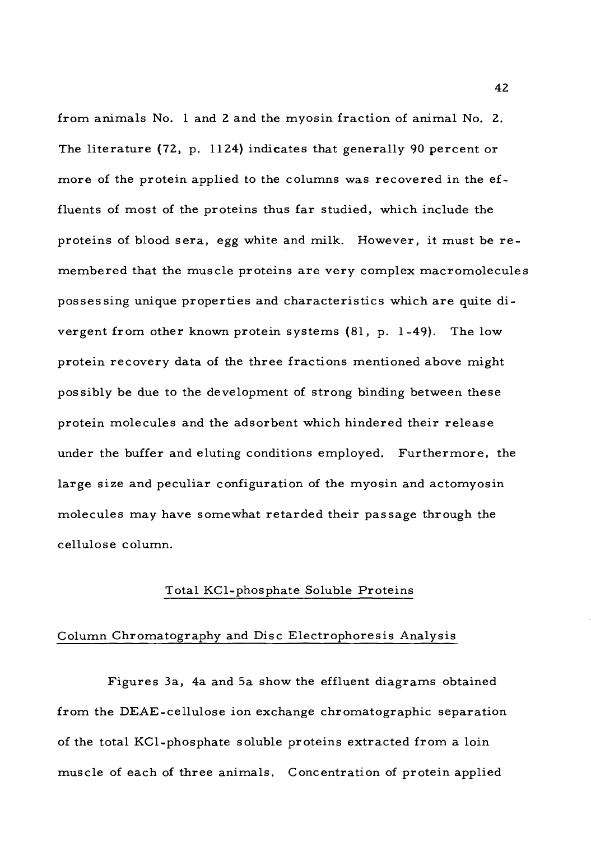from animals No. <sup>1</sup> and 2 and the myosin fraction of animal No. 2. The literature (72, p. 1124) indicates that generally 90 percent or more of the protein applied to the columns was recovered in the effluents of most of the proteins thus far studied, which include the proteins of blood sera, egg white and milk. However, it must be remembered that the muscle proteins are very complex macromolecules possessing unique properties and characteristics which are quite divergent from other known protein systems (81, p. 1-49). The low protein recovery data of the three fractions mentioned above might possibly be due to the development of strong binding between these protein molecules and the adsorbent which hindered their release under the buffer and eluting conditions employed. Furthermore, the large size and peculiar configuration of the myosin and actomyosin molecules may have somewhat retarded their passage through the cellulose column.

## Total KCl-phosphate Soluble Proteins

# Column Ghromatography and Disc Electrophoresis Analysis

Figures 3a, 4a and 5a show the effluent diagrams obtained from the DEAE-cellulose ion exchange chromatographic separation of the total KCl-phosphate soluble proteins extracted from a loin muscle of each of three animals. Concentration of protein applied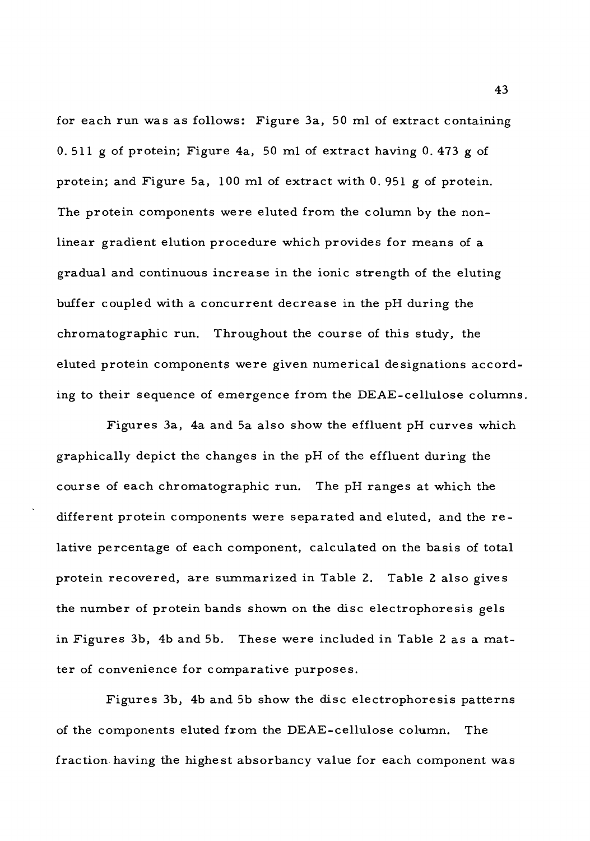for each run was as follows: Figure 3a, 50 ml of extract containing 0. 511 g of protein; Figure 4a, 50 ml of extract having 0. 473 g of protein; and Figure 5a, 100 ml of extract with 0. 951 g of protein. The protein components were eluted from the column by the nonlinear gradient elution procedure which provides for means of a gradual and continuous increase in the ionic strength of the eluting buffer coupled with a concurrent decrease in the pH during the chromatographic run. Throughout the course of this study, the eluted protein components were given numerical designations according to their sequence of emergence from the DEAE-cellulose columns.

Figures 3a, 4a and 5a also show the effluent pH curves which graphically depict the changes in the pH of the effluent during the course of each chromatographic run. The pH ranges at which the different protein components were separated and eluted, and the relative percentage of each component, calculated on the basis of total protein recovered, are summarized in Table 2. Table <sup>2</sup> also gives the number of protein bands shown on the disc electrophoresis gels in Figures 3b, 4b and 5b. These were included in Table <sup>2</sup> as a matter of convenience for comparative purposes.

Figures 3b, 4b and 5b show the disc electrophoresis patterns of the components eluted from the DEAE-cellulose column. The fraction having the highest absorbancy value for each component was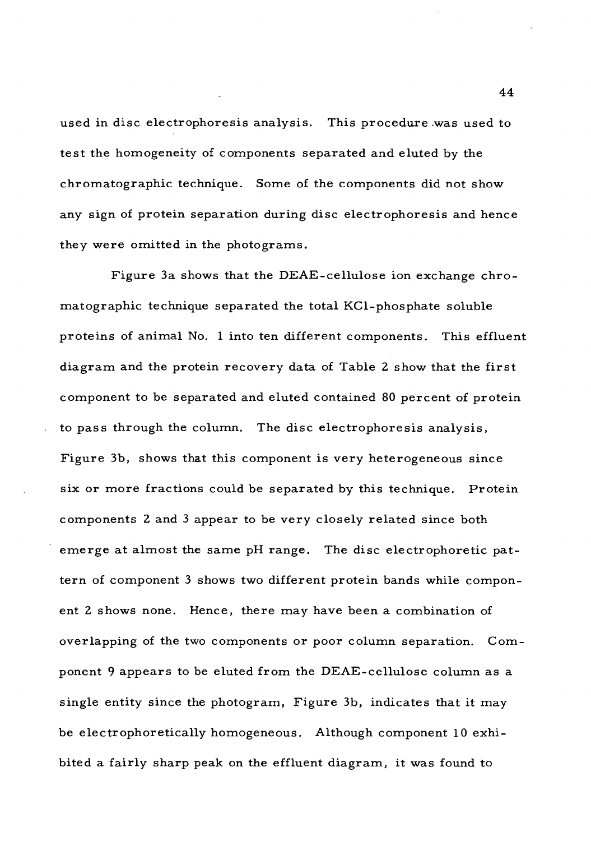used in disc electrophoresis analysis. This procedure was used to test the homogeneity of components separated and eluted by the chromatographic technique. Some of the components did not show any sign of protein separation during disc electrophoresis and hence they were omitted in the photograms.

Figure 3a shows that the DEAE-cellulose ion exchange chromatographic technique separated the total KCl-phosphate soluble proteins of animal No. <sup>1</sup> into ten different components. This effluent diagram and the protein recovery data of Table <sup>2</sup> show that the first component to be separated and eluted contained 80 percent of protein to pass through the column. The disc electrophoresis analysis. Figure 3b, shows that this component is very heterogeneous since six or more fractions could be separated by this technique. Protein components <sup>2</sup> and <sup>3</sup> appear to be very closely related since both emerge at almost the same pH range. The disc electrophoretic pattern of component <sup>3</sup> shows two different protein bands while component 2 shows none. Hence, there may have been a combination of overlapping of the two components or poor column separation. Component <sup>9</sup> appears to be eluted from the DEAE-cellulose column as a single entity since the photogram. Figure 3b, indicates that it may be electrophoretically homogeneous. Although component 10 exhibited a fairly sharp peak on the effluent diagram, it was found to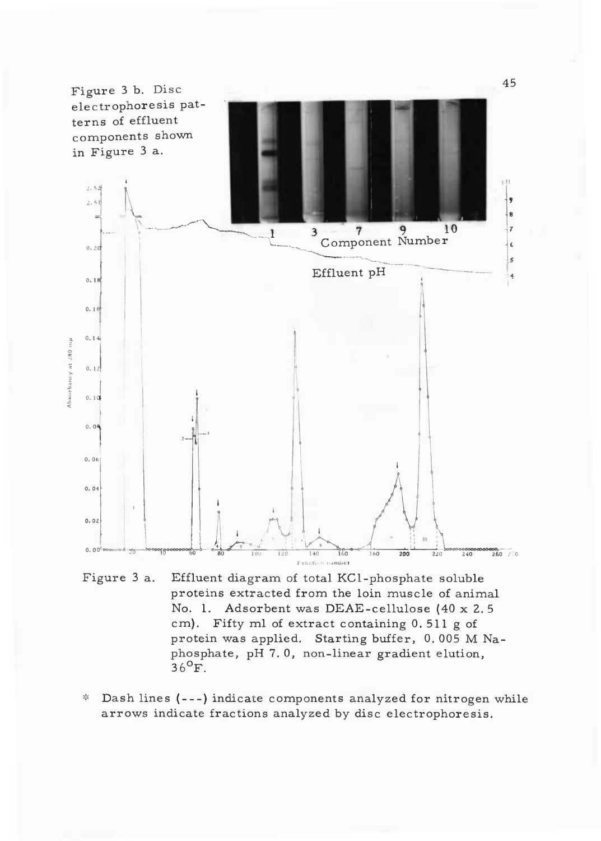

Figure <sup>3</sup> a. Effluent diagram of total KCl-phosphate soluble proteins extracted from the loin muscle of animal No. 1. Adsorbent was DEAE-cellulose (40 x 2. <sup>5</sup> cm). Fifty ml of extract containing 0, 511 g of protein was applied. Starting buffer, 0. 005 M Naphosphate, pH 7. 0, non-linear gradient elution, pnosp<br>36<sup>0</sup>F.

\* Dash lines (---) indicate components analyzed for nitrogen while arrows indicate fractions analyzed by disc electrophoresis.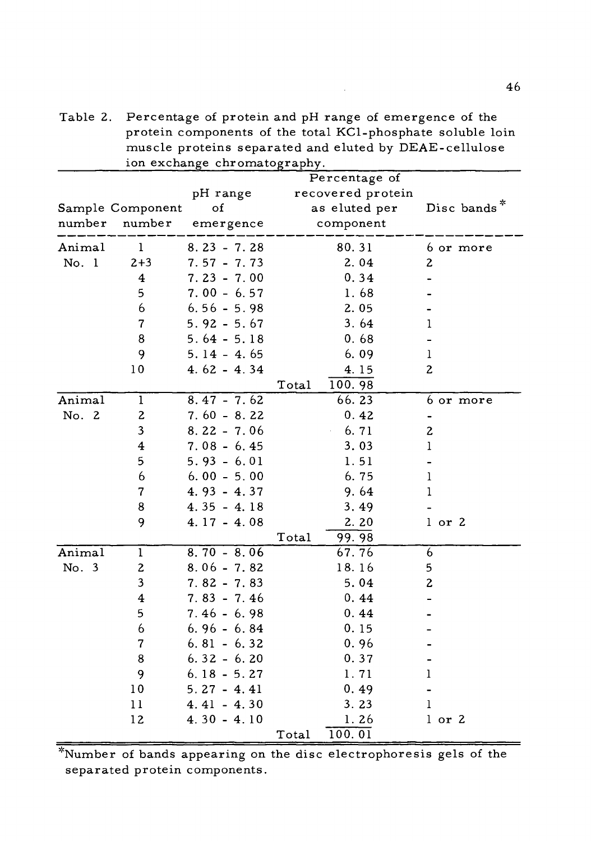|        |                          | ion exchange chromatography. | $m$ and $m$ and $m$ and $m$ and $m$ and $m$ |                |  |  |
|--------|--------------------------|------------------------------|---------------------------------------------|----------------|--|--|
|        |                          | Percentage of                |                                             |                |  |  |
|        | pH range                 |                              | recovered protein                           |                |  |  |
|        | Sample Component         | of                           | as eluted per                               | Disc bands*    |  |  |
| number | number                   | emergence                    | component                                   |                |  |  |
| Animal | 1                        | $8.23 - 7.28$                | 80.31                                       | 6 or more      |  |  |
| No. 1  | $2 + 3$                  | $7.57 - 7.73$                | 2.04                                        | 2              |  |  |
|        | 4                        | $7.23 - 7.00$                | 0.34                                        |                |  |  |
|        | 5                        | $7.00 - 6.57$                | 1.68                                        |                |  |  |
|        | 6                        | $6.56 - 5.98$                | 2.05                                        |                |  |  |
|        | $\overline{\mathcal{L}}$ | $5.92 - 5.67$                | 3.64                                        | 1              |  |  |
|        | 8                        | $5.64 - 5.18$                | 0.68                                        |                |  |  |
|        | 9                        | $5.14 - 4.65$                | 6.09                                        | 1              |  |  |
|        | 10                       | $4.62 - 4.34$                | 4.15                                        | 2              |  |  |
|        |                          |                              | 100.98<br>Total                             |                |  |  |
| Animal | $\mathbf{1}$             | $8.47 - 7.62$                | 66.23                                       | 6 or more      |  |  |
| No. 2  | $\boldsymbol{2}$         | $7.60 - 8.22$                | 0.42                                        |                |  |  |
|        | 3                        | $8.22 - 7.06$                | 6.71                                        | $\overline{c}$ |  |  |
|        | $\overline{\mathbf{4}}$  | $7.08 - 6.45$                | 3.03                                        | l              |  |  |
|        | 5                        | $5.93 - 6.01$                | 1.51                                        |                |  |  |
|        | 6                        | $6.00 - 5.00$                | 6.75                                        | 1              |  |  |
|        | 7                        | $4.93 - 4.37$                | 9.64                                        | 1              |  |  |
|        | 8                        | $4.35 - 4.18$                | 3.49                                        |                |  |  |
|        | 9                        | $4.17 - 4.08$                | 2.20                                        | $1$ or $2$     |  |  |
|        |                          |                              | Total<br>99.98                              |                |  |  |
| Animal | 1                        | $8.70 - 8.06$                | 67.76                                       | 6              |  |  |
| No. 3  | 2                        | $8.06 - 7.82$                | 18.16                                       | 5              |  |  |
|        | 3                        | $7.82 - 7.83$                | 5.04                                        | 2              |  |  |
|        | 4                        | $7.83 - 7.46$                | 0.44                                        |                |  |  |
|        | 5                        | 7.46 - 6.98                  | 0.44                                        |                |  |  |
|        | 6                        | $6.96 - 6.84$                | 0.15                                        |                |  |  |
|        | 7                        | $6.81 - 6.32$                | 0.96                                        |                |  |  |
|        | 8                        | $6.32 - 6.20$                | 0.37                                        |                |  |  |
|        | 9                        | $6.18 - 5.27$                | 1.71                                        | ı              |  |  |
|        | 10                       | $5.27 - 4.41$                | 0.49                                        |                |  |  |
|        | 11                       | $4.41 - 4.30$                | 3.23                                        | $\mathbf{1}$   |  |  |
|        | 12                       | $4.30 - 4.10$                | 1.26                                        | l or 2         |  |  |
|        |                          |                              | 100.01<br>Total                             |                |  |  |

Table 2. Percentage of protein and pH range of emergence of the protein components of the total KCl-phosphate soluble loin muscle proteins separated and eluted by DEAE-cellulose

''Number of bands appearing on the disc electrophoresis gels of the separated protein components.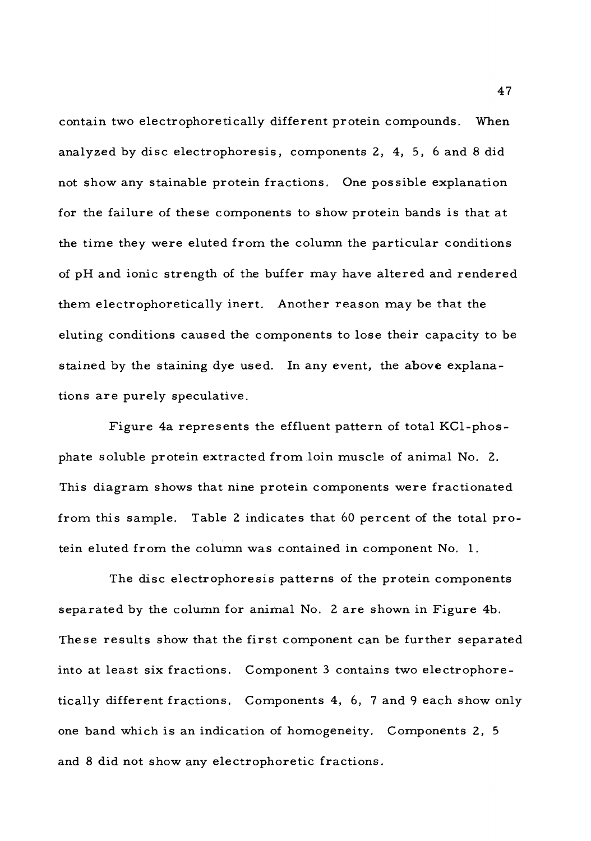contain two electrophoretically different protein compounds. When analyzed by disc electrophoresis, components 2, 4, 5, <sup>6</sup> and <sup>8</sup> did not show any stainable protein fractions. One possible explanation for the failure of these components to show protein bands is that at the time they were eluted from the column the particular conditions of pH and ionic strength of the buffer may have altered and rendered them electrophoretically inert. Another reason may be that the eluting conditions caused the components to lose their capacity to be stained by the staining dye used. In any event, the above explanations are purely speculative.

Figure 4a represents the effluent pattern of total KCl-phosphate soluble protein extracted from loin muscle of animal No. 2. This diagram shows that nine protein components were fractionated from this sample. Table <sup>2</sup> indicates that 60 percent of the total protein eluted from the column was contained in component No. 1.

The disc electrophoresis patterns of the protein components separated by the column for animal No. <sup>2</sup> are shown in Figure 4b. These results show that the first component can be further separated into at least six fractions. Component <sup>3</sup> contains two electrophoretically different fractions. Components 4, 6, <sup>7</sup> and <sup>9</sup> each show only one band which is an indication of homogeneity. Components 2, <sup>5</sup> and <sup>8</sup> did not show any electrophoretic fractions.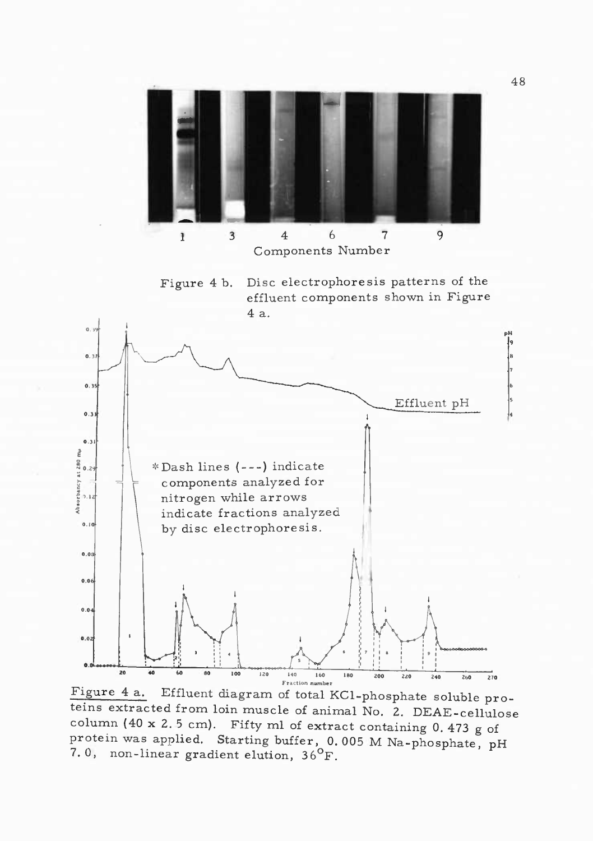

Figure 4 a. Effluent diagram of total KCl-phosphate soluble proteins extracted from loin muscle of animal No. 2. DEAE-cellulose column (40 x 2. <sup>5</sup> cm). Fifty ml of extract containing 0. 473 g of protein was applied. Starting buffer, 0. 005 M Na-phosphate, pH 7.0, non-linear gradient elution,  $36^{\circ}$ F.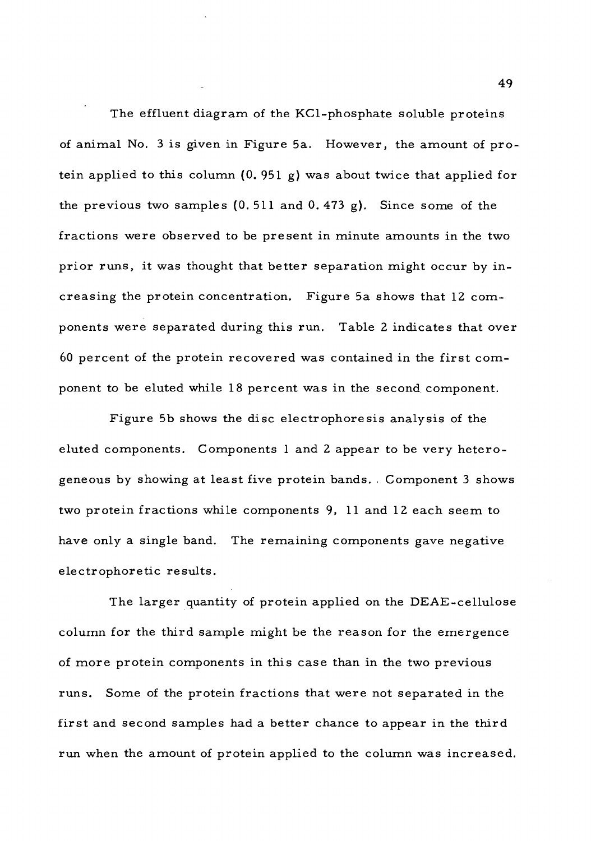The effluent diagram of the KCl-phosphate soluble proteins of animal No. <sup>3</sup> is given in Figure 5a. However, the amount of protein applied to this column  $(0.951 g)$  was about twice that applied for the previous two samples  $(0.511$  and  $0.473$  g). Since some of the fractions were observed to be present in minute amounts in the two prior runs, it was thought that better separation might occur by increasing the protein concentration. Figure 5a shows that 12 components were separated during this run. Table <sup>2</sup> indicates that over <sup>60</sup> percent of the protein recovered was contained in the first component to be eluted while 18 percent was in the second, component.

Figure 5b shows the disc electrophoresis analysis of the eluted components. Components <sup>1</sup> and <sup>2</sup> appear to be very heterogeneous by showing at least five protein bands. . Component <sup>3</sup> shows two protein fractions while components 9, <sup>11</sup> and 12 each seem to have only a single band. The remaining components gave negative electrophoretic results.

The larger quantity of protein applied on the DEAE-cellulose column for the third sample might be the reason for the emergence of more protein components in this case than in the two previous runs. Some of the protein fractions that were not separated in the first and second samples had a better chance to appear in the third run when the amount of protein applied to the column was increased.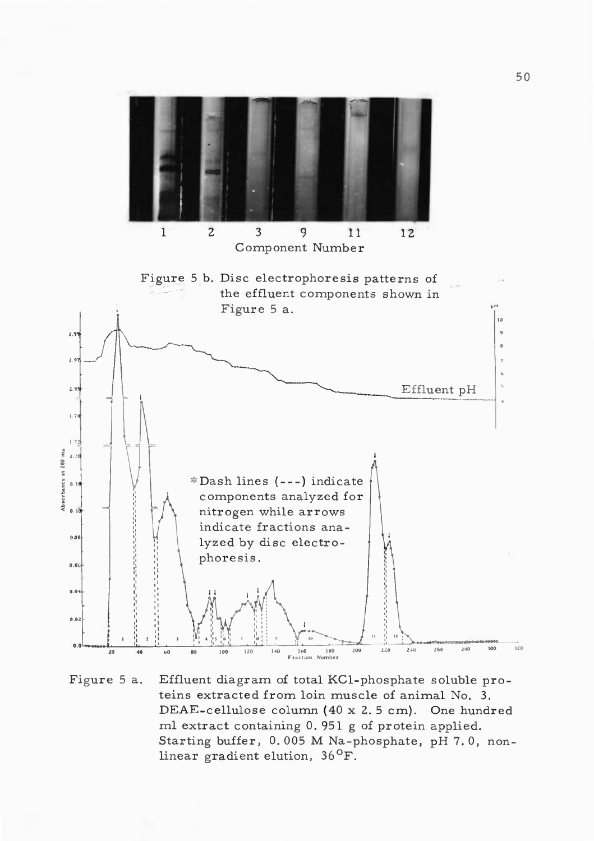

Figure <sup>5</sup> a. Effluent diagram of total KCl-phosphate soluble proteins extracted from loin muscle of animal No, 3. DEAE-cellulose column (40 x 2. <sup>5</sup> cm). One hundred ml extract containing 0. 951 g of protein applied. Starting buffer, 0. 005 M Na-phosphate, pH 7. 0, nonstarting builer, 0.005 M Na-<sub>1</sub><br>linear gradient elution, 36<sup>0</sup>F.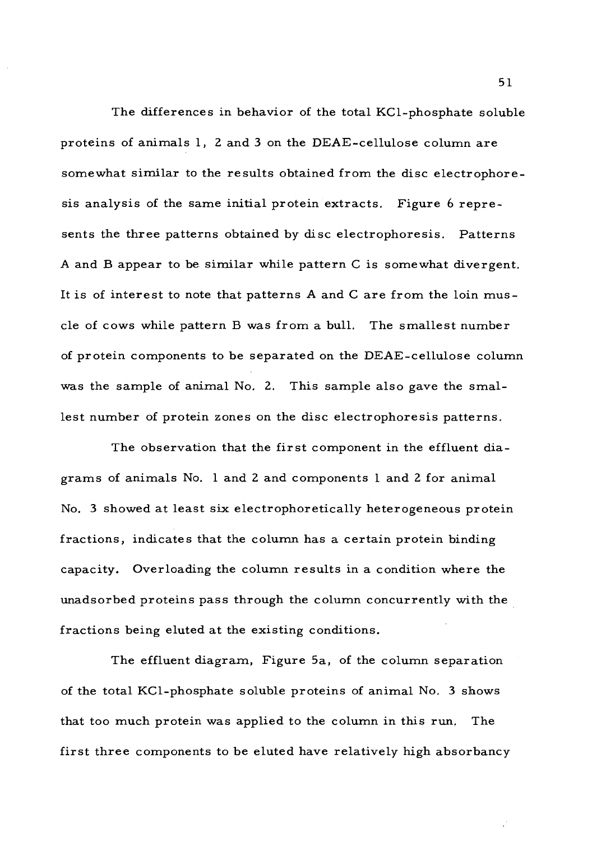The differences in behavior of the total KCl-phosphate soluble proteins of animals 1, <sup>2</sup> and <sup>3</sup> on the DEAE-cellulose column are somewhat similar to the results obtained from the disc electrophoresis analysis of the same initial protein extracts. Figure <sup>6</sup> represents the three patterns obtained by disc electrophoresis. Patterns A and B appear to be similar while pattern C is somewhat divergent. It is of interest to note that patterns A and C are from the loin muscle of cows while pattern B was from a bull. The smallest number of protein components to be separated on the DEAE-cellulose column was the sample of animal No. 2. This sample also gave the smallest number of protein zones on the disc electrophoresis patterns.

The observation that the first component in the effluent diagrams of animals No. <sup>1</sup> and <sup>2</sup> and components <sup>1</sup> and <sup>2</sup> for animal No. <sup>3</sup> showed at least six electrophoretically heterogeneous protein fractions, indicates that the column has a certain protein binding capacity. Overloading the column results in a condition where the unadsorbed proteins pass through the column concurrently with the fractions being eluted at the existing conditions.

The effluent diagram. Figure 5a, of the column separation of the total KCl-phosphate soluble proteins of animal No. <sup>3</sup> shows that too much protein was applied to the column in this run. The first three components to be eluted have relatively high absorbancy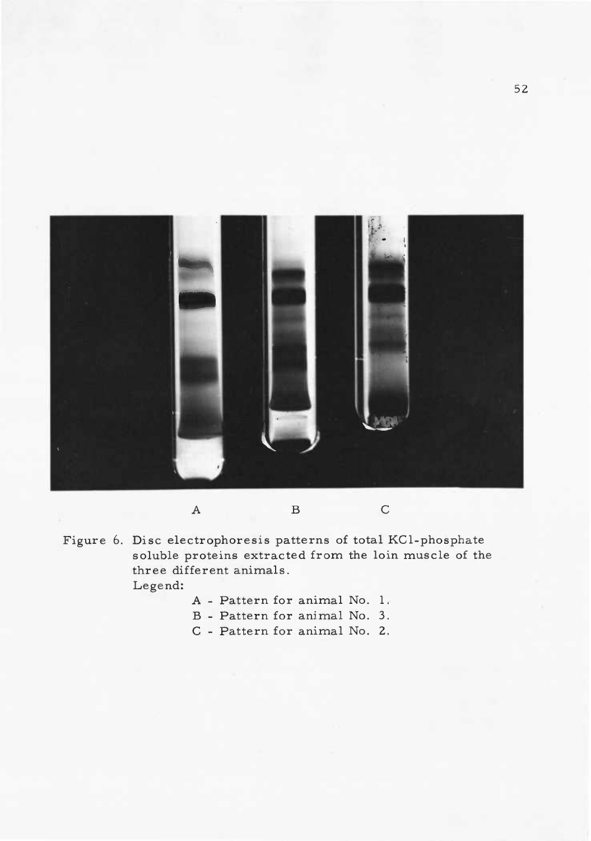

Figure 6. Disc electrophoresis patterns of total KCl-phosphate soluble proteins extracted from the loin muscle of the three different animals. Legend:

- <sup>A</sup> Pattern for animal No. 1.
- <sup>B</sup> Pattern for animal No. 3.
- <sup>C</sup> Pattern for animal No. 2.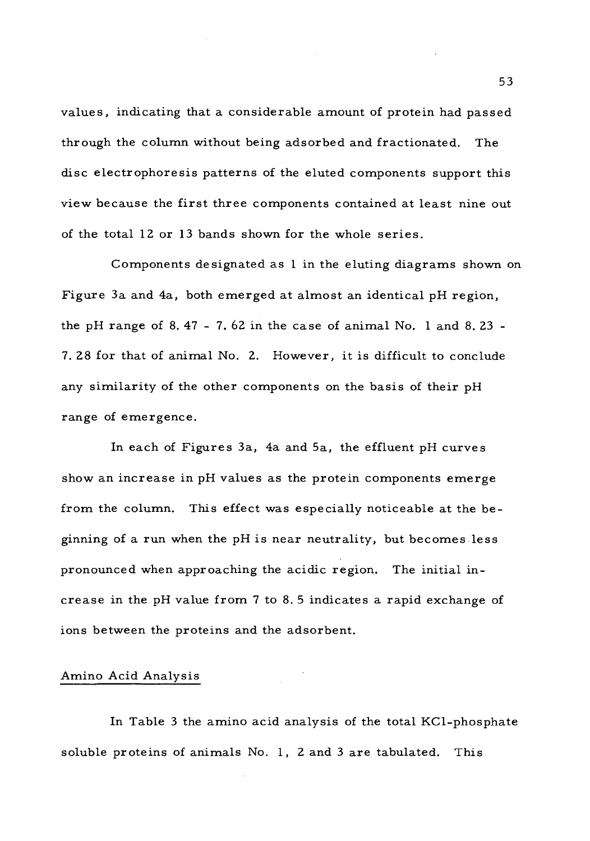values, indicating that a considerable amount of protein had passed through the column without being adsorbed and fractionated. The disc electrophoresis patterns of the eluted components support this view because the first three components contained at least nine out of the total 12 or 13 bands shown for the whole series.

Components designated as <sup>1</sup> in the eluting diagrams shown on Figure 3a and 4a, both emerged at almost an identical pH region, the pH range of 8.47 - 7.62 in the case of animal No. 1 and 8.23 -7. 28 for that of animal No. 2. However, it is difficult to conclude any similarity of the other components on the basis of their pH range of emergence.

In each of Figures 3a, 4a and 5a, the effluent pH curves show an increase in pH values as the protein components emerge from the column. This effect was especially noticeable at the beginning of a run when the pH is near neutrality, but becomes less pronounced when approaching the acidic region. The initial increase in the pH value from <sup>7</sup> to 8. <sup>5</sup> indicates a rapid exchange of ions between the proteins and the adsorbent.

# Amino Acid Analysis

In Table <sup>3</sup> the amino acid analysis of the total KCl-phosphate soluble proteins of animals No. 1, <sup>2</sup> and <sup>3</sup> are tabulated. This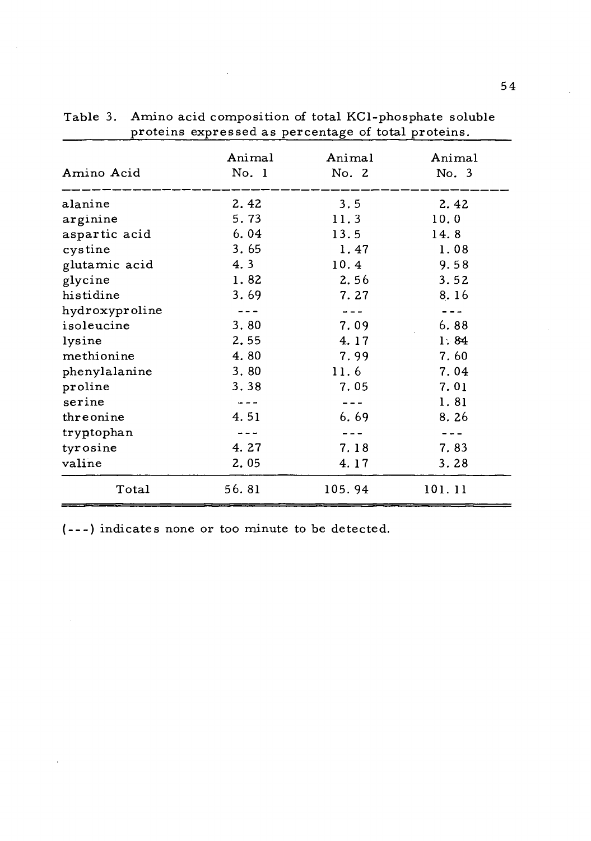| Amino Acid     | Animal<br>No. 1                                                                                                                                                                                                                                                                                                                                                                              | Animal<br>No. 2 | Animal<br>No. 3 |
|----------------|----------------------------------------------------------------------------------------------------------------------------------------------------------------------------------------------------------------------------------------------------------------------------------------------------------------------------------------------------------------------------------------------|-----------------|-----------------|
| alanine        | 2.42                                                                                                                                                                                                                                                                                                                                                                                         | 3.5             | 2.42            |
| arginine       | 5.73                                                                                                                                                                                                                                                                                                                                                                                         | 11.3            | 10.0            |
| aspartic acid  | 6.04                                                                                                                                                                                                                                                                                                                                                                                         | 13.5            | 14.8            |
| cystine        | 3.65                                                                                                                                                                                                                                                                                                                                                                                         | 1.47            | 1.08            |
| glutamic acid  | 4.3                                                                                                                                                                                                                                                                                                                                                                                          | 10.4            | 9.58            |
| glycine        | 1.82                                                                                                                                                                                                                                                                                                                                                                                         | 2.56            | 3.52            |
| histidine      | 3.69                                                                                                                                                                                                                                                                                                                                                                                         | 7.27            | 8.16            |
| hydroxyproline |                                                                                                                                                                                                                                                                                                                                                                                              |                 |                 |
| isoleucine     | 3.80                                                                                                                                                                                                                                                                                                                                                                                         | 7.09            | 6.88            |
| lysine         | 2.55                                                                                                                                                                                                                                                                                                                                                                                         | 4.17            | 1:84            |
| methionine     | 4.80                                                                                                                                                                                                                                                                                                                                                                                         | 7.99            | 7.60            |
| phenylalanine  | 3.80                                                                                                                                                                                                                                                                                                                                                                                         | 11.6            | 7.04            |
| proline        | 3.38                                                                                                                                                                                                                                                                                                                                                                                         | 7.05            | 7.01            |
| serine         | $\sim -1$                                                                                                                                                                                                                                                                                                                                                                                    | $- - -$         | 1.81            |
| threonine      | 4.51                                                                                                                                                                                                                                                                                                                                                                                         | 6.69            | 8.26            |
| tryptophan     | $\frac{1}{2} \frac{1}{2} \frac{1}{2} \frac{1}{2} \frac{1}{2} \frac{1}{2} \frac{1}{2} \frac{1}{2} \frac{1}{2} \frac{1}{2} \frac{1}{2} \frac{1}{2} \frac{1}{2} \frac{1}{2} \frac{1}{2} \frac{1}{2} \frac{1}{2} \frac{1}{2} \frac{1}{2} \frac{1}{2} \frac{1}{2} \frac{1}{2} \frac{1}{2} \frac{1}{2} \frac{1}{2} \frac{1}{2} \frac{1}{2} \frac{1}{2} \frac{1}{2} \frac{1}{2} \frac{1}{2} \frac{$ |                 |                 |
| tyrosine       | 4.27                                                                                                                                                                                                                                                                                                                                                                                         | 7.18            | 7.83            |
| valine         | 2.05                                                                                                                                                                                                                                                                                                                                                                                         | 4.17            | 3.28            |
| Total          | 56.81                                                                                                                                                                                                                                                                                                                                                                                        | 105.94          | 101.11          |

Table 3. Amino acid composition of total KCl-phosphate soluble proteins expressed as percentage of total proteins,

J.

( --- ) indicates none or too minute to be detected.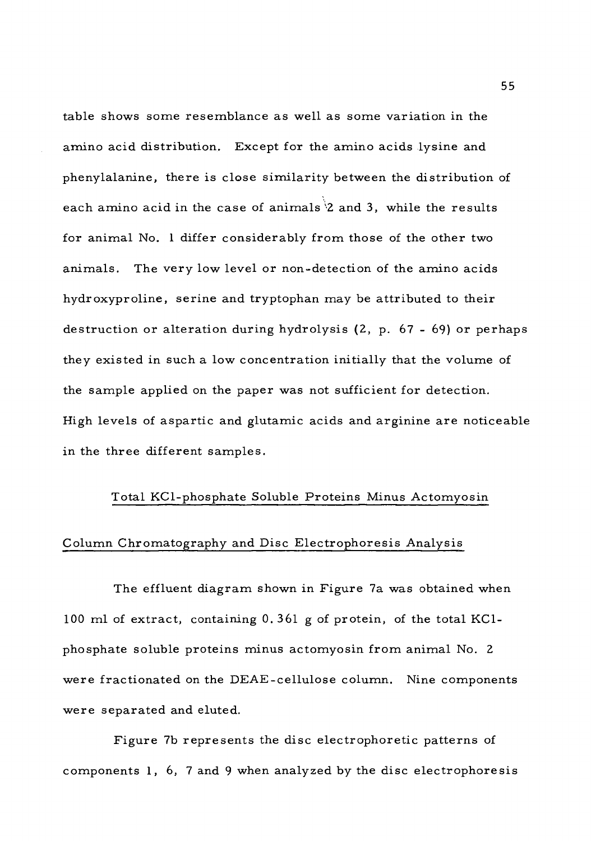table shows some resemblance as well as some variation in the amino acid distribution. Except for the amino acids lysine and phenylalanine, there is close similarity between the distribution of each amino acid in the case of animals  $2$  and 3, while the results for animal No. <sup>1</sup> differ considerably from those of the other two animals. The very low level or non-detection of the amino acids hydroxyproline, serine and tryptophan may be attributed to their destruction or alteration during hydrolysis (2, p. 67 - 69) or perhaps they existed in such a low concentration initially that the volume of the sample applied on the paper was not sufficient for detection. High levels of aspartic and glutamic acids and arginine are noticeable in the three different samples.

# Total KCl-phosphate Soluble Proteins Minus Actomyosin

# Column Chromatography and Disc Electrophoresis Analysis

The effluent diagram shown in Figure 7a was obtained when 100 ml of extract, containing 0. <sup>3</sup> <sup>61</sup> g of protein, of the total KClphosphate soluble proteins minus actomyosin from animal No. <sup>2</sup> were fractionated on the DEAE-cellulose column. Nine components were separated and eluted.

Figure 7b represents the disc electrophoretic patterns of components 1, 6, <sup>7</sup> and <sup>9</sup> when analyzed by the disc electrophoresis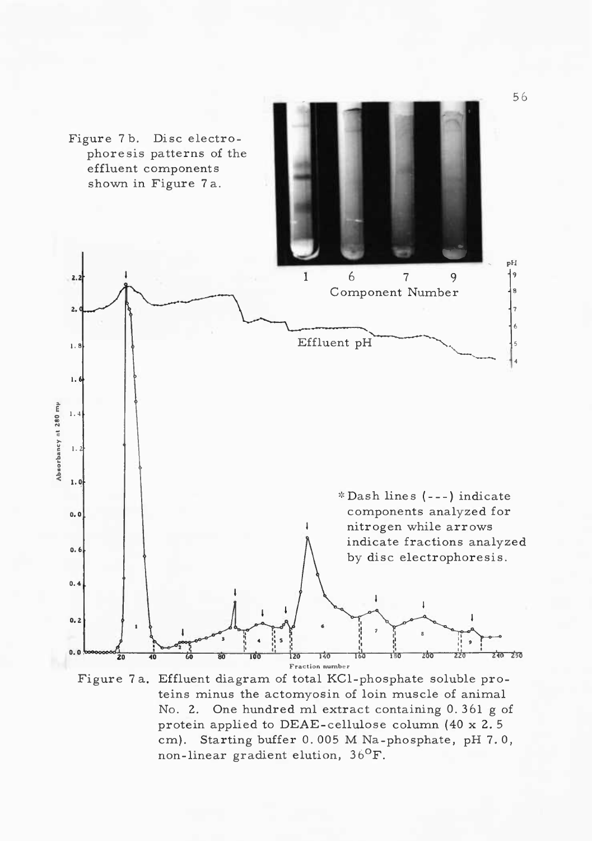

Figure <sup>7</sup> a. Effluent diagram of total KCl-phosphate soluble proteins minus the actomyosin of loin muscle of animal No. 2. One hundred ml extract containing 0. 361 g of protein applied to DEAE-cellulose column (40 x 2. <sup>5</sup> cm). Starting buffer 0. 005 M Na-phosphate, pH 7. 0,  $\frac{1}{100}$ . Olaiting banch 0.000 M Na-<br>non-linear gradient elution, 36<sup>0</sup>F.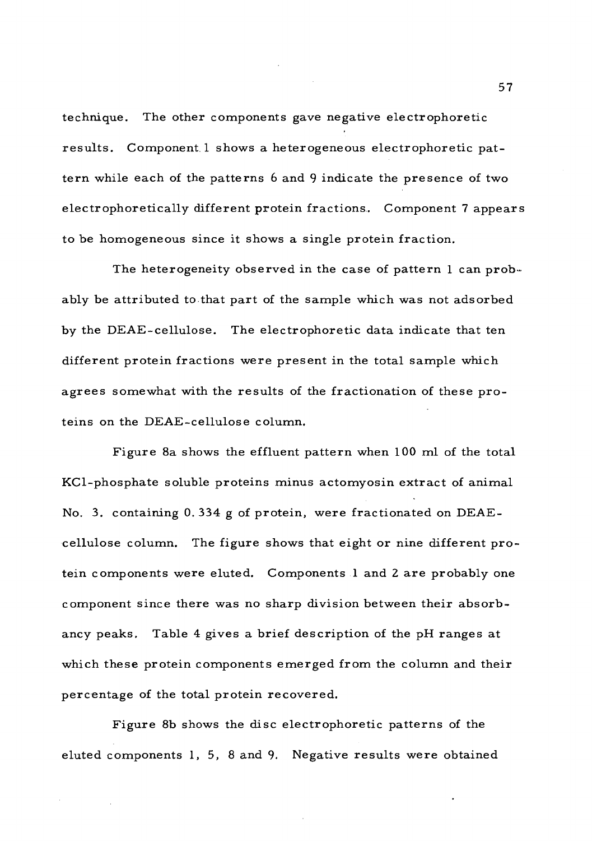technique. The other components gave negative electrophoretic results. Component 1 shows a heterogeneous electrophoretic pattern while each of the patterns <sup>6</sup> and <sup>9</sup> indicate the presence of two electrophoretically different protein fractions. Component <sup>7</sup> appears to be homogeneous since it shows a single protein fraction.

The heterogeneity observed in the case of pattern  $l$  can probably be attributed to that part of the sample which was not adsorbed by the DEAE-cellulose. The electrophoretic data indicate that ten different protein fractions were present in the total sample which agrees somewhat with the results of the fractionation of these proteins on the DEAE-cellulose column.

Figure 8a shows the effluent pattern when 100 ml of the total KCl-phosphate soluble proteins minus actomyosin extract of animal No. 3. containing 0.334 g of protein, were fractionated on  $DEAE$ cellulose column. The figure shows that eight or nine different protein components were eluted. Components <sup>1</sup> and <sup>2</sup> are probably one component since there was no sharp division between their absorbancy peaks. Table 4 gives a brief description of the pH ranges at which these protein components emerged from the column and their percentage of the total protein recovered.

Figure 8b shows the disc electrophoretic patterns of the eluted components 1, 5, <sup>8</sup> and 9. Negative results were obtained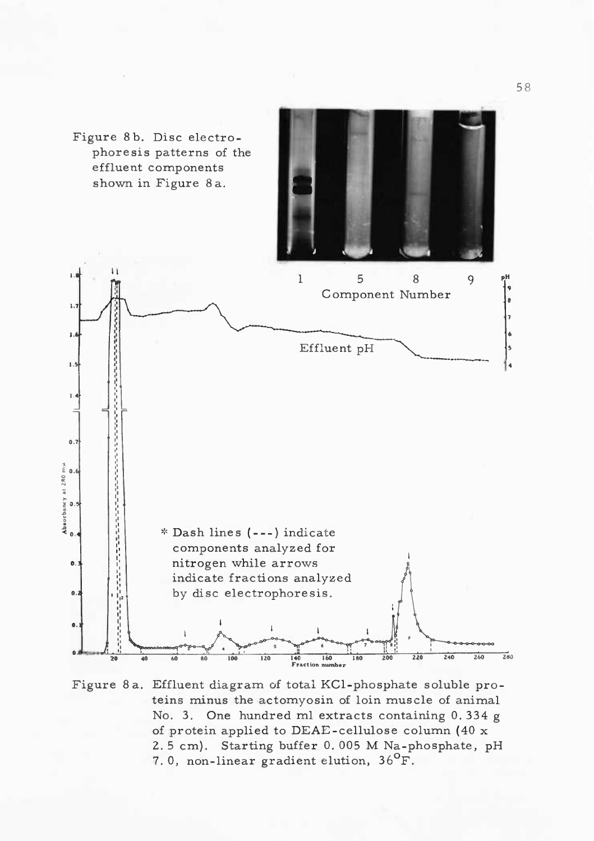

Figure 8a. Effluent diagram of total KCl-phosphate soluble proteins minus the actomyosin of loin muscle of animal No. 3. One hundred ml extracts containing 0. 334 g of protein applied to DEAE-cellulose column (40 x 2. <sup>5</sup> cm). Starting buffer 0. 005 M Na-phosphate, pH 7.0, non-linear gradient elution,  $36^{\circ}$ F.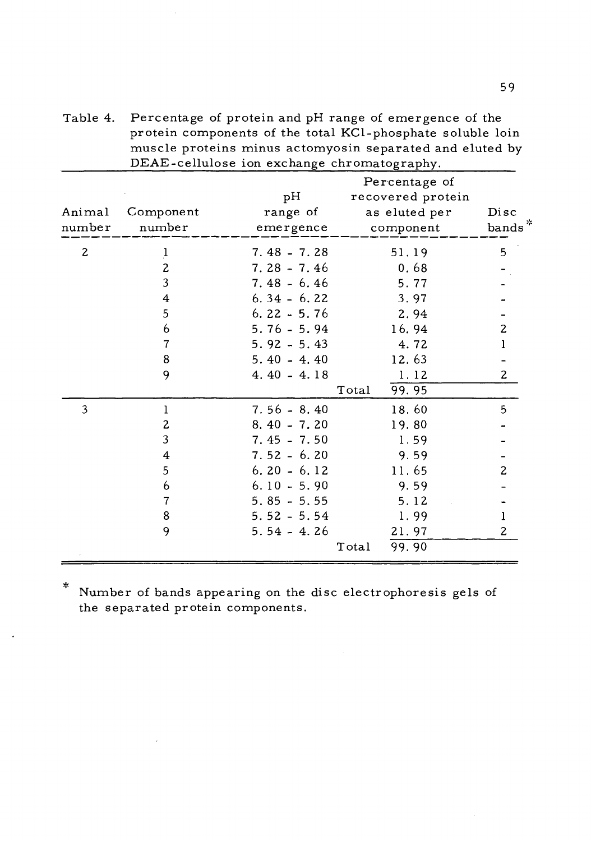| DEAE-cellulose ion exchange chromatography. |                         |                             |                                                                  |                            |  |
|---------------------------------------------|-------------------------|-----------------------------|------------------------------------------------------------------|----------------------------|--|
| Animal<br>number                            | Component<br>number     | pН<br>range of<br>emergence | Percentage of<br>recovered protein<br>as eluted per<br>component | Disc<br>bands <sup>*</sup> |  |
| $\mathbf{2}$                                | $\frac{1}{2}$           | $7.48 - 7.28$               | 51.19                                                            | 5                          |  |
|                                             | $\overline{\mathbf{c}}$ | $7.28 - 7.46$               | 0.68                                                             |                            |  |
|                                             | $\overline{\mathbf{3}}$ | $7.48 - 6.46$               | 5.77                                                             |                            |  |
|                                             | $\overline{\mathbf{4}}$ | $6.34 - 6.22$               | 3.97                                                             |                            |  |
|                                             | 5                       | $6.22 - 5.76$               | 2.94                                                             |                            |  |
|                                             | 6                       | $5.76 - 5.94$               | 16.94                                                            | $\mathbf{z}$               |  |
|                                             | 7                       | $5.92 - 5.43$               | 4.72                                                             | ı                          |  |
|                                             | 8                       | $5.40 - 4.40$               | 12.63                                                            |                            |  |
|                                             | 9                       | $4.40 - 4.18$               | 1.12                                                             | $\mathbf{2}$               |  |
|                                             |                         |                             | 99.95<br>Total                                                   |                            |  |
| 3                                           | 1                       | $7.56 - 8.40$               | 18.60                                                            | 5                          |  |
|                                             | $\mathbf{z}$            | $8.40 - 7.20$               | 19.80                                                            |                            |  |
|                                             | 3                       | $7.45 - 7.50$               | 1.59                                                             |                            |  |
|                                             | $\overline{4}$          | $7.52 - 6.20$               | 9.59                                                             |                            |  |
|                                             | 5                       | $6.20 - 6.12$               | 11.65                                                            | $\overline{c}$             |  |
|                                             | 6                       | $6.10 - 5.90$               | 9.59                                                             |                            |  |
|                                             | 7                       | $5.85 - 5.55$               | 5.12                                                             |                            |  |
|                                             | 8                       | $5.52 - 5.54$               | 1.99                                                             | ı                          |  |
|                                             | 9                       | $5.54 - 4.26$               | 21.97                                                            | $\mathbf{2}$               |  |
|                                             |                         |                             | 99.90<br>Total                                                   |                            |  |

Table 4. Percentage of protein and pH range of emergence of the protein components of the total KCl-phosphate soluble loin muscle proteins minus actomyosin separated and eluted by  $\overline{DRAF}$  callulose ion

 $\ast$ Number of bands appearing on the disc electrophoresis gels of the separated protein components.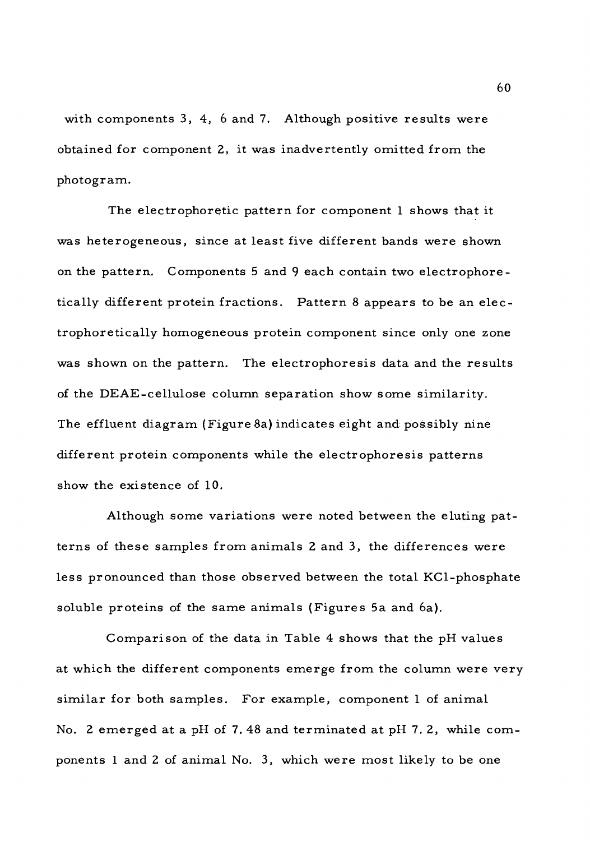with components 3, 4, 6 and 7. Although positive results were obtained for component 2, it was inadvertently omitted from the photogram.

The electrophoretic pattern for component <sup>1</sup> shows that it was heterogeneous, since at least five different bands were shown on the pattern. Components <sup>5</sup> and <sup>9</sup> each contain two electrophoretically different protein fractions. Pattern <sup>8</sup> appears to be an electrophoretically homogeneous protein component since only one zone was shown on the pattern. The electrophoresis data and the results of the DEAE-cellulose column separation show some similarity. The effluent diagram (Figure 8a) indicates eight and possibly nine different protein components while the electrophoresis patterns show the existence of 10.

Although some variations were noted between the eluting patterns of these samples from animals <sup>2</sup> and 3, the differences were less pronounced than those observed between the total KCl-phosphate soluble proteins of the same animals (Figures 5a and 6a).

Comparison of the data in Table 4 shows that the pH values at which the different components emerge from the column were very similar for both samples. For example, component <sup>1</sup> of animal No. <sup>2</sup> emerged at a pH of 7. 48 and terminated at pH 7. 2, while components <sup>1</sup> and <sup>2</sup> of animal No. 3, which were most likely to be one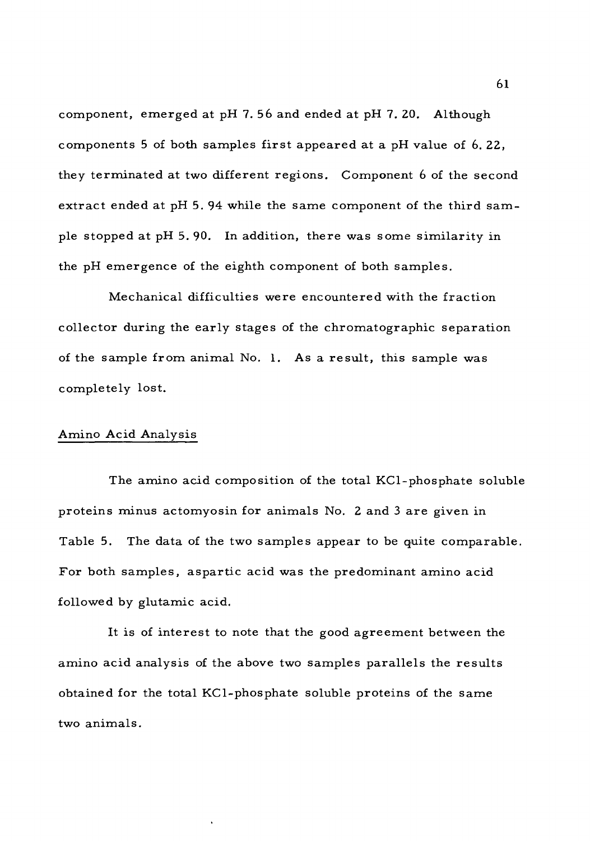component, emerged at pH 7.56 and ended at pH 7.20. Although components <sup>5</sup> of both samples first appeared at a pH value of 6. 22, they terminated at two different regions. Component <sup>6</sup> of the second extract ended at pH 5. 94 while the same component of the third sample stopped at pH 5. 90. In addition, there was some similarity in the pH emergence of the eighth component of both samples.

Mechanical difficulties were encountered with the fraction collector during the early stages of the chromatographic separation of the sample from animal No. 1. As a result, this sample was completely lost.

### Amino Acid Analysis

The amino acid composition of the total KCl-phosphate soluble proteins minus actomyosin for animals No. <sup>2</sup> and <sup>3</sup> are given in Table 5. The data of the two samples appear to be quite comparable. For both samples, aspartic acid was the predominant amino acid followed by glutamic acid.

It is of interest to note that the good agreement between the amino acid analysis of the above two samples parallels the results obtained for the total KCl-phosphate soluble proteins of the same two animals.

61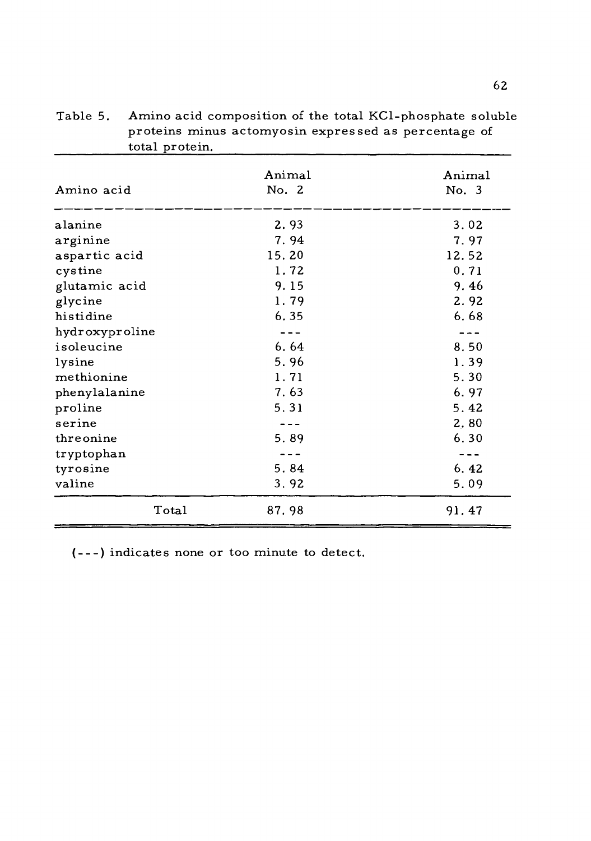| Amino acid     | Animal<br>No. 2 | Animal<br>No. 3 |
|----------------|-----------------|-----------------|
| alanine        | 2.93            | 3.02            |
| arginine       | 7.94            | 7.97            |
| aspartic acid  | 15.20           | 12.52           |
| cystine        | 1.72            | 0.71            |
| glutamic acid  | 9.15            | 9.46            |
| glycine        | 1.79            | 2.92            |
| histidine      | 6.35            | 6.68            |
| hydroxyproline | $- - -$         | $- - -$         |
| isoleucine     | 6.64            | 8.50            |
| lysine         | 5.96            | 1.39            |
| methionine     | 1.71            | 5.30            |
| phenylalanine  | 7.63            | 6.97            |
| proline        | 5.31            | 5.42            |
| serine         |                 | 2,80            |
| threonine      | 5.89            | 6.30            |
| tryptophan     |                 |                 |
| tyrosine       | 5.84            | 6.42            |
| valine         | 3.92            | 5.09            |
| Total          | 87.98           | 91.47           |

Table 5. Amino acid composition of the total KCl-phosphate soluble proteins minus actomyosin expressed as percentage of total protein. 

(---) indicates none or too minute to detect.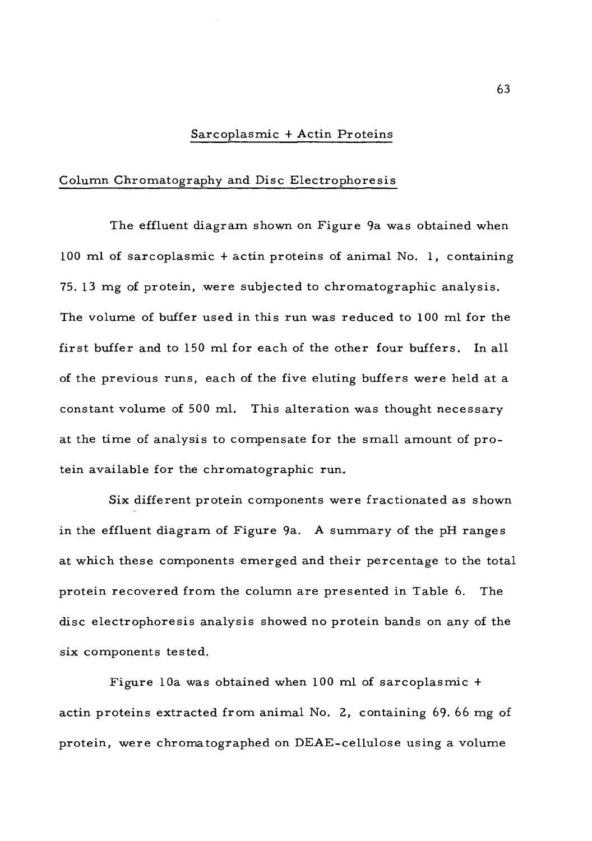## Sarcoplasmic <sup>+</sup> Actin Proteins

# Column Chromatography and Disc Electrophoresis

The effluent diagram shown on Figure 9a was obtained when 100 ml of sarcoplasmic <sup>+</sup> actin proteins of animal No. 1, containing 75. 13 mg of protein, were subjected to chromatographic analysis. The volume of buffer used in this run was reduced to 100 ml for the first buffer and to 150 ml for each of the other four buffers. In all of the previous runs, each of the five eluting buffers were held at a constant volume of 500 ml. This alteration was thought necessary at the time of analysis to compensate for the small amount of protein available for the chromatographic run.

Six different protein components were fractionated as shown in the effluent diagram of Figure 9a. A summary of the pH ranges at which these components emerged and their percentage to the total protein recovered from the column are presented in Table 6. The disc electrophoresis analysis showed no protein bands on any of the six components tested.

Figure 10a was obtained when 100 ml of sarcoplasmic <sup>+</sup> actin proteins extracted from animal No. 2, containing 69. 66 mg of protein, were chromatographed on DEAE-cellulose using a volume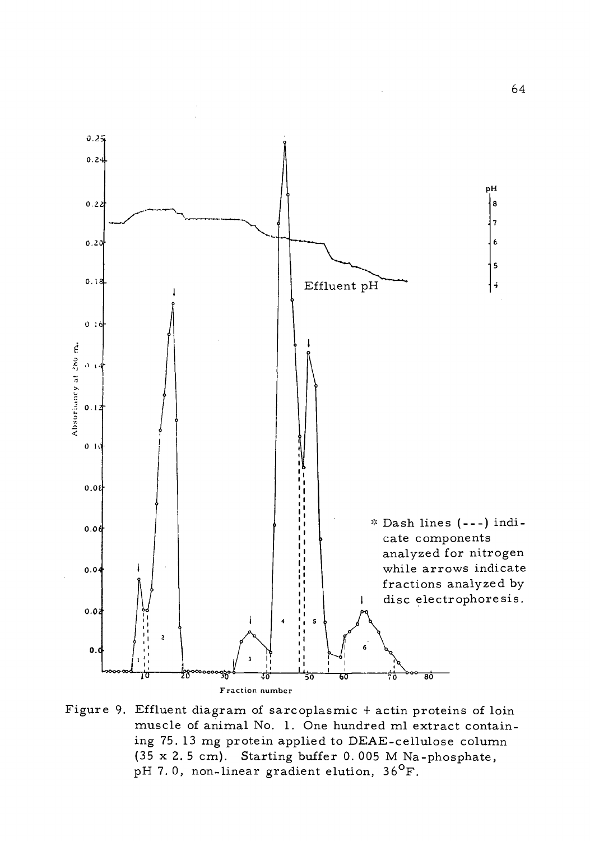

Figure 9. Effluent diagram of sarcoplasmic <sup>+</sup> actin proteins of loin muscle of animal No. 1. One hundred ml extract containing 75. 13 mg protein applied to DEAE-cellulose column (35 x 2. <sup>5</sup> cm). Starting buffer 0. 005 M Na-phosphate, pH 7.0, non-linear gradient elution,  $36^{\circ}$ F.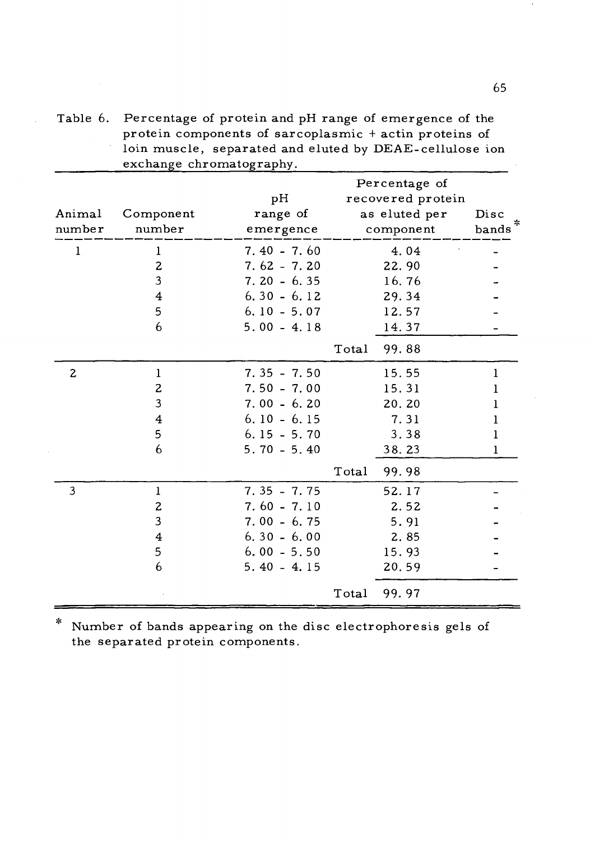Table 6. Percentage of protein and pH range of emergence of the protein components of sarcoplasmic <sup>+</sup> actin proteins of loin muscle, separated and eluted by DEAE-cellulose ion exchange chromatography.

|              |                |               |                  | Percentage of     |           |
|--------------|----------------|---------------|------------------|-------------------|-----------|
|              |                | pН            |                  | recovered protein |           |
| Animal       | Component      | range of      |                  | as eluted per     | Disc<br>∗ |
| number       | number         | emergence     |                  | component         | bands     |
| 1            | $\mathbf{1}$   | $7.40 - 7.60$ |                  | 4.04              |           |
|              | $\mathbf{z}$   | $7.62 - 7.20$ |                  | 22.90             |           |
|              | 3              | $7.20 - 6.35$ |                  | 16.76             |           |
|              | $\overline{4}$ | $6.30 - 6.12$ |                  | 29.34             |           |
|              | 5              | $6.10 - 5.07$ |                  | 12.57             |           |
|              | 6              | $5.00 - 4.18$ |                  | 14.37             |           |
|              |                |               | $\mathtt{Total}$ | 99.88             |           |
| $\mathbf{z}$ | $\mathbf{1}$   | $7.35 - 7.50$ |                  | 15.55             | 1         |
|              | $\mathbf{z}$   | $7.50 - 7.00$ |                  | 15.31             | 1         |
|              | 3              | $7.00 - 6.20$ |                  | 20.20             | 1         |
|              | $\overline{4}$ | $6.10 - 6.15$ |                  | 7.31              | 1         |
|              | 5              | $6.15 - 5.70$ |                  | 3.38              | 1         |
|              | 6              | $5.70 - 5.40$ |                  | 38.23             | 1         |
|              |                |               | $\mathtt{Total}$ | 99.98             |           |
| 3            | $\mathbf{1}$   | $7.35 - 7.75$ |                  | 52.17             |           |
|              | $\mathbf{z}$   | $7.60 - 7.10$ |                  | 2.52              |           |
|              | 3              | $7.00 - 6.75$ |                  | 5.91              |           |
|              | $\overline{4}$ | $6.30 - 6.00$ |                  | 2.85              |           |
|              | 5              | $6.00 - 5.50$ |                  | 15.93             |           |
|              | 6              | $5.40 - 4.15$ |                  | 20.59             |           |
|              |                |               | $\mathtt{Total}$ | 99.97             |           |

 $\ast$ Number of bands appearing on the disc electrophoresis gels of the separated protein components.

65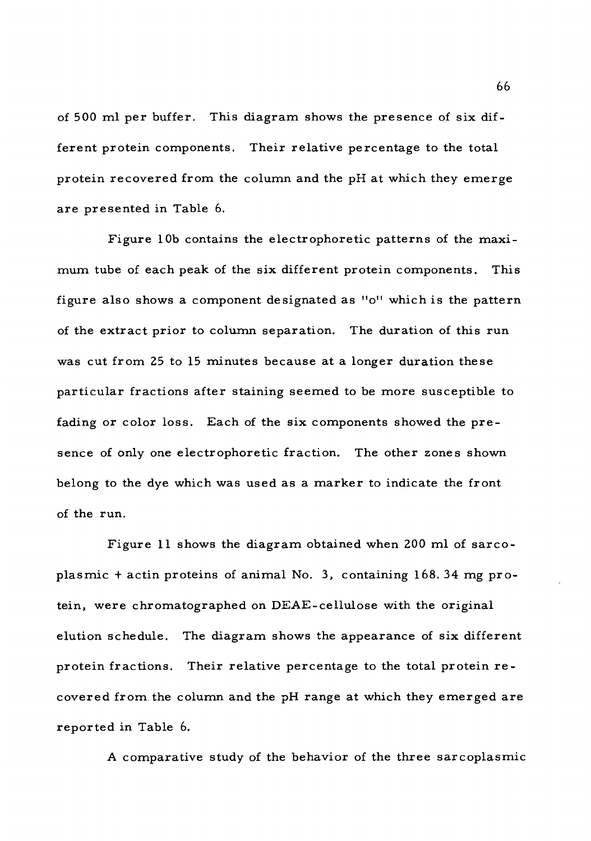of 500 ml per buffer. This diagram shows the presence of six different protein components. Their relative percentage to the total protein recovered from the column and the pH at which they emerge are presented in Table 6.

Figure 10b contains the electrophoretic patterns of the maximum tube of each peak of the six different protein components. This figure also shows a component designated as "o" which is the pattern of the extract prior to column separation. The duration of this run was cut from 25 to <sup>15</sup> minutes because at a longer duration these particular fractions after staining seemed to be more susceptible to fading or color loss. Each of the six components showed the presence of only one electrophoretic fraction. The other zones shown belong to the dye which was used as a marker to indicate the front of the run.

Figure <sup>11</sup> shows the diagram obtained when 200 ml of sarcoplasmic <sup>+</sup> actin proteins of animal No. 3, containing 168. 34 mg protein, were chromatographed on DEAE-cellulose with the original elution schedule. The diagram shows the appearance of six different protein fractions. Their relative percentage to the total protein recovered from, the column and the pH range at which they emerged are reported in Table 6.

A comparative study of the behavior of the three sarcoplasmic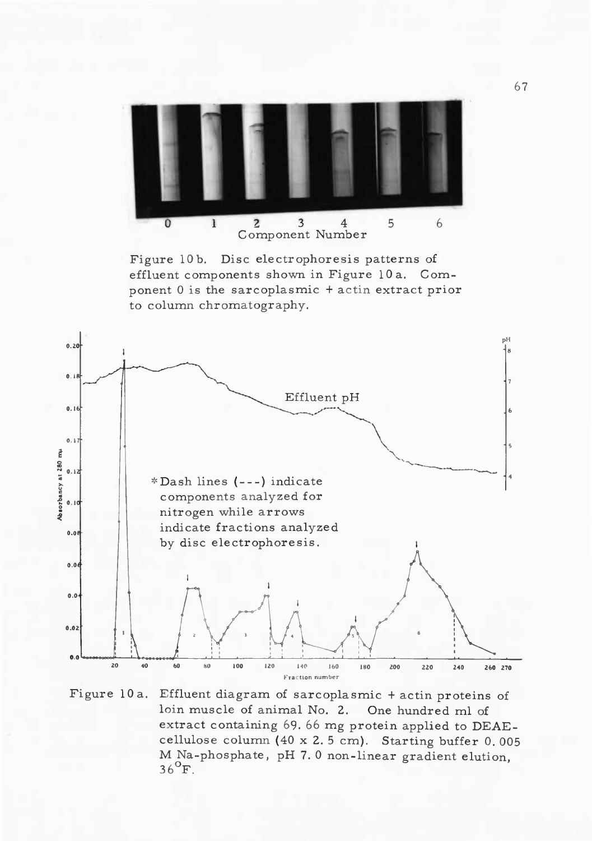

Figure 10 b. Disc electrophoresis patterns of effluent components shown in Figure 10 a. Component <sup>0</sup> is the sarcoplasmic <sup>+</sup> actin extract prior to column chromatography.



Figure 10 a. Effluent diagram of sarcoplasmic <sup>+</sup> actin proteins of loin muscle of animal No. 2. One hundred ml of extract containing 69. 66 mg protein applied to DEAEcellulose column (40 x 2. <sup>5</sup> cm). Starting buffer 0. 005 M Na-phosphate, pH 7. <sup>0</sup> non-linear gradient elution,  $36^{9}$ F.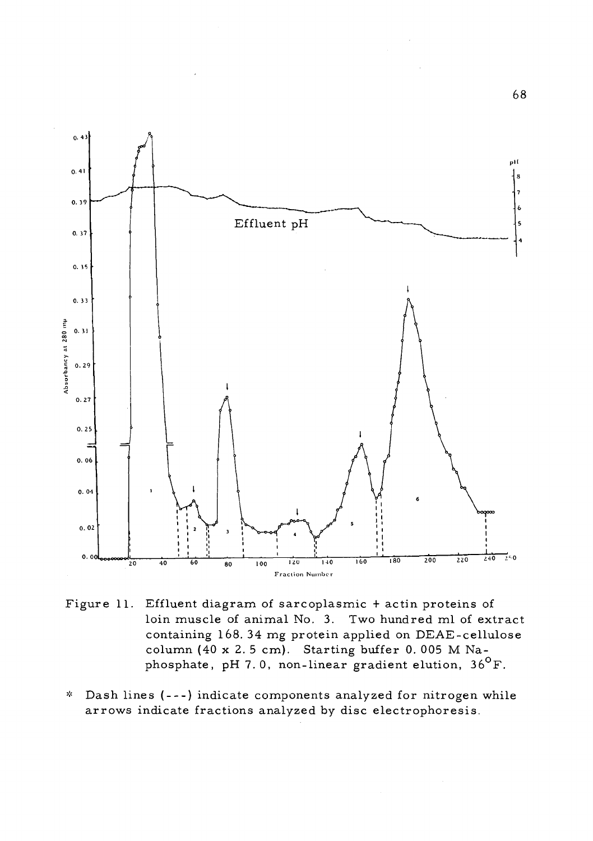

- Figure 11. Effluent diagram of sarcoplasmic <sup>+</sup> actin proteins of loin muscle of animal No. 3. Two hundred ml of extract containing 168. 34 mg protein applied on DEAE-cellulose column (40 x 2. <sup>5</sup> cm). Starting buffer 0. 005 M Naphosphate, pH 7.0, non-linear gradient elution,  $36^{\circ}$ F.
- Dash lines (---) indicate components analyzed for nitrogen while  $\mathbf{x}^{\prime}_{\mathbf{c}}$ arrows indicate fractions analyzed by disc electrophoresis.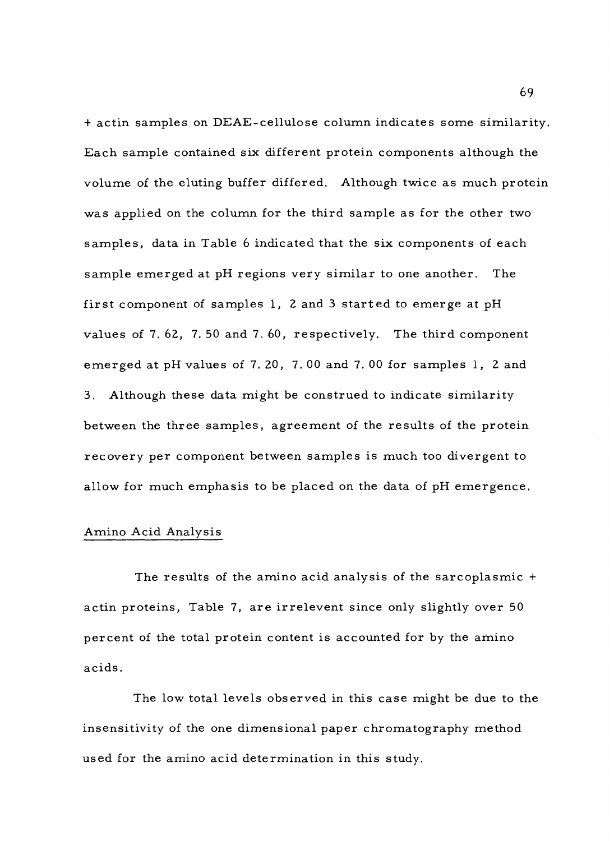<sup>+</sup> actin samples on DEAE-cellulose column indicates some similarity. Each sample contained six different protein components although the volume of the eluting buffer differed. Although twice as much protein was applied on the column for the third sample as for the other two samples, data in Table <sup>6</sup> indicated that the six components of each sample emerged at pH regions very similar to one another. The first component of samples 1, <sup>2</sup> and <sup>3</sup> started to emerge at pH values of 7. 62, 7. 50 and 7. 60, respectively. The third component emerged at pH values of 7. 20, 7. 00 and 7. 00 for samples 1, 2 and 3. Although these data might be construed to indicate similarity between the three samples, agreement of the results of the protein recovery per component between samples is much too divergent to allow for much emphasis to be placed on the data of pH emergence.

## Amino Acid Analysis

The results of the amino acid analysis of the sarcoplasmic <sup>+</sup> actin proteins, Table 7, are irrelevent since only slightly over 50 percent of the total protein content is accounted for by the amino acids.

The low total levels observed in this case might be due to the insensitivity of the one dimensional paper chromatography method used for the amino acid determination in this study.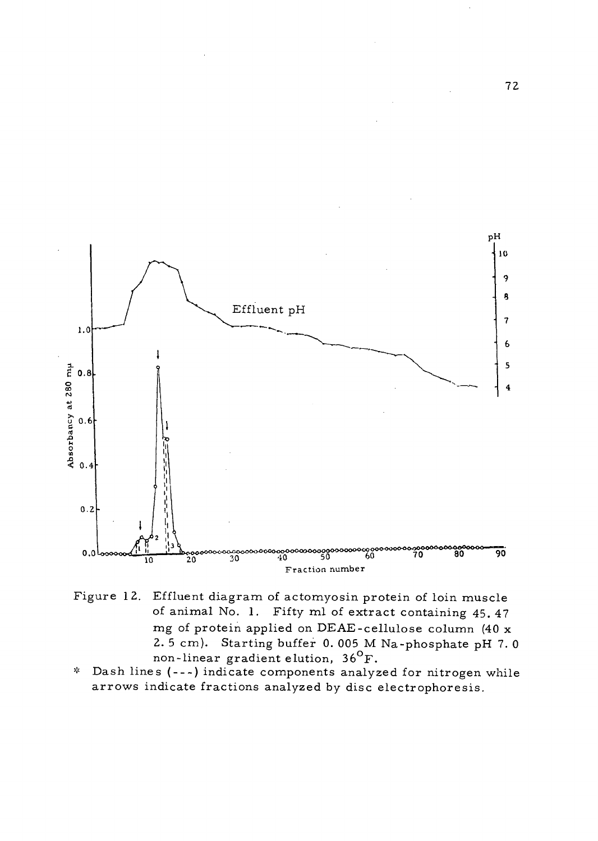

- Figure 12. Effluent diagram of actomyosin protein of loin muscle of animal No. 1. Fifty ml of extract containing 45. 47 mg of protein applied on DEAE-cellulose column (40 x 2. <sup>5</sup> cm). Starting buffer 0. 005 M Na-phosphate pH 7. <sup>0</sup> non-linear gradient elution, 36<sup>o</sup>F.
- \* Dash lines ( --- ) indicate components analyzed for nitrogen while arrows indicate fractions analyzed by disc electrophoresis.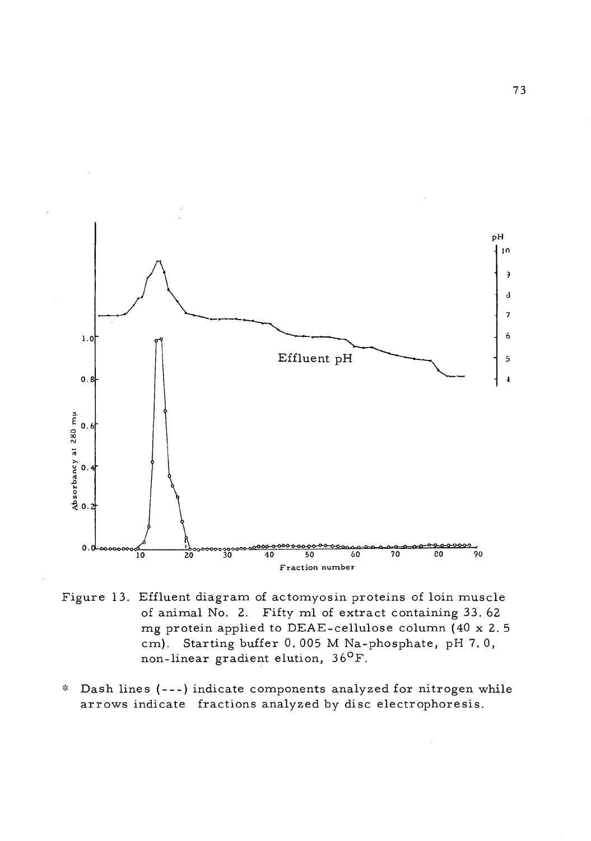

Figure 13. Effluent diagram of actomyosin proteins of loin muscle of animal No. 2. Fifty ml of extract containing 33. 62 mg protein applied to DEAE-cellulose column (40 x 2. <sup>5</sup> cm). Starting buffer 0. 005 M Na-phosphate, pH 7. 0,  $\frac{1}{100}$ . Starting banches 3.000 M Na-<br>non-linear gradient elution, 36<sup>0</sup>F.

\* Dash lines ( --- ) indicate components analyzed for nitrogen while arrows indicate fractions analyzed by disc electrophoresis.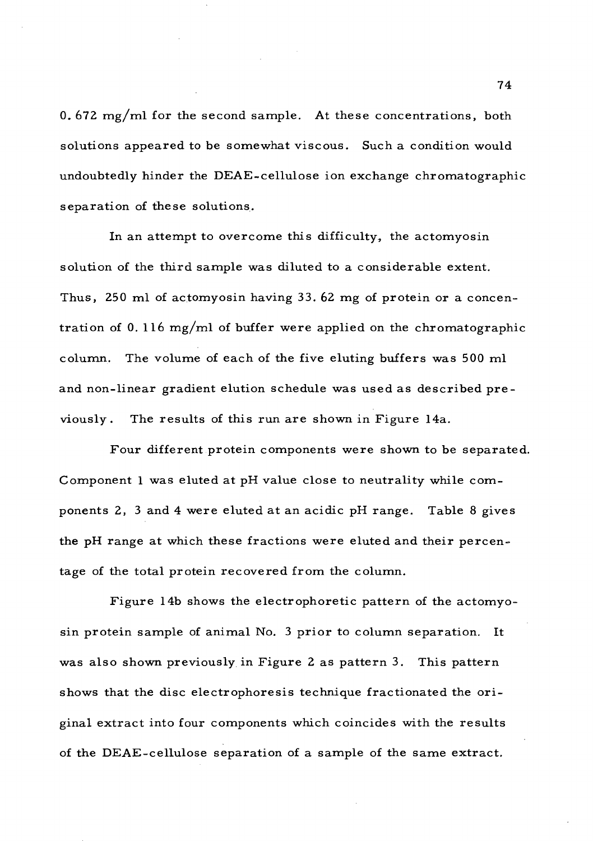0. 672 mg/ml for the second sample. At these concentrations, both solutions appeared to be somewhat viscous. Such a condition would undoubtedly hinder the DEAE-cellulose ion exchange chromatographic separation of these solutions.

In an attempt to overcome this difficulty, the actomyosin solution of the third sample was diluted to a considerable extent. Thus, 250 ml of actomyosin having 33. 62 mg of protein or a concentration of 0.116 mg/ml of buffer were applied on the chromatographic column. The volume of each of the five eluting buffers was 500 ml and non-linear gradient elution schedule was used as described previously . The results of this run are shown in Figure 14a.

Four different protein components were shown to be separated. Component <sup>1</sup> was eluted at pH value close to neutrality while components 2, <sup>3</sup> and 4 were eluted at an acidic pH range. Table <sup>8</sup> gives the pH range at which these fractions were eluted and their percentage of the total protein recovered from the column.

Figure 14b shows the electrophoretic pattern of the actomyosin protein sample of animal No. <sup>3</sup> prior to column separation. It was also shown previously in Figure <sup>2</sup> as pattern 3. This pattern shows that the disc electrophoresis technique fractionated the original extract into four components which coincides with the results of the DEAE-cellulose separation of a sample of the same extract.

74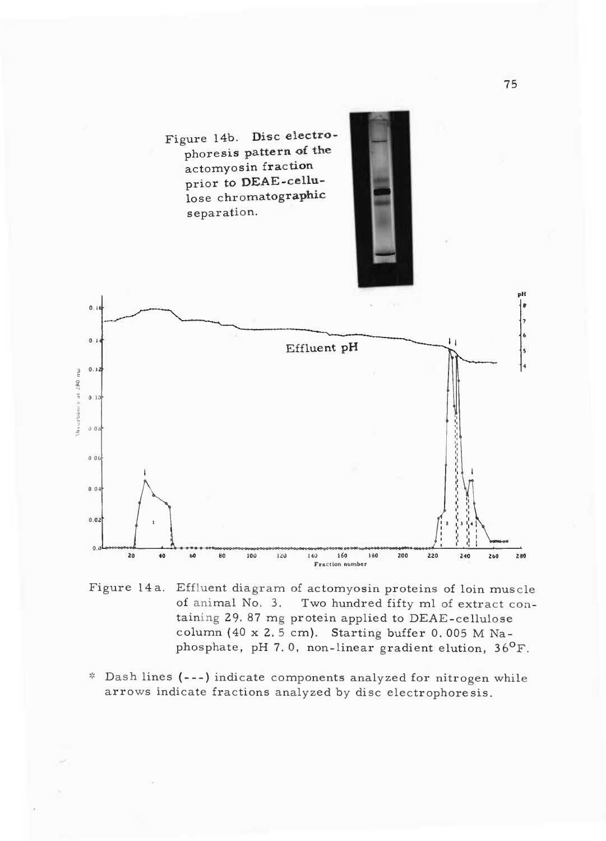

Figure 14 a. Effluent diagram of actomyosin proteins of loin muscle of animal No. 3. Two hundred fifty ml of extract containing 29. 87 mg protein applied to DEAE-cellulose column (40 x 2. <sup>5</sup> cm). Starting buffer 0. 005 M Naphosphate, pH 7.0, non-linear gradient elution,  $36^{\circ}$ F.

\* Dash lines ( --- ) indicate components analyzed for nitrogen while arrows indicate fractions analyzed by disc electrophoresis.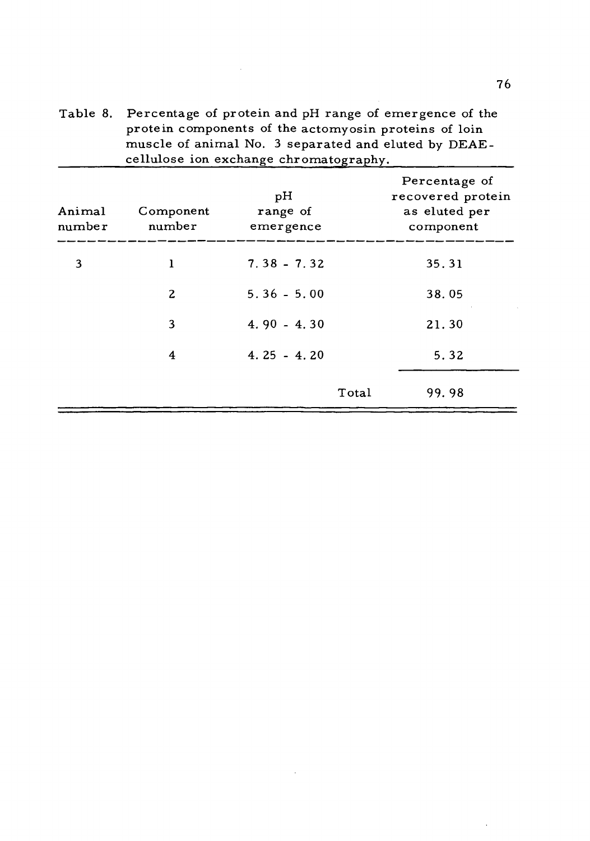Table 8. Percentage of protein and pH range of emergence of the protein components of the actomyosin proteins of loin muscle of animal No. <sup>3</sup> separated and eluted by DEAEcellulose ion exchange chromatography.

 $\sim 10^{-1}$ 

| Animal<br>number | Component<br>number | pH<br>range of<br>emergence |       | Percentage of<br>recovered protein<br>as eluted per<br>component |
|------------------|---------------------|-----------------------------|-------|------------------------------------------------------------------|
| 3                | 1                   | $7.38 - 7.32$               |       | 35.31                                                            |
|                  | 2                   | $5.36 - 5.00$               |       | 38.05                                                            |
|                  | 3                   | $4.90 - 4.30$               |       | 21.30                                                            |
|                  | 4                   | $4.25 - 4.20$               |       | 5.32                                                             |
|                  |                     |                             | Total | 99.98                                                            |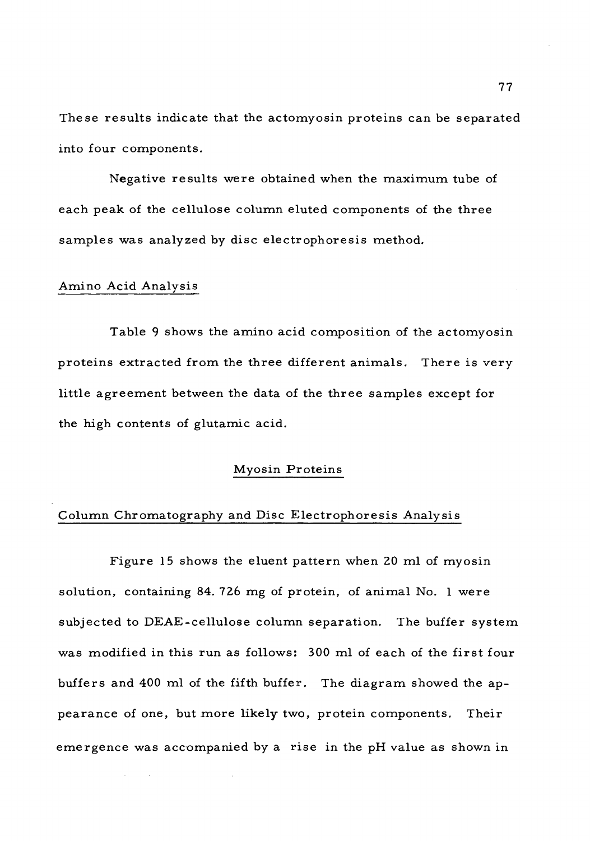These results indicate that the actomyosin proteins can be separated into four components.

Negative results were obtained when the maximum tube of each peak of the cellulose column eluted components of the three samples was analyzed by disc electrophoresis method.

### Amino Acid Analysis

Table <sup>9</sup> shows the amino acid composition of the actomyosin proteins extracted from the three different animals. There is very little agreement between the data of the three samples except for the high contents of glutamic acid.

# Myosin Proteins

## Column Chromatography and Disc Electrophoresis Analysis

Figure 15 shows the eluent pattern when 20 ml of myosin solution, containing 84. 726 mg of protein, of animal No. <sup>1</sup> were subjected to DEAE-cellulose column separation. The buffer system was modified in this run as follows: 300 ml of each of the first four buffers and 400 ml of the fifth buffer. The diagram showed the appearance of one, but more likely two, protein components. Their emergence was accompanied by a rise in the pH value as shown in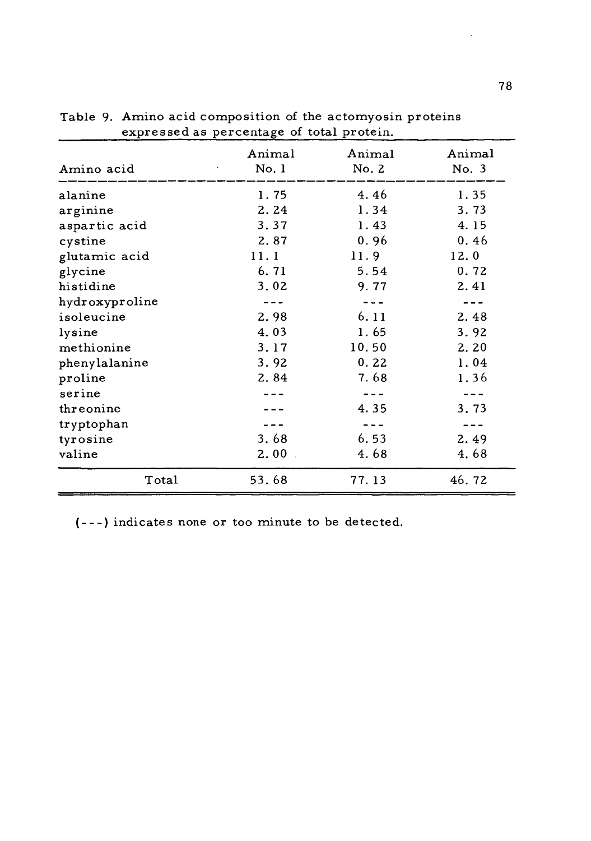| Amino acid     | Animal<br>No. 1 | Animal<br>No. 2 | Animal<br>No. 3 |
|----------------|-----------------|-----------------|-----------------|
| alanine        | 1.75            | 4.46            | 1.35            |
| arginine       | 2.24            | 1.34            | 3.73            |
| aspartic acid  | 3.37            | 1.43            | 4.15            |
| cystine        | 2.87            | 0.96            | 0.46            |
| glutamic acid  | 11.1            | 11.9            | 12.0            |
| glycine        | 6.71            | 5.54            | 0.72            |
| histidine      | 3.02            | 9.77            | 2.41            |
| hydroxyproline |                 |                 |                 |
| isoleucine     | 2.98            | 6.11            | 2.48            |
| lysine         | 4.03            | 1.65            | 3.92            |
| methionine     | 3.17            | 10.50           | 2.20            |
| phenylalanine  | 3.92            | 0.22            | 1.04            |
| proline        | 2.84            | 7.68            | 1.36            |
| serine         |                 |                 |                 |
| threonine      |                 | 4.35            | 3.73            |
| tryptophan     |                 |                 |                 |
| tyrosine       | 3.68            | 6.53            | 2.49            |
| valine         | 2.00            | 4.68            | 4.68            |
| Total          | 53.68           | 77.13           | 46.72           |

Table 9. Amino acid composition of the actomyosin proteins expressed as percentage of total protein.

( --- ) indicates none or too minute to be detected.

 $\overline{\phantom{a}}$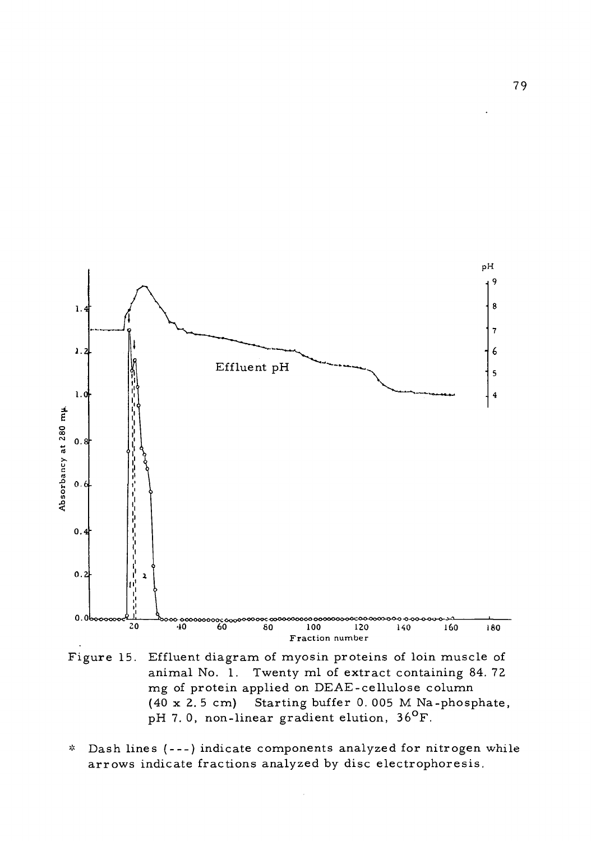

Figure 15. Effluent diagram of myosin proteins of loin muscle of animal No. 1. Twenty ml of extract containing 84.72 mg of protein applied on DEAE-cellulose column (40 x 2. <sup>5</sup> cm) Starting buffer 0. 005 M Na-phosphate, pH 7.0, non-linear gradient elution,  $36^{\circ}$ F.

Dash lines (---) indicate components analyzed for nitrogen while  $\mathbf{z}_i^{\mathbf{t}}$ arrows indicate fractions analyzed by disc electrophoresis.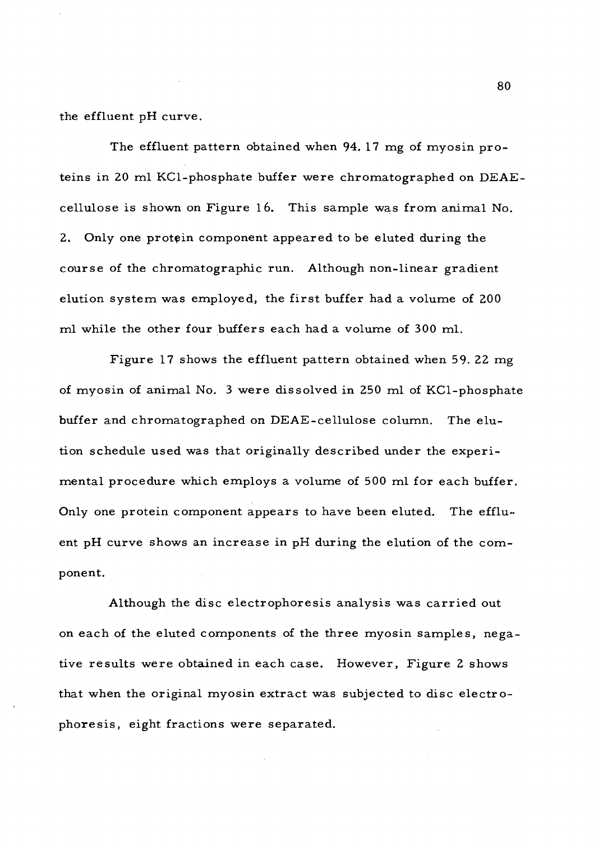the effluent pH curve.

The effluent pattern obtained when 94. 17 mg of myosin proteins in 20 ml KCl-phosphate buffer were chromatographed on DEAEcellulose is shown on Figure 16. This sample was from animal No. 2. Only one protein component appeared to be eluted during the course of the chromatographic run. Although non-linear gradient elution system was employed, the first buffer had a volume of 200 ml while the other four buffers each had a volume of 300 ml.

Figure 17 shows the effluent pattern obtained when 59- 22 mg of myosin of animal No. <sup>3</sup> were dissolved in 250 ml of KCl-phosphate buffer and chromatographed on DEAE-cellulose column. The elution schedule used was that originally described under the experimental procedure which employs a volume of 500 ml for each buffer. Only one protein component appears to have been eluted. The effluent pH curve shows an increase in pH during the elution of the component.

Although the disc electrophoresis analysis was carried out on each of the eluted components of the three myosin samples, negative results were obtained in each case. However, Figure <sup>2</sup> shows that when the original myosin extract was subjected to disc electrophoresis, eight fractions were separated.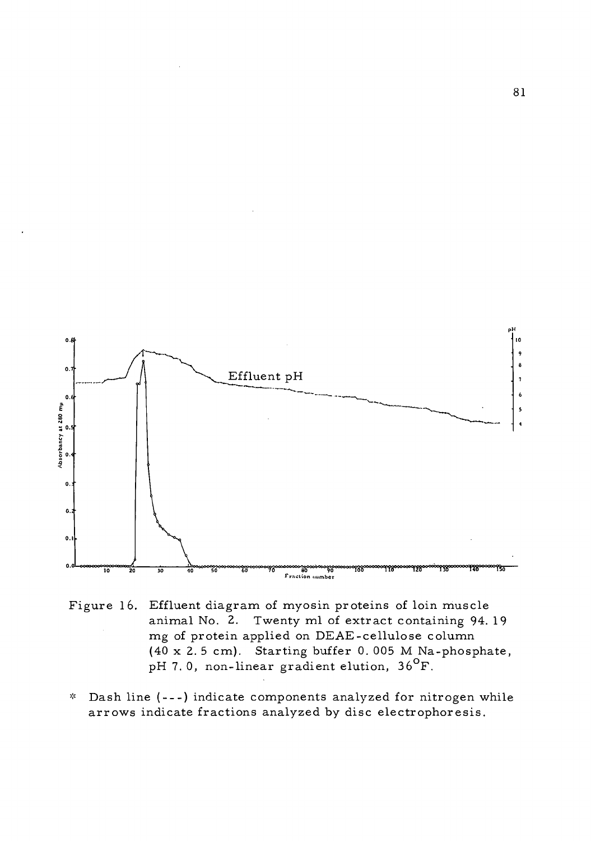

- Figure 16. Effluent diagram of myosin proteins of loin muscle animal No. 2. Twenty ml of extract containing 94. 19 mg of protein applied on DEAE-cellulose column (40 x 2. <sup>5</sup> cm). Starting buffer 0. 005 M Na-phosphate, pH 7.0, non-linear gradient elution, 36<sup>°</sup>F.
- \* Dash line ( --- ) indicate components analyzed for nitrogen while arrows indicate fractions analyzed by disc electrophoresis.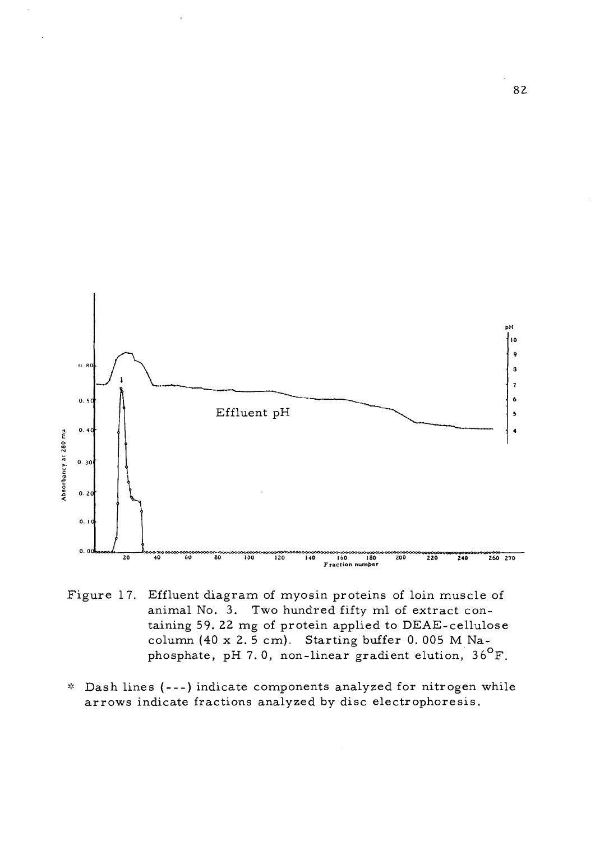

- Figure 17. Effluent diagram of myosin proteins of loin muscle of animal No. 3. Two hundred fifty ml of extract containing 59. 22 mg of protein applied to DEAE-cellulose column (40 x 2. <sup>5</sup> cm). Starting buffer 0. 005 M Naphosphate, pH 7.0, non-linear gradient elution,  $36^{\circ}$ F.
- \* Dash lines ( --- ) indicate components analyzed for nitrogen while arrows indicate fractions analyzed by disc electrophoresis.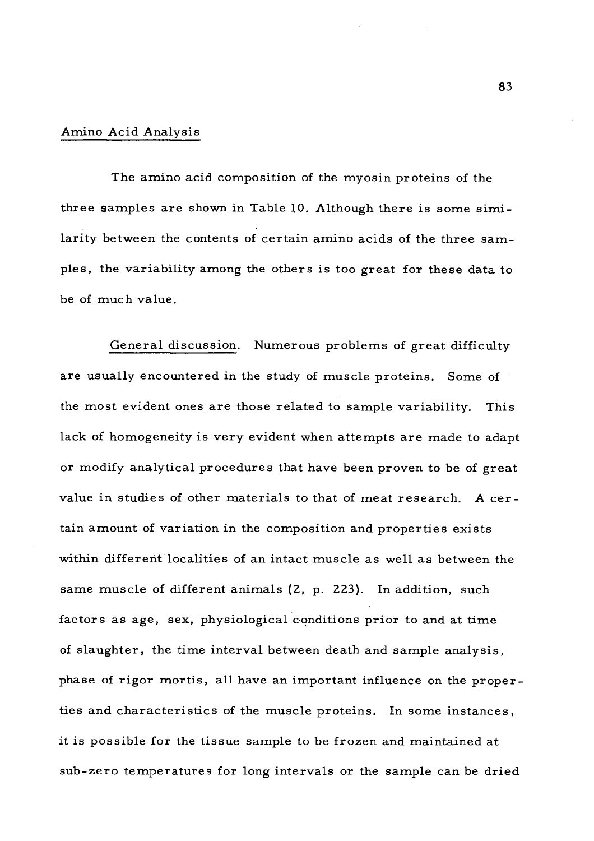### Amino Acid Analysis

The amino acid composition of the myosin proteins of the three samples are shown in Table 10. Although there is some similarity between the contents of certain amino acids of the three samples, the variability among the others is too great for these data to be of much value.

General discussion. Numerous problems of great difficulty are usually encountered in the study of muscle proteins. Some of the most evident ones are those related to sample variability. This lack of homogeneity is very evident when attempts are made to adapt or modify analytical procedures that have been proven to be of great value in studies of other materials to that of meat research. <sup>A</sup> certain amount of variation in the composition and properties exists within different localities of an intact muscle as well as between the same muscle of different animals (2, p. 223). In addition, such factors as age, sex, physiological conditions prior to and at time of slaughter, the time interval between death and sample analysis, phase of rigor mortis, all have an important influence on the properties and characteristics of the muscle proteins. In some instances, it is possible for the tissue sample to be frozen and maintained at sub-zero temperatures for long intervals or the sample can be dried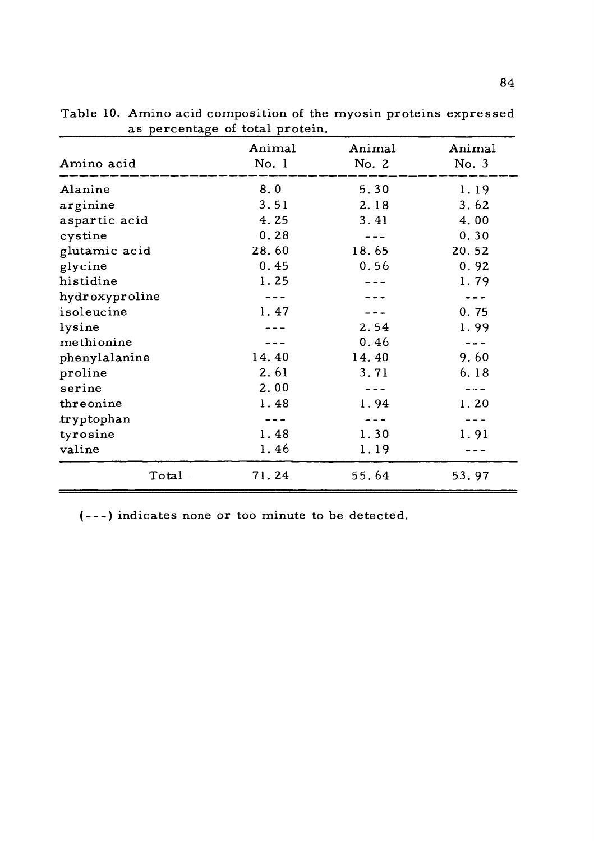| 0<br>Amino acid | Animal<br>No. 1 | Animal<br>No. 2 | Animal<br>No. 3 |
|-----------------|-----------------|-----------------|-----------------|
| Alanine         | 8.0             | 5.30            | 1.19            |
| arginine        | 3.51            | 2.18            | 3.62            |
| aspartic acid   | 4.25            | 3.41            | 4.00            |
| cystine         | 0.28            |                 | 0.30            |
| glutamic acid   | 28.60           | 18.65           | 20.52           |
| glycine         | 0.45            | 0.56            | 0.92            |
| histidine       | 1.25            |                 | 1.79            |
| hydroxyproline  |                 |                 |                 |
| isoleucine      | 1.47            |                 | 0.75            |
| lysine          |                 | 2.54            | 1.99            |
| methionine      |                 | 0.46            |                 |
| phenylalanine   | 14.40           | 14.40           | 9.60            |
| proline         | 2.61            | 3.71            | 6.18            |
| serine          | 2.00            |                 |                 |
| threonine       | 1.48            | 1.94            | 1.20            |
| tryptophan      |                 |                 |                 |
| tyrosine        | 1.48            | 1.30            | 1.91            |
| valine          | 1.46            | 1.19            |                 |
| Total           | 71.24           | 55.64           | 53.97           |

Table 10. Amino acid composition of the myosin proteins expressed as percentage of total protein.

( ) indicates none or too minute to be detected.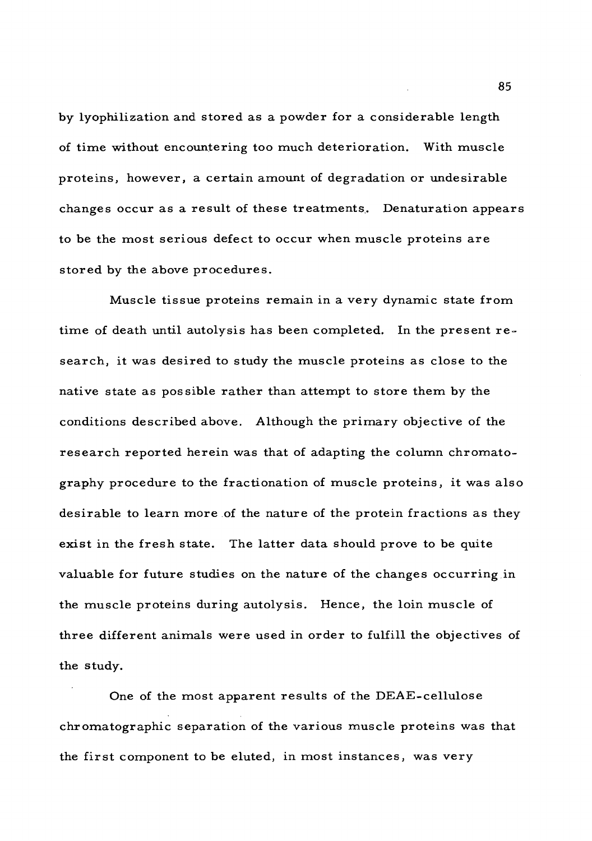by lyophilization and stored as a powder for a considerable length of time without encountering too much deterioration. With muscle proteins, however, a certain amount of degradation or undesirable changes occur as a result of these treatments. Denaturation appears to be the most serious defect to occur when muscle proteins are stored by the above procedures.

Muscle tissue proteins remain in a very dynamic state from time of death until autolysis has been completed. In the present research, it was desired to study the muscle proteins as close to the native state as possible rather than attempt to store them by the conditions described above. Although the primary objective of the research reported herein was that of adapting the column chromatography procedure to the fractionation of muscle proteins, it was also desirable to learn more of the nature of the protein fractions as they exist in the fresh state. The latter data should prove to be quite valuable for future studies on the nature of the changes occurring in the muscle proteins during autolysis. Hence, the loin muscle of three different animals were used in order to fulfill the objectives of the study.

One of the most apparent results of the DEAE-cellulose chromatographic separation of the various muscle proteins was that the first component to be eluted, in most instances, was very

85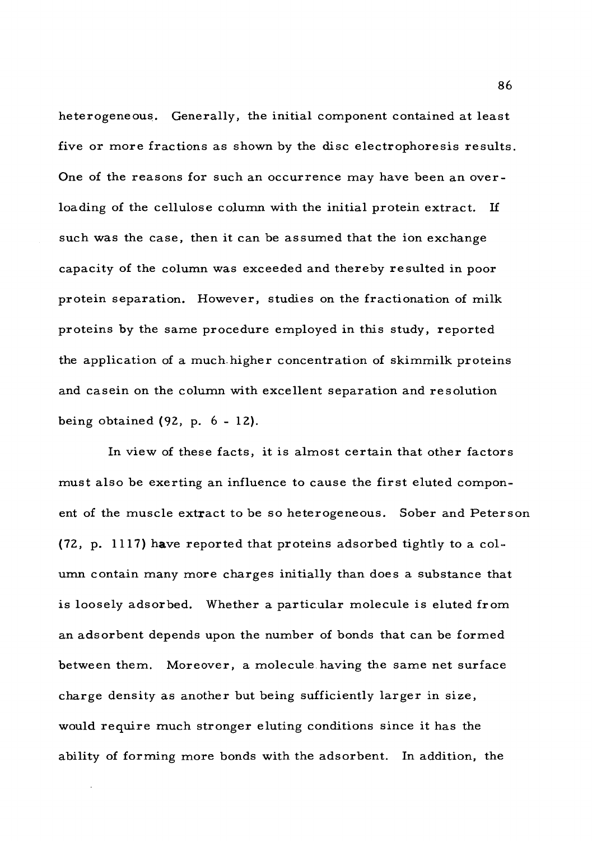heterogeneous. Generally, the initial component contained at least five or more fractions as shown by the disc electrophoresis results. One of the reasons for such an occurrence may have been an overloading of the cellulose column with the initial protein extract. If such was the case, then it can be assumed that the ion exchange capacity of the column was exceeded and thereby resulted in poor protein separation. However, studies on the fractionation of milk proteins by the same procedure employed in this study, reported the application of a much.higher concentration of skimmilk proteins and casein on the column with excellent separation and resolution being obtained (92, p. <sup>6</sup> - 12).

In view of these facts, it is almost certain that other factors must also be exerting an influence to cause the first eluted component of the muscle extract to be so heterogeneous. Sober and Peterson (72, p. 1117) have reported that proteins adsorbed tightly to a column contain many more charges initially than does a substance that is loosely adsorbed. Whether a particular molecule is eluted from an adsorbent depends upon the number of bonds that can be formed between them. Moreover, a molecule having the same net surface charge density as another but being sufficiently larger in size, would require much stronger eluting conditions since it has the ability of forming more bonds with the adsorbent. In addition, the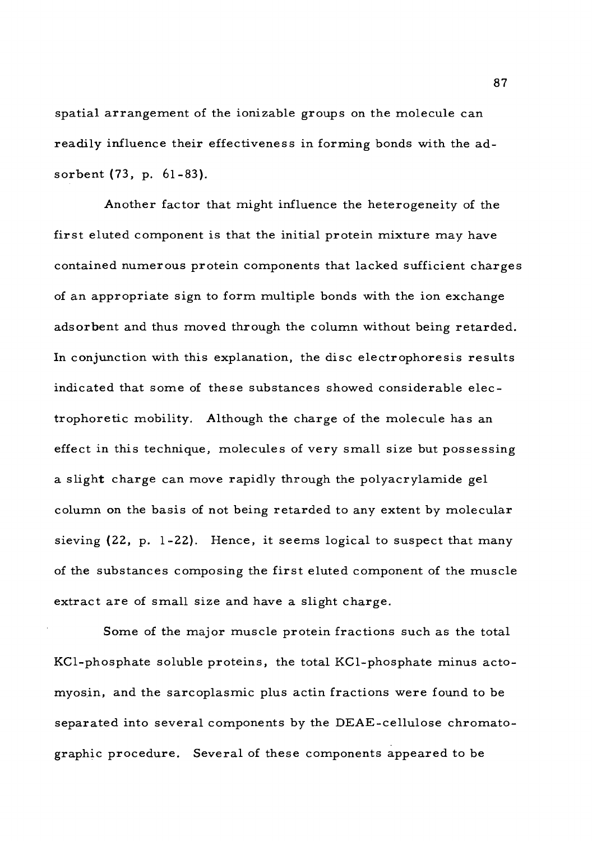spatial arrangement of the ionizable groups on the molecule can readily influence their effectiveness in forming bonds with the adsorbent (73, p. 61-83).

Another factor that might influence the heterogeneity of the first eluted component is that the initial protein mixture may have contained numerous protein components that lacked sufficient charges of an appropriate sign to form multiple bonds with the ion exchange adsorbent and thus moved through the column without being retarded. In conjunction with this explanation, the disc electrophoresis results indicated that some of these substances showed considerable electrophoretic mobility. Although the charge of the molecule has an effect in this technique, molecules of very small size but possessing a slight charge can move rapidly through the polyacrylamide gel column on the basis of not being retarded to any extent by molecular sieving (22, p. 1-22). Hence, it seems logical to suspect that many of the substances composing the first eluted component of the muscle extract are of small size and have a slight charge.

Some of the major muscle protein fractions such as the total KCl-phosphate soluble proteins, the total KCl-phosphate minus actomyosin, and the sarcoplasmic plus actin fractions were found to be separated into several components by the DEAE-cellulose chromatographic procedure. Several of these components appeared to be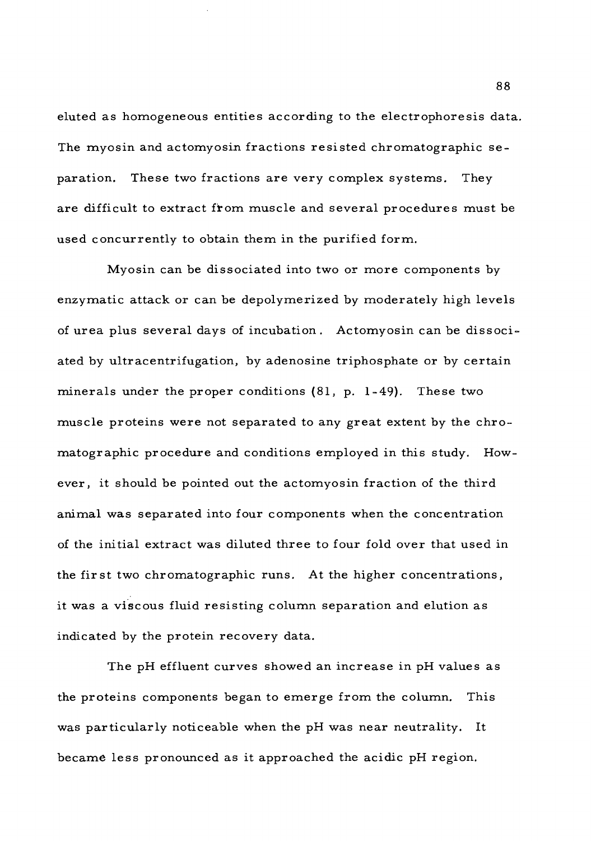eluted as homogeneous entities according to the electrophoresis data. The myosin and actomyosin fractions resisted chromatographic separation. These two fractions are very complex systems. They are difficult to extract from muscle and several procedures must be used concurrently to obtain them in the purified form.

Myosin can be dissociated into two or more components by enzymatic attack or can be depolymerized by moderately high levels of urea plus several days of incubation. Actomyosin can be dissociated by ultracentrifugation, by adenosine triphosphate or by certain minerals under the proper conditions (81, p. 1-49). These two muscle proteins were not separated to any great extent by the chromatographic procedure and conditions employed in this study. However, it should be pointed out the actomyosin fraction of the third animal was separated into four components when the concentration of the initial extract was diluted three to four fold over that used in the first two chromatographic runs. At the higher concentrations, it was a viscous fluid resisting column separation and elution as indicated by the protein recovery data.

The pH effluent curves showed an increase in pH values as the proteins components began to emerge from the column. This was particularly noticeable when the pH was near neutrality. It became less pronounced as it approached the acidic pH region.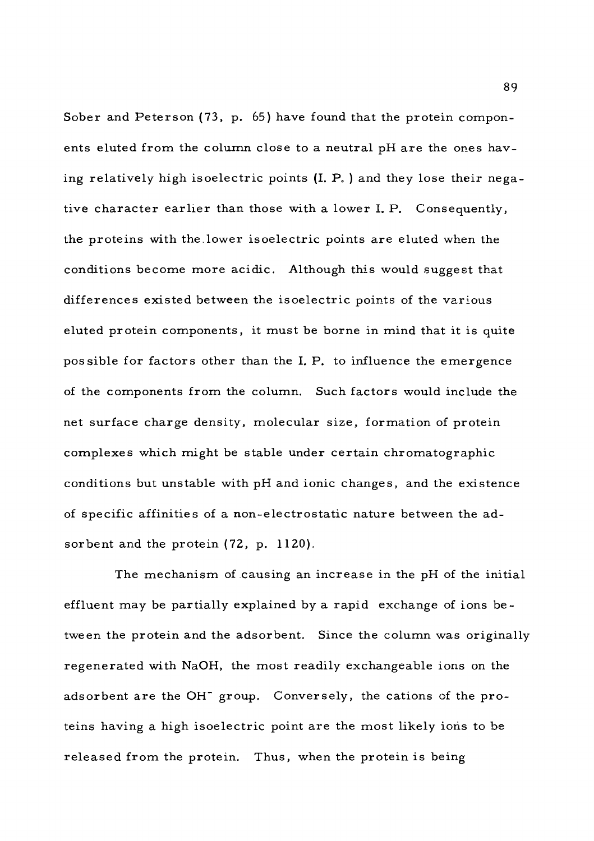Sober and Peterson (73, p. 65) have found that the protein components eluted from the column close to a neutral pH are the ones having relatively high isoelectric points (I. P. ) and they lose their negative character earlier than those with a lower I. P. Consequently, the proteins with the.lower isoelectric points are eluted when the conditions become more acidic. Although this would suggest that differences existed between the isoelectric points of the various eluted protein components, it must be borne in mind that it is quite possible for factors other than the I. P. to influence the emergence of the components from the column. Such factors would include the net surface charge density, molecular size, formation of protein complexes which might be stable under certain chromatographic conditions but unstable with pH and ionic changes, and the existence of specific affinities of a non-electrostatic nature between the adsorbent and the protein (72, p. 1120).

The mechanism of causing an increase in the pH of the initial effluent may be partially explained by a rapid exchange of ions between the protein and the adsorbent. Since the column was originally regenerated with NaOH, the most readily exchangeable ions on the adsorbent are the OH" group. Conversely, the cations of the proteins having a high isoelectric point are the most likely ioris to be released from the protein. Thus, when the protein is being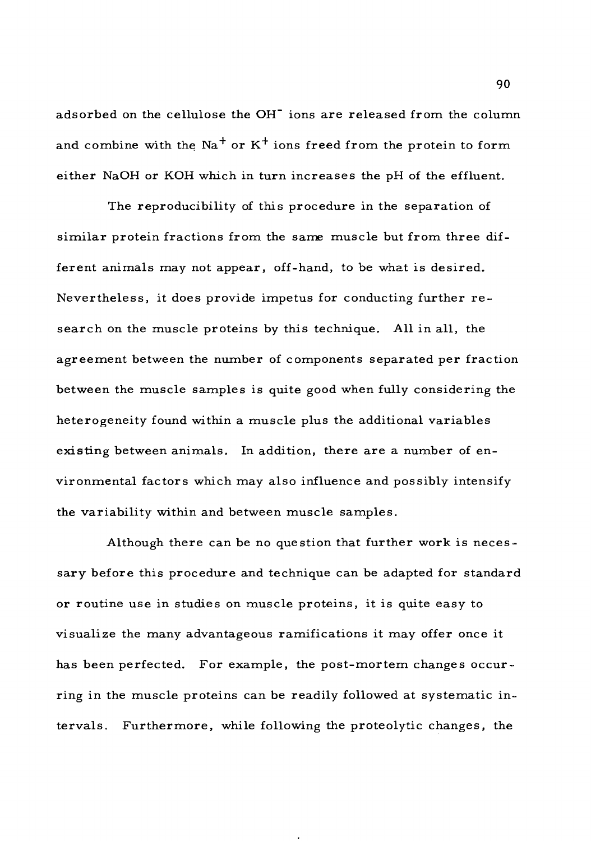adsorbed on the cellulose the OH" ions are released from the column and combine with the  $\text{Na}^+$  or K<sup>+</sup> ions freed from the protein to form either NaOH or KOH which in turn increases the pH of the effluent.

The reproducibility of this procedure in the separation of similar protein fractions from the same muscle but from three different animals may not appear, off-hand, to be what is desired. Nevertheless, it does provide impetus for conducting further research on the muscle proteins by this technique. All in all, the agreement between the number of components separated per fraction between the muscle samples is quite good when fully considering the heterogeneity found within a muscle plus the additional variables existing between animals. In addition, there are a number of environmental factors which may also influence and possibly intensify the variability within and between muscle samples.

Although there can be no question that further work is necessary before this procedure and technique can be adapted for standard or routine use in studies on muscle proteins, it is quite easy to visualize the many advantageous ramifications it may offer once it has been perfected. For example, the post-mortem changes occurring in the muscle proteins can be readily followed at systematic intervals. Furthermore, while following the proteolytic changes, the

90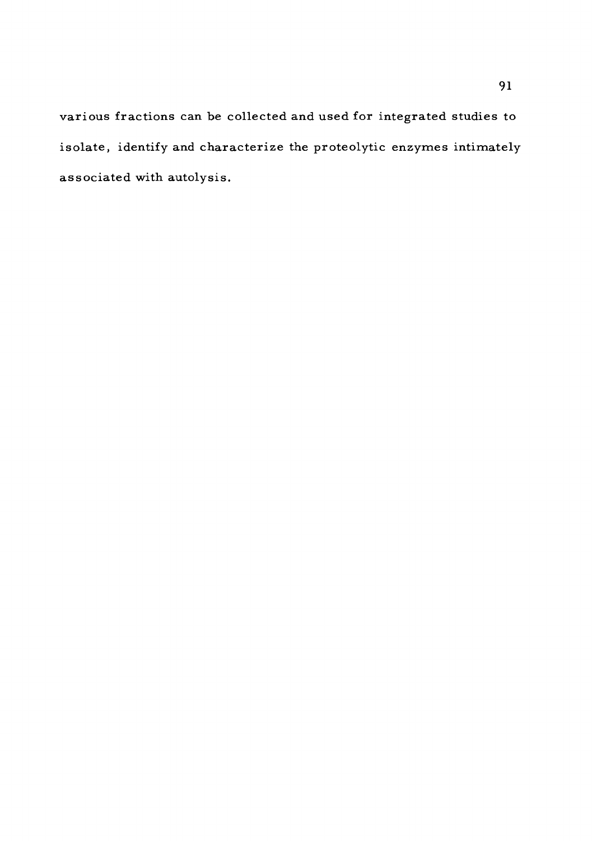various fractions can be collected and used for integrated studies to isolate, identify and characterize the proteolytic enzymes intimately associated with autolysis.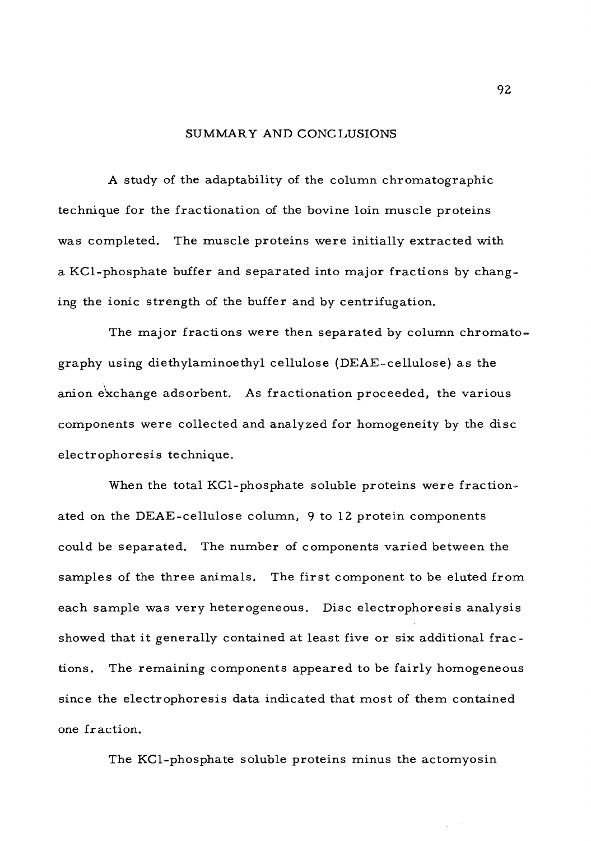## SUMMARY AND CONCLUSIONS

A study of the adaptability of the column chromatographic technique for the fractionation of the bovine loin muscle proteins was completed. The muscle proteins were initially extracted with a KCl-phosphate buffer and separated into major fractions by changing the ionic strength of the buffer and by centrifugation.

The major fractions were then separated by column chromatography using diethylaminoethyl cellulose (DEAE-cellulose) as the anion exchange adsorbent. As fractionation proceeded, the various components were collected and analyzed for homogeneity by the disc electrophoresis technique.

When the total KCl-phosphate soluble proteins were fractionated on the DEAE-cellulose column, 9 to 12 protein components could be separated. The number of components varied between the samples of the three animals. The first component to be eluted from each sample was very heterogeneous. Disc electrophoresis analysis showed that it generally contained at least five or six additional fractions. The remaining components appeared to be fairly homogeneous since the electrophoresis data indicated that most of them contained one fraction.

The KCl-phosphate soluble proteins minus the actomyosin

92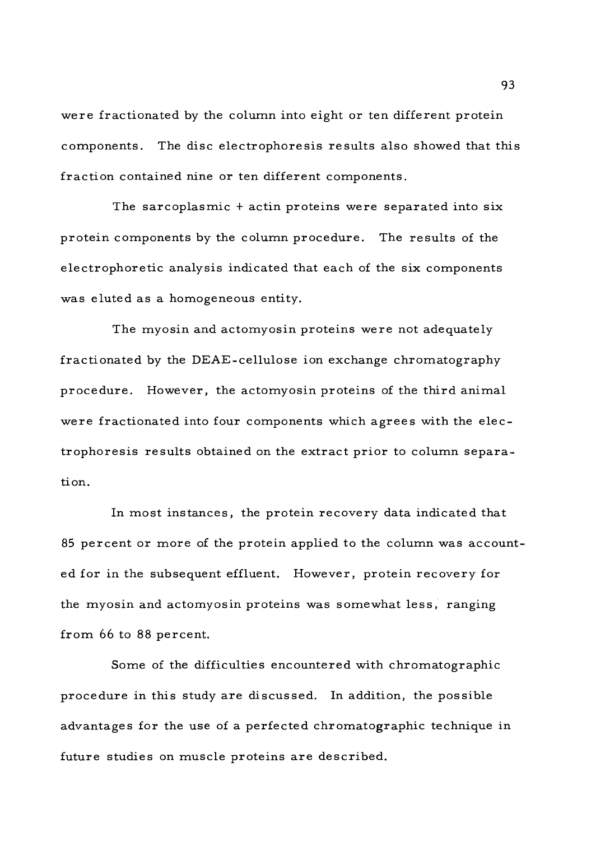were fractionated by the column into eight or ten different protein components. The disc electrophoresis results also showed that this fraction contained nine or ten different components.

The sarcoplasmic <sup>+</sup> actin proteins were separated into six protein components by the column procedure. The results of the electrophoretic analysis indicated that each of the six components was eluted as a homogeneous entity.

The myosin and actomyosin proteins were not adequately fractionated by the DEAE-cellulose ion exchange chromatography procedure. However, the actomyosin proteins of the third animal were fractionated into four components which agrees with the electrophoresis results obtained on the extract prior to column separation.

In most instances, the protein recovery data indicated that 85 percent or more of the protein applied to the column was accounted for in the subsequent effluent. However, protein recovery for the myosin and actomyosin proteins was somewhat less, ranging from 66 to 88 percent.

Some of the difficulties encountered with chromatographic procedure in this study are discussed. In addition, the possible advantages for the use of a perfected chromatographic technique in future studies on muscle proteins are described.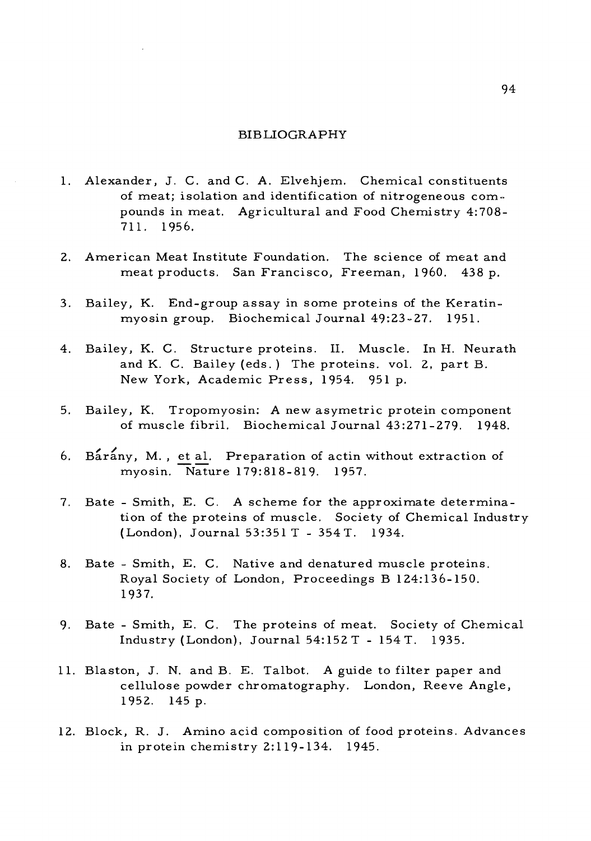#### BIBLIOGRAPHY

- 1. Alexander, J. C. and C. A. Elvehjem. Chemical constituents of meat; isolation and identification of nitrogeneous compounds in meat. Agricultural and Food Chemistry 4:708- 711. 1956.
- 2. American Meat Institute Foundation. The science of meat and meat products. San Francisco, Freeman, I960. 438 p.
- 3. Bailey, K. End-group assay in some proteins of the Keratinmyosin group. Biochemical Journal 49:23-27. 1951.
- 4. Bailey, K. C. Structure proteins. II. Muscle. In H. Neurath and K. C. Bailey (eds. ) The proteins, vol. 2, part B. New York, Academic Press, 1954. 951 p.
- 5. Bailey, K. Tropomyosin: A new asymetric protein component of muscle fibril. Biochemical Journal 43:271-279. 1948.
- 6. Barany, M., et al. Preparation of actin without extraction of myosin. "Nature 179:818-819. 1957.
- 7. Bate Smith, E. C. A scheme for the approximate determination of the proteins of muscle. Society of Chemical Industry (London), Journal 53:351 T - 354 T. 1934.
- 8. Bate Smith, E. C. Native and denatured muscle proteins. Royal Society of London, Proceedings B 124:136-150. 1937.
- 9. Bate Smith, E. C. The proteins of meat. Society of Chemical Industry (London), Journal 54:152 T - 154T. 1935.
- 11. Blaston, J. N. and B. E. Talbot. A guide to filter paper and cellulose powder chromatography. London, Reeve Angle, 1952. 145 p.
- 12. Block, R. J. Amino acid composition of food proteins. Advances in protein chemistry 2:119-134. 1945.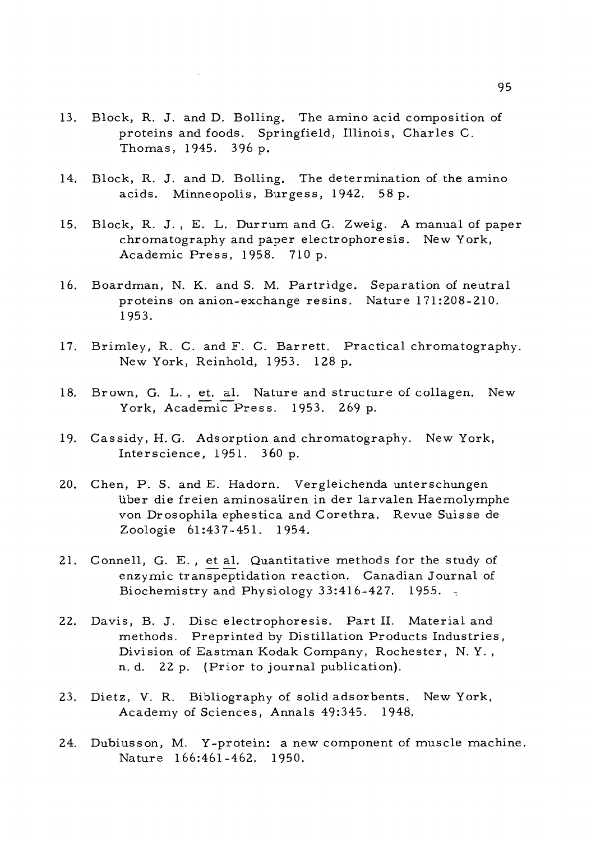- 13. Block, R. J. and D. Boiling. The amino acid composition of proteins and foods. Springfield, Illinois, Charles C. Thomas, 1945. 396 p.
- 14. Block, R. J. and D. Boiling. The determination of the amino acids. Minneopolis, Burgess, 1942. 58 p.
- 15. Block, R. J. , E. L. Durrum and G. Zweig. A manual of paper chromatography and paper electrophoresis. New York, Academic Press, 1958. 710 p.
- 16. Boardman, N. K. and S. M. Partridge. Separation of neutral proteins on anion-exchange resins. Nature 171:208-210. 1953.
- 17. Brimley, R. C. and F. C. Barrett. Practical chromatography. New York, Reinhold, 1953. 128 p.
- 18. Brown, G. L. , et. al. Nature and structure of collagen. New York, Academic Press. 1953. 269 p.
- 19. Cassidy, H. G. Adsorption and chromatography. New York, Interscience, 1951. 360 p.
- 20. Chen, P. S. and E. Hadorn. Vergleichenda unterschungen liber die freien aminosaiiren in der larvalen Haemolymphe von Drosophila ephestica and Corethra. Revue Suisse de Zoologie 61:437-451. 1954.
- 21. Connell, G. E. , et al. Quantitative methods for the study of enzymic transpeptidation reaction. Canadian Journal of Biochemistry and Physiology 33:416-427. 1955.
- 22. Davis, B. J. Disc electrophoresis. Part II. Material and methods. Preprinted by Distillation Products Industries, Division of Eastman Kodak Company, Rochester, N. Y. , n. d. 22 p. (Prior to journal publication).
- 23. Dietz, V. R. Bibliography of solid adsorbents. New York, Academy of Sciences, Annals 49:345. 1948.
- 24. Dubiusson, M. Y-protein: a new component of muscle machine. Nature 166:461-462. 1950.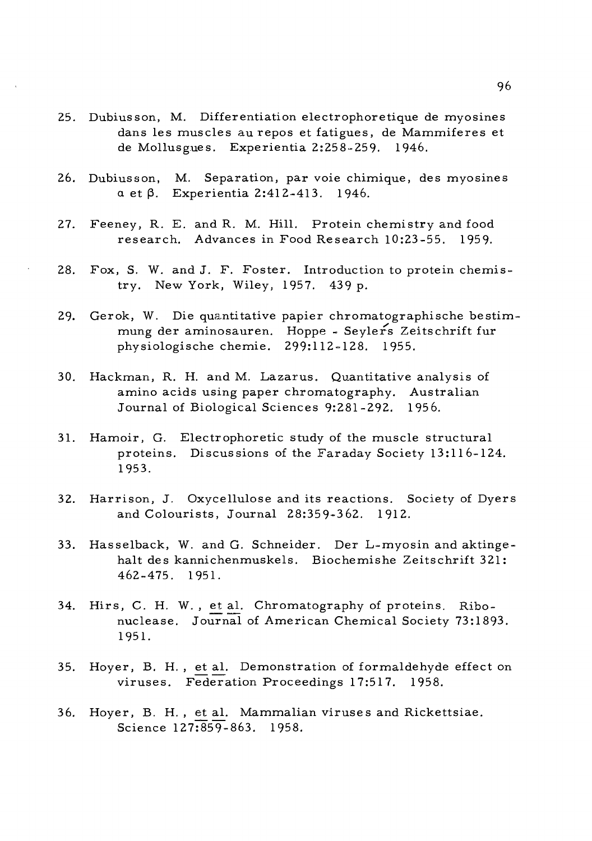- 25. Dubiusson, M. Differentiation electrophoretique de myosines dans les muscles au repos et fatigues, de Mammiferes et de Mollusgues. Experientia 2:258-259. 1946.
- 26. Dubiusson, M. Separation, par voie chimique, des myosines  $\alpha$  et  $\beta$ . Experientia 2:412-413. 1946.
- 27. Feeney, R. E. and R. M. Hill. Protein chemistry and food research. Advances in Food Research 10:23-55. 1959.
- 28. Fox, S. W. and J. F. Foster. Introduction to protein chemistry. New York, Wiley, 1957. 439 p.
- 29. Gerok, W. Die quantitative papier chromatographische bestimmung der aminosauren. Hoppe - Seylers Zeitschrift fur physiologische chemie. 299:112-128. 1955.
- 30. Hackman, R. H. and M. Lazarus. Quantitative analysis of amino acids using paper chromatography. Australian Journal of Biological Sciences 9:281-292. 1956.
- 31. Hamoir, G. Electrophoretic study of the muscle structural proteins. Discussions of the Faraday Society 13:116-124. 1953.
- 32. Harrison, J. Oxycellulose and its reactions. Society of Dyers and Colourists, Journal 28:359-362. 1912.
- 33. Hasselback, W. and G. Schneider. Der L-myosin and aktingehalt des kannichenmuskels. Biochemishe Zeitschrift 321: 462-475. 1951.
- 34. Hirs, C. H. W. , et al. Chromatography of proteins. Ribonuclease. Journal of American Chemical Society 73:1893. 1951.
- 35. Hoyer, B. H. , et al. Demonstration of formaldehyde effect on viruses. Federation Proceedings 17:517. 1958.
- 36. Hoyer, B. H. , et al. Mammalian viruses and Rickettsiae. Science 127:859-863. 1958.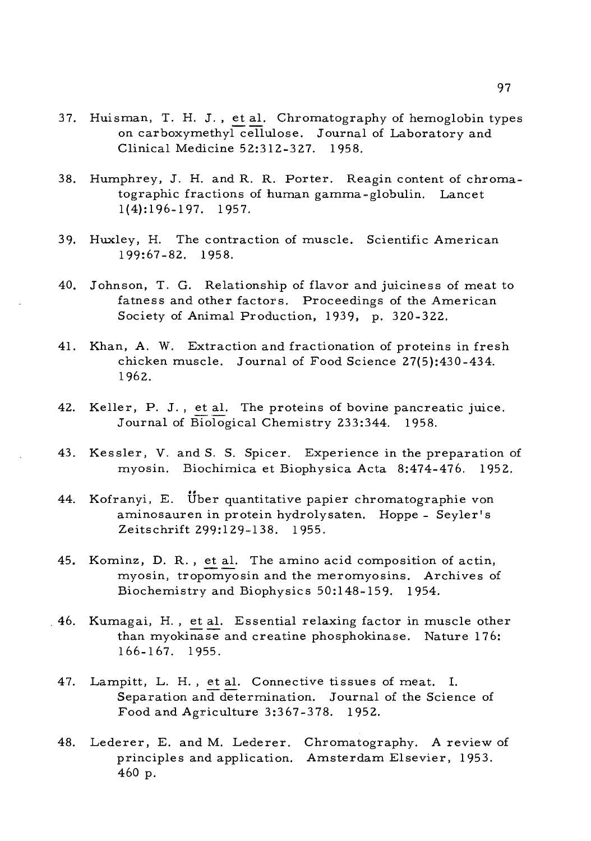- 37. Huisman, T. H. J. , et al. Chromatography of hemoglobin types on carboxymethyl cellulose. Journal of Laboratory and Clinical Medicine 52:312-327. 1958.
- 38. Humphrey, J. H. and R. R. Porter. Reagin content of chromatographic fractions of human gamma-globulin. Lancet 1(4):196-197. 1957.
- 39. Huxley, H. The contraction of muscle. Scientific American 199:67-82. 1958.
- 40. Johnson, T. G. Relationship of flavor and juiciness of meat to fatness and other factors. Proceedings of the American Society of Animal Production, 1939, p. 320-322.
- 41. Khan, A. W. Extraction and fractionation of proteins in fresh chicken muscle. Journal of Food Science 27(5):430-434. 1962.
- 42. Keller, P. J. , et al. The proteins of bovine pancreatic juice. Journal of Biological Chemistry 233:344. 1958.
- 43. Kessler, V. and S. S. Spicer. Experience in the preparation of myosin. Biochimica et Biophysica Acta 8:474-476. 1952.
- 44. Kofranyi, E. Über quantitative papier chromatographie von aminosauren in protein hydrolysaten. Hoppe - Seyler's Zeitschrift 299:129-138. 1955.
- 45. Kominz, D. R. , et al. The amino acid composition of actin, myosin, tropomyosin and the meromyosins. Archives of Biochemistry and Biophysics 50:148-159. 1954.
- 46. Kumagai, H. , et al. Essential relaxing factor in muscle other than myokinase and creatine phosphokinase. Nature 176: 166-167. 1955.
	- 47. Lampitt, L. H. , et al. Connective tissues of meat. I. Separation and determination. Journal of the Science of Food and Agriculture 3:367-378. 1952.
	- 48. Lederer, E. and M. Lederer. Chromatography. A review of principles and application. Amsterdam Elsevier, 1953. 460 p.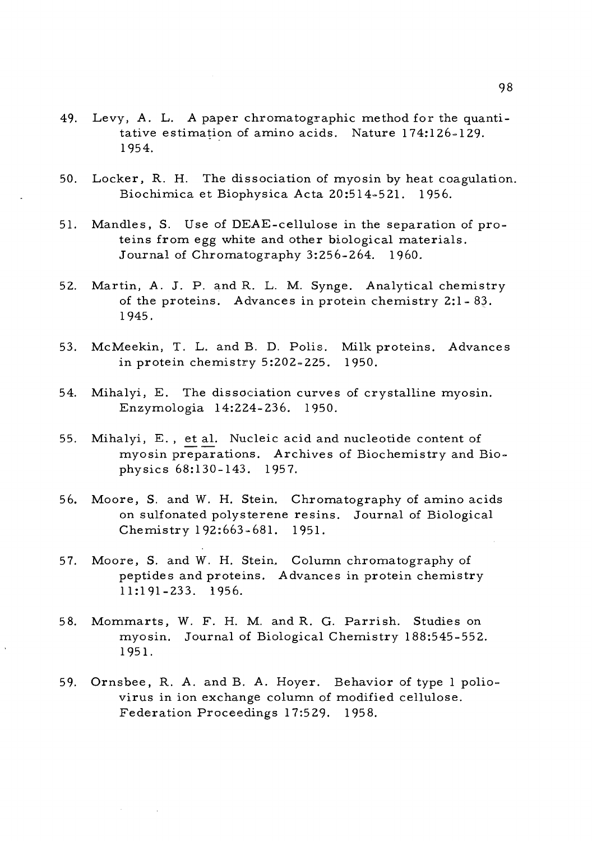- 49. Levy, A. L. A paper chromatographic method for the quantitative estimation of amino acids. Nature 174:126-129. 1954.
- 50. Locker, R. H. The dissociation of myosin by heat coagulation. Biochimica et Biophysica Acta 20:514=521. 1956.
- 51. Mandles, S. Use of DEAE-cellulose in the separation of proteins from egg white and other biological materials. Journal of Chromatography 3:256-264. I960.
- 52. Martin, A. J. P. and R. L. M. Synge. Analytical chemistry of the proteins. Advances in protein chemistry 2:1- 83. 1945.
- 53. McMeekin, T. L. and B. D. Polis. Milk proteins. Advances in protein chemistry 5:202-225. 1950.
- 54. Mihalyi, E. The dissociation curves of crystalline myosin. Enzymologia 14:224-236. 1950.
- 55. Mihalyi, E. , et al. Nucleic acid and nucleotide content of myosin preparations. Archives of Biochemistry and Biophysics 68:130-143. 1957.
- 56. Moore, S. and W. H. Stein. Chromatography of amino acids on sulfonated polysterene resins. Journal of Biological Chemistry 192:663-681. 1951.
- 57. Moore, S. and W. H. Stein. Column chromatography of peptides and proteins. Advances in protein chemistry 11:191-233. 1956.
- 58. Mommarts, W. F. H. M. and R. G. Parrish. Studies on myosin. Journal of Biological Chemistry 188:545-552. 1951.
- 59. Ornsbee, R. A. and B. A. Hoyer. Behavior of type <sup>1</sup> poliovirus in ion exchange column of modified cellulose. Federation Proceedings 17:529. 1958.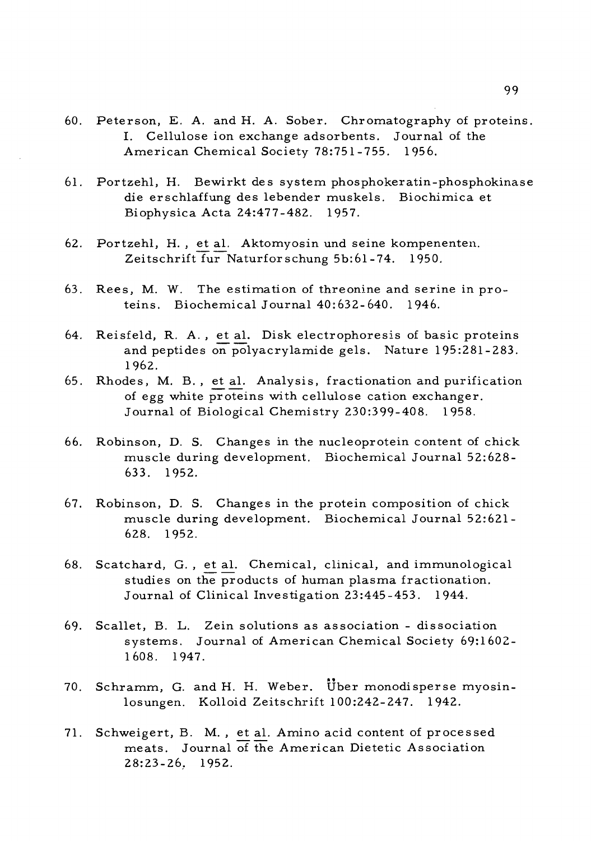- 60. Peterson, E. A. and H. A. Sober. Chromatography of proteins. I. Cellulose ion exchange adsorbents. Journal of the American Chemical Society 78:751-755. 1956.
- 61. Portzehl, H. Bewirkt des system phosphokeratin-phosphokinase die erschlaffung des lebender muskels. Biochimica et Biophysica Acta 24:477-482. 1957.
- 62. Portzehl, H. , et al. Aktomyosin und seine kompenenten. Zeitschrift fur Naturforschung 5b:6l-74. 1950.
- 63. Rees, M. W. The estimation of threonine and serine in proteins. Biochemical Journal 40:632-640. 1946.
- 64. Reisfeld, R. A. , et al. Disk electrophoresis of basic proteins and peptides on polyacrylamide gels. Nature 195:281-283. 1962.
- 65. Rhodes, M. B. , et al. Analysis, fractionation and purification of egg white proteins with cellulose cation exchanger. Journal of Biological Chemistry 230:399-408. 1958.
- 66. Robinson, D. S. Changes in the nucleoprotein content of chick muscle during development. Biochemical Journal 52:628- 633. 1952.
- 67. Robinson, D. S. Changes in the protein composition of chick muscle during development. Biochemical Journal 52:621- 628. 1952.
- 68. Scatchard, G. , et al. Chemical, clinical, and immunological studies on the products of human plasma fractionation. Journal of Clinical Investigation 23:445-453. 1944.
- 69. Scallet, B. L. Zein solutions as association dissociation systems. Journal of American Chemical Society 69:1602- 1608. 1947.
- 70. Schramm, G. and H. H. Weber. Uber monodisperse myosinlosungen. Kolloid Zeitschrift 100:242-247. 1942.
- 71. Schweigert, B. M. , et al. Amino acid content of processed meats. Journal of the American Dietetic Association 28:23-26. 1952.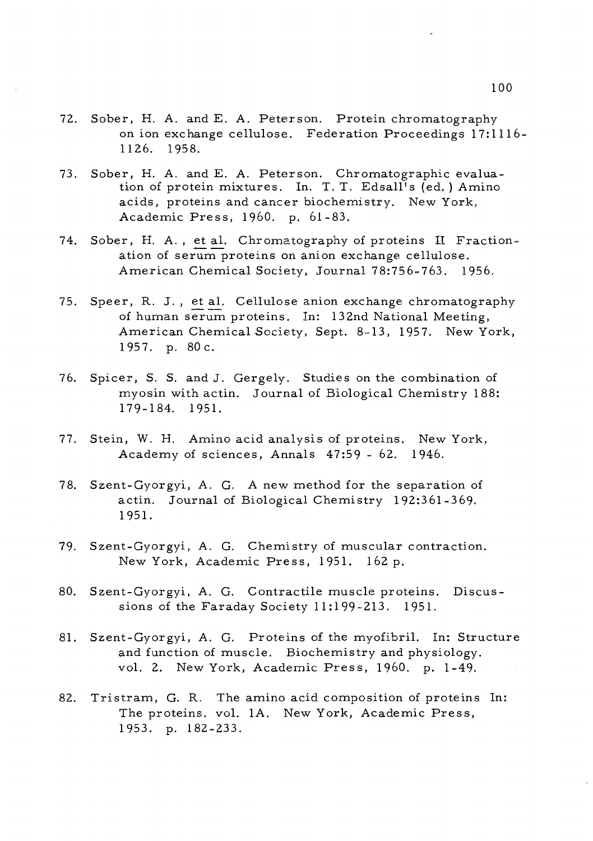- 72. Sober, H. A. and E. A. Peterson. Protein chromatography on ion exchange cellulose. Federation Proceedings 17:1116- 1126. 1958.
- 73. Sober, H. A. and E. A. Peterson. Chromatographic evaluation of protein mixtures. In. T. T. Edsall's (ed. ) Amino acids, proteins and cancer biochemistry. New York, Academic Press, I960, p. 61-83.
- 74. Sober, H. A. , et al. Chromatography of proteins II Fractionation of serum proteins on anion exchange cellulose. American Chemical Society, Journal 78:756-763. 1956.
- 75. Speer, R. J. , et al. Cellulose anion exchange chromatography of human serum proteins. In: 132nd National Meeting, American Chemical Society, Sept. 8-13, 1957. New York, 1957. p. 80c.
- 76. Spicer, S. S. and J. Gergely. Studies on the combination of myosin with actin. Journal of Biological Chemistry 188: 179-184. 1951.
- 77. Stein, W. H. Amino acid analysis of proteins. New York, Academy of sciences, Annals 47:59 - 62. 1946.
- 78. Szent-Gyorgyi, A. G. A new method for the separation of actin. Journal of Biological Chemistry 192:361-369. 1951.
- 79. Szent-Gyorgyi, A. G. Chemistry of muscular contraction. New York, Academic Press, 1951. 162 p.
- 80. Szent-Gyorgyi, A. G. Contractile muscle proteins. Discussions of the Faraday Society 11:199-213. 1951.
- 81. Szent-Gyorgyi, A. G. Proteins of the myofibril. In: Structure and function of muscle. Biochemistry and physiology, vol. 2. New York, Academic Press, I960, p. 1-49.
- 82. Tristram, G. R. The amino acid composition of proteins In: The proteins, vol. 1A. New York, Academic Press, 1953. p. 182-233.